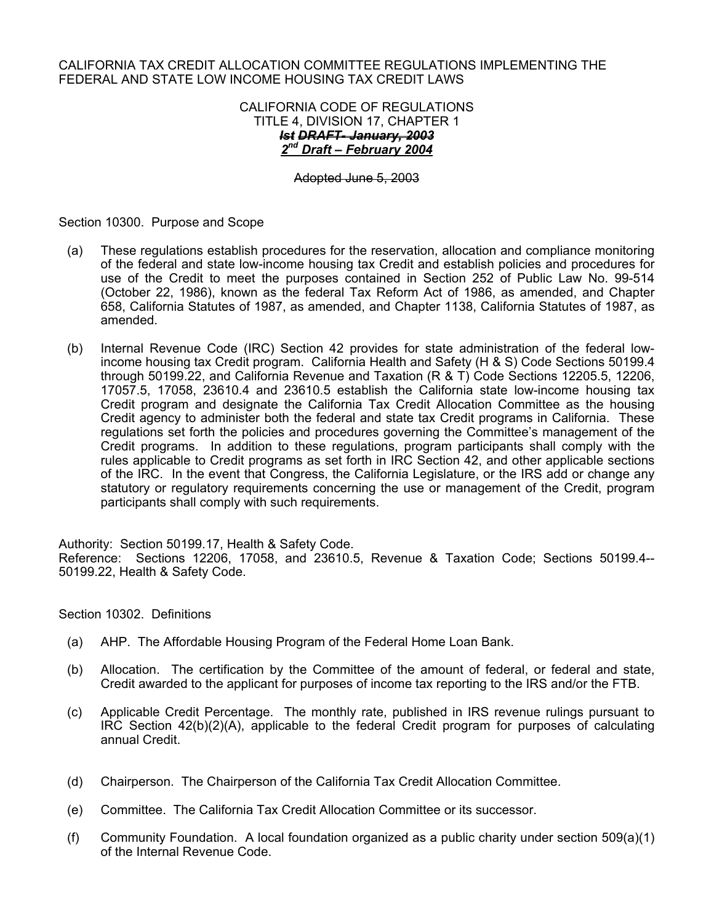#### CALIFORNIA TAX CREDIT ALLOCATION COMMITTEE REGULATIONS IMPLEMENTING THE FEDERAL AND STATE LOW INCOME HOUSING TAX CREDIT LAWS

#### CALIFORNIA CODE OF REGULATIONS TITLE 4, DIVISION 17, CHAPTER 1 *Ist DRAFT- January, 2003 2nd Draft – February 2004*

Adopted June 5, 2003

Section 10300. Purpose and Scope

- (a) These regulations establish procedures for the reservation, allocation and compliance monitoring of the federal and state low-income housing tax Credit and establish policies and procedures for use of the Credit to meet the purposes contained in Section 252 of Public Law No. 99-514 (October 22, 1986), known as the federal Tax Reform Act of 1986, as amended, and Chapter 658, California Statutes of 1987, as amended, and Chapter 1138, California Statutes of 1987, as amended.
- (b) Internal Revenue Code (IRC) Section 42 provides for state administration of the federal lowincome housing tax Credit program. California Health and Safety (H & S) Code Sections 50199.4 through 50199.22, and California Revenue and Taxation (R & T) Code Sections 12205.5, 12206, 17057.5, 17058, 23610.4 and 23610.5 establish the California state low-income housing tax Credit program and designate the California Tax Credit Allocation Committee as the housing Credit agency to administer both the federal and state tax Credit programs in California. These regulations set forth the policies and procedures governing the Committee's management of the Credit programs. In addition to these regulations, program participants shall comply with the rules applicable to Credit programs as set forth in IRC Section 42, and other applicable sections of the IRC. In the event that Congress, the California Legislature, or the IRS add or change any statutory or regulatory requirements concerning the use or management of the Credit, program participants shall comply with such requirements.

Authority: Section 50199.17, Health & Safety Code. Reference: Sections 12206, 17058, and 23610.5, Revenue & Taxation Code; Sections 50199.4-- 50199.22, Health & Safety Code.

Section 10302. Definitions

- (a) AHP. The Affordable Housing Program of the Federal Home Loan Bank.
- (b) Allocation. The certification by the Committee of the amount of federal, or federal and state, Credit awarded to the applicant for purposes of income tax reporting to the IRS and/or the FTB.
- (c) Applicable Credit Percentage. The monthly rate, published in IRS revenue rulings pursuant to IRC Section 42(b)(2)(A), applicable to the federal Credit program for purposes of calculating annual Credit.
- (d) Chairperson. The Chairperson of the California Tax Credit Allocation Committee.
- (e) Committee. The California Tax Credit Allocation Committee or its successor.
- (f) Community Foundation. A local foundation organized as a public charity under section 509(a)(1) of the Internal Revenue Code.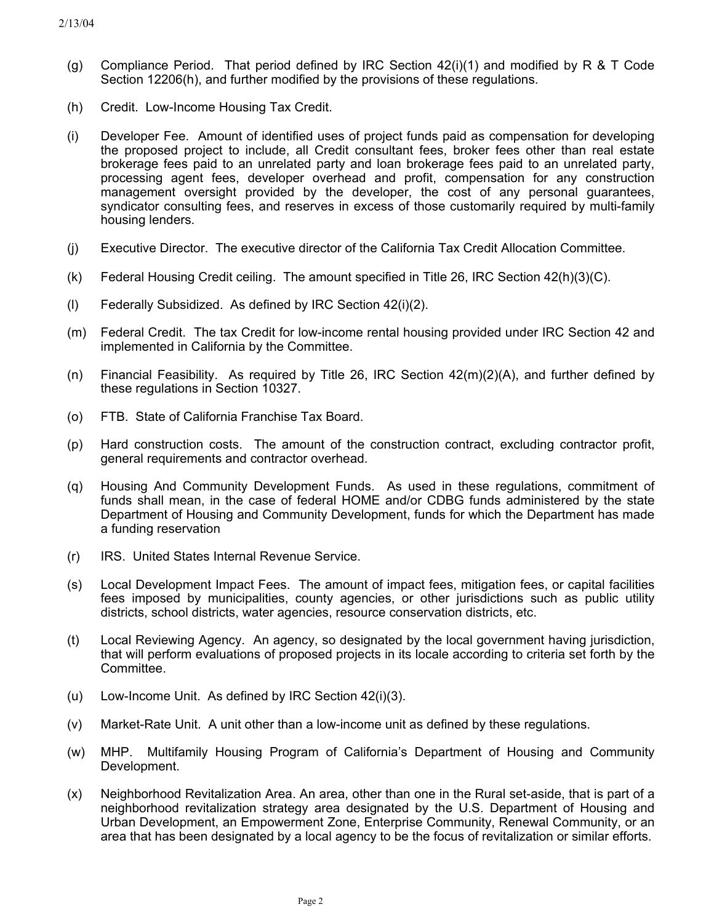- (g) Compliance Period. That period defined by IRC Section  $42(i)(1)$  and modified by R & T Code Section 12206(h), and further modified by the provisions of these regulations.
- (h) Credit. Low-Income Housing Tax Credit.
- (i) Developer Fee. Amount of identified uses of project funds paid as compensation for developing the proposed project to include, all Credit consultant fees, broker fees other than real estate brokerage fees paid to an unrelated party and loan brokerage fees paid to an unrelated party, processing agent fees, developer overhead and profit, compensation for any construction management oversight provided by the developer, the cost of any personal guarantees, syndicator consulting fees, and reserves in excess of those customarily required by multi-family housing lenders.
- (j) Executive Director. The executive director of the California Tax Credit Allocation Committee.
- (k) Federal Housing Credit ceiling. The amount specified in Title 26, IRC Section 42(h)(3)(C).
- (l) Federally Subsidized. As defined by IRC Section 42(i)(2).
- (m) Federal Credit. The tax Credit for low-income rental housing provided under IRC Section 42 and implemented in California by the Committee.
- (n) Financial Feasibility. As required by Title 26, IRC Section  $42(m)(2)(A)$ , and further defined by these regulations in Section 10327.
- (o) FTB. State of California Franchise Tax Board.
- (p) Hard construction costs. The amount of the construction contract, excluding contractor profit, general requirements and contractor overhead.
- (q) Housing And Community Development Funds. As used in these regulations, commitment of funds shall mean, in the case of federal HOME and/or CDBG funds administered by the state Department of Housing and Community Development, funds for which the Department has made a funding reservation
- (r) IRS. United States Internal Revenue Service.
- (s) Local Development Impact Fees. The amount of impact fees, mitigation fees, or capital facilities fees imposed by municipalities, county agencies, or other jurisdictions such as public utility districts, school districts, water agencies, resource conservation districts, etc.
- (t) Local Reviewing Agency. An agency, so designated by the local government having jurisdiction, that will perform evaluations of proposed projects in its locale according to criteria set forth by the Committee.
- (u) Low-Income Unit. As defined by IRC Section 42(i)(3).
- (v) Market-Rate Unit. A unit other than a low-income unit as defined by these regulations.
- (w) MHP. Multifamily Housing Program of California's Department of Housing and Community Development.
- (x) Neighborhood Revitalization Area. An area, other than one in the Rural set-aside, that is part of a neighborhood revitalization strategy area designated by the U.S. Department of Housing and Urban Development, an Empowerment Zone, Enterprise Community, Renewal Community, or an area that has been designated by a local agency to be the focus of revitalization or similar efforts.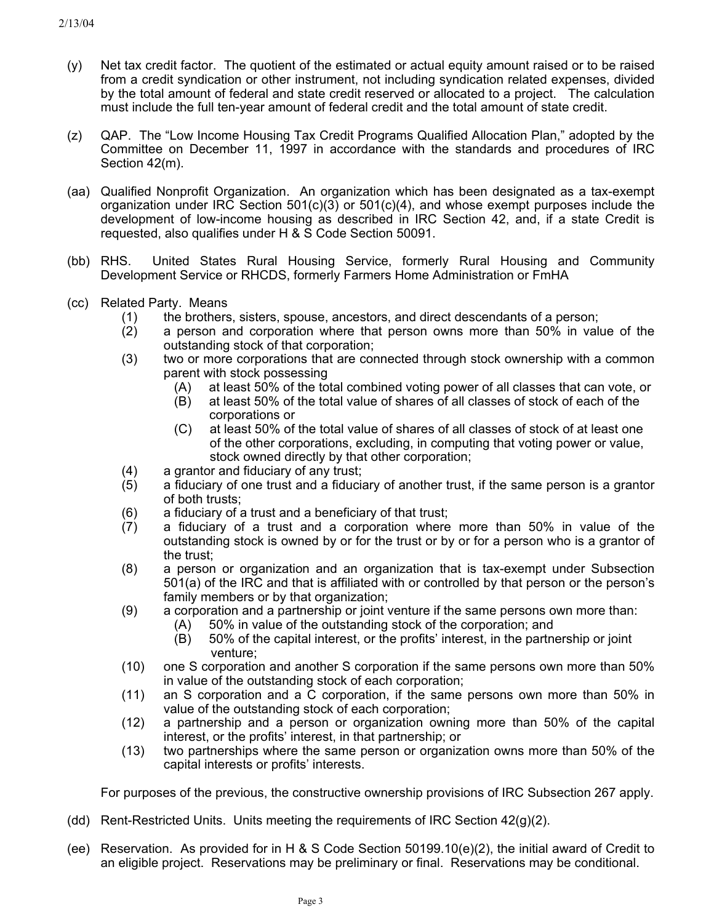- (y) Net tax credit factor. The quotient of the estimated or actual equity amount raised or to be raised from a credit syndication or other instrument, not including syndication related expenses, divided by the total amount of federal and state credit reserved or allocated to a project. The calculation must include the full ten-year amount of federal credit and the total amount of state credit.
- (z) QAP. The "Low Income Housing Tax Credit Programs Qualified Allocation Plan," adopted by the Committee on December 11, 1997 in accordance with the standards and procedures of IRC Section 42(m).
- (aa) Qualified Nonprofit Organization. An organization which has been designated as a tax-exempt organization under IRC Section  $501(c)(3)$  or  $501(c)(4)$ , and whose exempt purposes include the development of low-income housing as described in IRC Section 42, and, if a state Credit is requested, also qualifies under H & S Code Section 50091.
- (bb) RHS. United States Rural Housing Service, formerly Rural Housing and Community Development Service or RHCDS, formerly Farmers Home Administration or FmHA
- (cc) Related Party. Means
	- (1) the brothers, sisters, spouse, ancestors, and direct descendants of a person;
	- (2) a person and corporation where that person owns more than 50% in value of the outstanding stock of that corporation;
	- (3) two or more corporations that are connected through stock ownership with a common parent with stock possessing
		- (A) at least 50% of the total combined voting power of all classes that can vote, or
		- (B) at least 50% of the total value of shares of all classes of stock of each of the corporations or
		- (C) at least 50% of the total value of shares of all classes of stock of at least one of the other corporations, excluding, in computing that voting power or value, stock owned directly by that other corporation;
	- (4) a grantor and fiduciary of any trust;
	- (5) a fiduciary of one trust and a fiduciary of another trust, if the same person is a grantor of both trusts;
	- (6) a fiduciary of a trust and a beneficiary of that trust;
	- (7) a fiduciary of a trust and a corporation where more than 50% in value of the outstanding stock is owned by or for the trust or by or for a person who is a grantor of the trust;
	- (8) a person or organization and an organization that is tax-exempt under Subsection 501(a) of the IRC and that is affiliated with or controlled by that person or the person's family members or by that organization;
	- (9) a corporation and a partnership or joint venture if the same persons own more than:
		- (A) 50% in value of the outstanding stock of the corporation; and
		- (B) 50% of the capital interest, or the profits' interest, in the partnership or joint venture;
	- (10) one S corporation and another S corporation if the same persons own more than 50% in value of the outstanding stock of each corporation;
	- (11) an S corporation and a C corporation, if the same persons own more than 50% in value of the outstanding stock of each corporation;
	- (12) a partnership and a person or organization owning more than 50% of the capital interest, or the profits' interest, in that partnership; or
	- (13) two partnerships where the same person or organization owns more than 50% of the capital interests or profits' interests.

For purposes of the previous, the constructive ownership provisions of IRC Subsection 267 apply.

- (dd) Rent-Restricted Units. Units meeting the requirements of IRC Section 42(g)(2).
- (ee) Reservation. As provided for in H & S Code Section 50199.10(e)(2), the initial award of Credit to an eligible project. Reservations may be preliminary or final. Reservations may be conditional.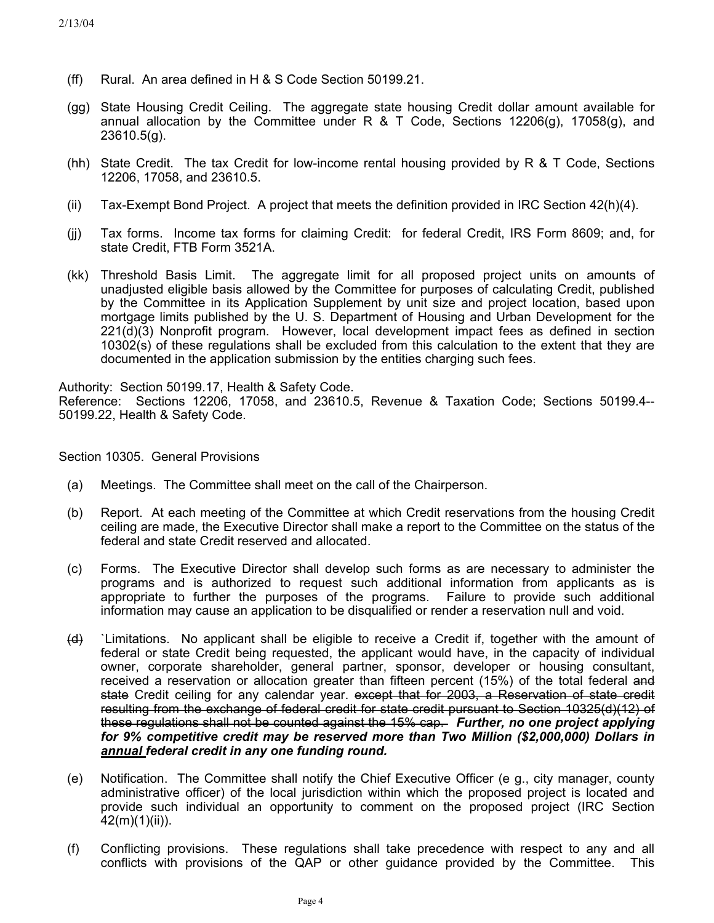- (ff) Rural. An area defined in H & S Code Section 50199.21.
- (gg) State Housing Credit Ceiling. The aggregate state housing Credit dollar amount available for annual allocation by the Committee under R & T Code, Sections 12206(g), 17058(g), and 23610.5(g).
- (hh) State Credit. The tax Credit for low-income rental housing provided by R & T Code, Sections 12206, 17058, and 23610.5.
- (ii) Tax-Exempt Bond Project. A project that meets the definition provided in IRC Section 42(h)(4).
- $(ii)$ Tax forms. Income tax forms for claiming Credit: for federal Credit, IRS Form 8609; and, for state Credit, FTB Form 3521A.
- (kk) Threshold Basis Limit. The aggregate limit for all proposed project units on amounts of unadjusted eligible basis allowed by the Committee for purposes of calculating Credit, published by the Committee in its Application Supplement by unit size and project location, based upon mortgage limits published by the U. S. Department of Housing and Urban Development for the 221(d)(3) Nonprofit program. However, local development impact fees as defined in section 10302(s) of these regulations shall be excluded from this calculation to the extent that they are documented in the application submission by the entities charging such fees.

Authority: Section 50199.17, Health & Safety Code.

Reference: Sections 12206, 17058, and 23610.5, Revenue & Taxation Code; Sections 50199.4-- 50199.22, Health & Safety Code.

Section 10305. General Provisions

- (a) Meetings. The Committee shall meet on the call of the Chairperson.
- (b) Report. At each meeting of the Committee at which Credit reservations from the housing Credit ceiling are made, the Executive Director shall make a report to the Committee on the status of the federal and state Credit reserved and allocated.
- (c) Forms. The Executive Director shall develop such forms as are necessary to administer the programs and is authorized to request such additional information from applicants as is appropriate to further the purposes of the programs. Failure to provide such additional information may cause an application to be disqualified or render a reservation null and void.
- $\left\langle d \right\rangle$  `Limitations. No applicant shall be eligible to receive a Credit if, together with the amount of federal or state Credit being requested, the applicant would have, in the capacity of individual owner, corporate shareholder, general partner, sponsor, developer or housing consultant, received a reservation or allocation greater than fifteen percent (15%) of the total federal and state Credit ceiling for any calendar year. except that for 2003, a Reservation of state credit resulting from the exchange of federal credit for state credit pursuant to Section 10325(d)(12) of these regulations shall not be counted against the 15% cap. *Further, no one project applying for 9% competitive credit may be reserved more than Two Million (\$2,000,000) Dollars in annual federal credit in any one funding round.*
- (e) Notification. The Committee shall notify the Chief Executive Officer (e g., city manager, county administrative officer) of the local jurisdiction within which the proposed project is located and provide such individual an opportunity to comment on the proposed project (IRC Section 42(m)(1)(ii)).
- (f) Conflicting provisions. These regulations shall take precedence with respect to any and all conflicts with provisions of the QAP or other guidance provided by the Committee. This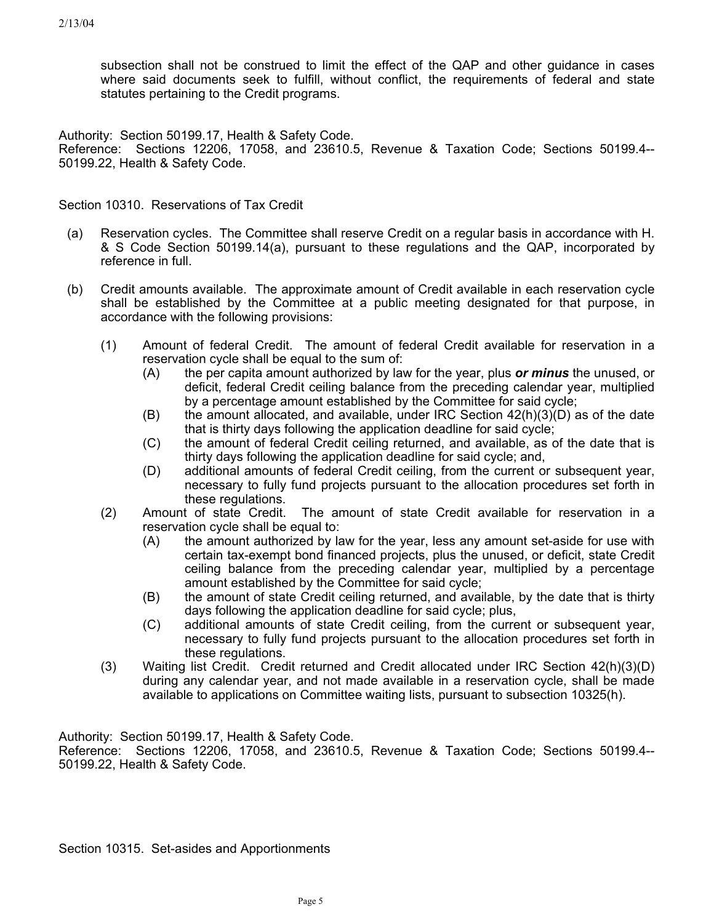subsection shall not be construed to limit the effect of the QAP and other guidance in cases where said documents seek to fulfill, without conflict, the requirements of federal and state statutes pertaining to the Credit programs.

Authority: Section 50199.17, Health & Safety Code.

Reference: Sections 12206, 17058, and 23610.5, Revenue & Taxation Code; Sections 50199.4-- 50199.22, Health & Safety Code.

Section 10310. Reservations of Tax Credit

- (a) Reservation cycles. The Committee shall reserve Credit on a regular basis in accordance with H. & S Code Section 50199.14(a), pursuant to these regulations and the QAP, incorporated by reference in full.
- (b) Credit amounts available. The approximate amount of Credit available in each reservation cycle shall be established by the Committee at a public meeting designated for that purpose, in accordance with the following provisions:
	- (1) Amount of federal Credit. The amount of federal Credit available for reservation in a reservation cycle shall be equal to the sum of:
		- the per capita amount authorized by law for the year, plus *or minus* the unused, or deficit, federal Credit ceiling balance from the preceding calendar year, multiplied by a percentage amount established by the Committee for said cycle; (A)
		- (B) the amount allocated, and available, under IRC Section 42(h)(3)(D) as of the date that is thirty days following the application deadline for said cycle;
		- (C) the amount of federal Credit ceiling returned, and available, as of the date that is thirty days following the application deadline for said cycle; and,
		- (D) additional amounts of federal Credit ceiling, from the current or subsequent year, necessary to fully fund projects pursuant to the allocation procedures set forth in these regulations.
	- (2) Amount of state Credit. The amount of state Credit available for reservation in a reservation cycle shall be equal to:
		- (A) the amount authorized by law for the year, less any amount set-aside for use with certain tax-exempt bond financed projects, plus the unused, or deficit, state Credit ceiling balance from the preceding calendar year, multiplied by a percentage amount established by the Committee for said cycle;
		- (B) the amount of state Credit ceiling returned, and available, by the date that is thirty days following the application deadline for said cycle; plus,
		- $(C)$ additional amounts of state Credit ceiling, from the current or subsequent year, necessary to fully fund projects pursuant to the allocation procedures set forth in these regulations.
	- (3) Waiting list Credit. Credit returned and Credit allocated under IRC Section 42(h)(3)(D) during any calendar year, and not made available in a reservation cycle, shall be made available to applications on Committee waiting lists, pursuant to subsection 10325(h).

Authority: Section 50199.17, Health & Safety Code.

Reference: Sections 12206, 17058, and 23610.5, Revenue & Taxation Code; Sections 50199.4-- 50199.22, Health & Safety Code.

Section 10315. Set-asides and Apportionments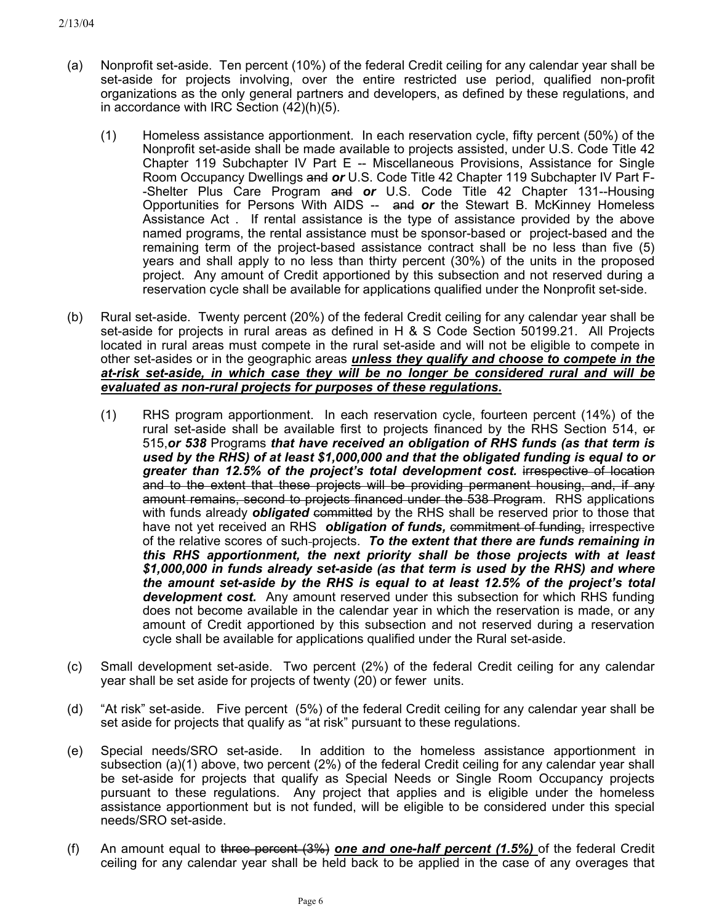- (a) Nonprofit set-aside. Ten percent (10%) of the federal Credit ceiling for any calendar year shall be set-aside for projects involving, over the entire restricted use period, qualified non-profit organizations as the only general partners and developers, as defined by these regulations, and in accordance with IRC Section (42)(h)(5).
	- (1) Homeless assistance apportionment. In each reservation cycle, fifty percent (50%) of the Nonprofit set-aside shall be made available to projects assisted, under U.S. Code Title 42 Chapter 119 Subchapter IV Part E -- Miscellaneous Provisions, Assistance for Single Room Occupancy Dwellings and *or* U.S. Code Title 42 Chapter 119 Subchapter IV Part F- -Shelter Plus Care Program and *or* U.S. Code Title 42 Chapter 131--Housing Opportunities for Persons With AIDS -- and *or* the Stewart B. McKinney Homeless Assistance Act . If rental assistance is the type of assistance provided by the above named programs, the rental assistance must be sponsor-based or project-based and the remaining term of the project-based assistance contract shall be no less than five (5) years and shall apply to no less than thirty percent (30%) of the units in the proposed project. Any amount of Credit apportioned by this subsection and not reserved during a reservation cycle shall be available for applications qualified under the Nonprofit set-side.
- (b) Rural set-aside. Twenty percent (20%) of the federal Credit ceiling for any calendar year shall be set-aside for projects in rural areas as defined in H & S Code Section 50199.21. All Projects located in rural areas must compete in the rural set-aside and will not be eligible to compete in other set-asides or in the geographic areas *unless they qualify and choose to compete in the at-risk set-aside, in which case they will be no longer be considered rural and will be evaluated as non-rural projects for purposes of these regulations.*
	- (1) RHS program apportionment. In each reservation cycle, fourteen percent (14%) of the rural set-aside shall be available first to projects financed by the RHS Section 514, or 515,*or 538* Programs *that have received an obligation of RHS funds (as that term is used by the RHS) of at least \$1,000,000 and that the obligated funding is equal to or*  greater than 12.5% of the project's total development cost. **i**rrespective of location and to the extent that these projects will be providing permanent housing, and, if any amount remains, second to projects financed under the 538 Program. RHS applications with funds already *obligated* committed by the RHS shall be reserved prior to those that have not yet received an RHS *obligation of funds, commitment of funding, irrespective* of the relative scores of such projects. *To the extent that there are funds remaining in this RHS apportionment, the next priority shall be those projects with at least \$1,000,000 in funds already set-aside (as that term is used by the RHS) and where the amount set-aside by the RHS is equal to at least 12.5% of the project's total development cost.* Any amount reserved under this subsection for which RHS funding does not become available in the calendar year in which the reservation is made, or any amount of Credit apportioned by this subsection and not reserved during a reservation cycle shall be available for applications qualified under the Rural set-aside.
- (c) Small development set-aside. Two percent (2%) of the federal Credit ceiling for any calendar year shall be set aside for projects of twenty (20) or fewer units.
- (d) "At risk" set-aside. Five percent (5%) of the federal Credit ceiling for any calendar year shall be set aside for projects that qualify as "at risk" pursuant to these regulations.
- (e) Special needs/SRO set-aside. In addition to the homeless assistance apportionment in subsection (a)(1) above, two percent (2%) of the federal Credit ceiling for any calendar year shall be set-aside for projects that qualify as Special Needs or Single Room Occupancy projects pursuant to these regulations. Any project that applies and is eligible under the homeless assistance apportionment but is not funded, will be eligible to be considered under this special needs/SRO set-aside.
- (f) An amount equal to three percent (3%) *one and one-half percent (1.5%)* of the federal Credit ceiling for any calendar year shall be held back to be applied in the case of any overages that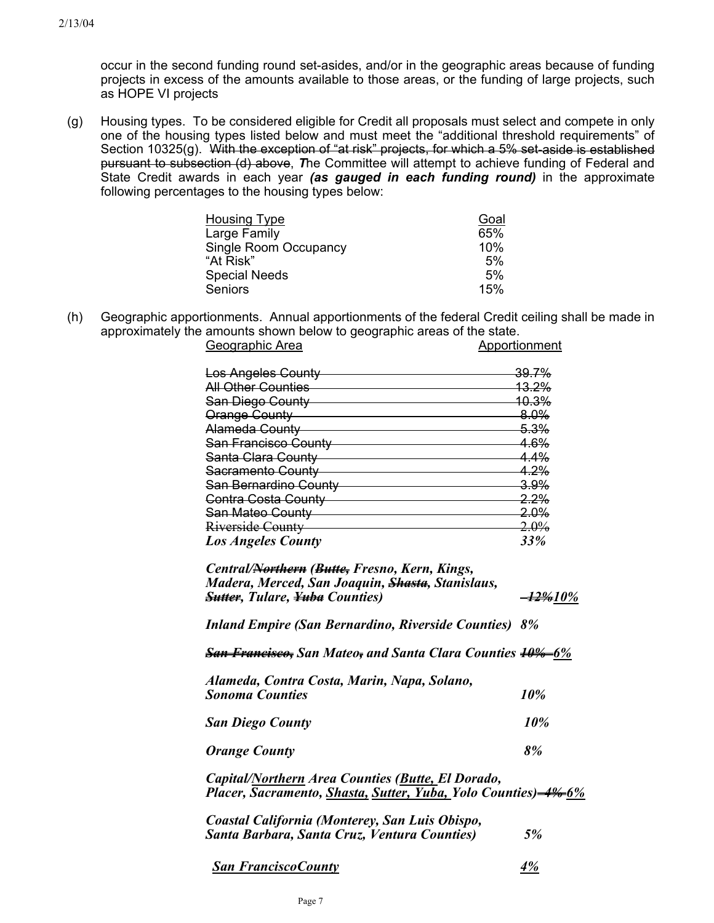occur in the second funding round set-asides, and/or in the geographic areas because of funding projects in excess of the amounts available to those areas, or the funding of large projects, such as HOPE VI projects

(g) Housing types. To be considered eligible for Credit all proposals must select and compete in only one of the housing types listed below and must meet the "additional threshold requirements" of Section 10325(g). With the exception of "at risk" projects, for which a 5% set-aside is established pursuant to subsection (d) above, *T*he Committee will attempt to achieve funding of Federal and State Credit awards in each year *(as gauged in each funding round)* in the approximate following percentages to the housing types below:

| <b>Housing Type</b>   | Goal |
|-----------------------|------|
| Large Family          | 65%  |
| Single Room Occupancy | 10%  |
| "At Risk"             | 5%   |
| <b>Special Needs</b>  | 5%   |
| <b>Seniors</b>        | 15%  |

(h) Geographic apportionments. Annual apportionments of the federal Credit ceiling shall be made in approximately the amounts shown below to geographic areas of the state.

| Geographic Area            | Apportionment    |
|----------------------------|------------------|
| <b>Los Angeles County</b>  | <del>39.7%</del> |
| <b>All Other Counties</b>  | <b>13.2%</b>     |
| San Diego County           | <u> 10.3%</u>    |
| Orange County              | 8.0%             |
| Alameda County             | 5.3%             |
| San Francisco County       | 4.6%             |
| Santa Clara County         | <u>4.4%</u>      |
| Sacramento County          | <u>4.2%</u>      |
| San Bernardino County      | $3.9\%$          |
| <b>Contra Costa County</b> | 2.2%             |
| San Mateo County           | $2.0\%$          |
| Riverside County           | <del>2.0%</del>  |
| <b>Los Angeles County</b>  | 33%              |

| Central/Northern (Butte, Fresno, Kern, Kings,<br>Madera, Merced, San Joaquin, <del>Shasta</del> , Stanislaus,<br><b>Sutter, Tulare, Yuba Counties)</b> | <del>-12%</del> 10% |
|--------------------------------------------------------------------------------------------------------------------------------------------------------|---------------------|
| <b>Inland Empire (San Bernardino, Riverside Counties) 8%</b>                                                                                           |                     |
| <b>San Francisco, San Mateo, and Santa Clara Counties 10%-6%</b>                                                                                       |                     |

| Alameda, Contra Costa, Marin, Napa, Solano, |     |
|---------------------------------------------|-----|
| <b>Sonoma Counties</b>                      | 10% |

| <b>San Diego County</b> | 10% |
|-------------------------|-----|
|                         |     |

*Orange County 8%*

*Capital/Northern Area Counties (Butte, El Dorado, Placer, Sacramento, Shasta, Sutter, Yuba, Yolo Counties) 4% 6%*

| Coastal California (Monterey, San Luis Obispo, |    |
|------------------------------------------------|----|
| Santa Barbara, Santa Cruz, Ventura Counties)   | 5% |

| <b>San FranciscoCounty</b> |  |
|----------------------------|--|
|----------------------------|--|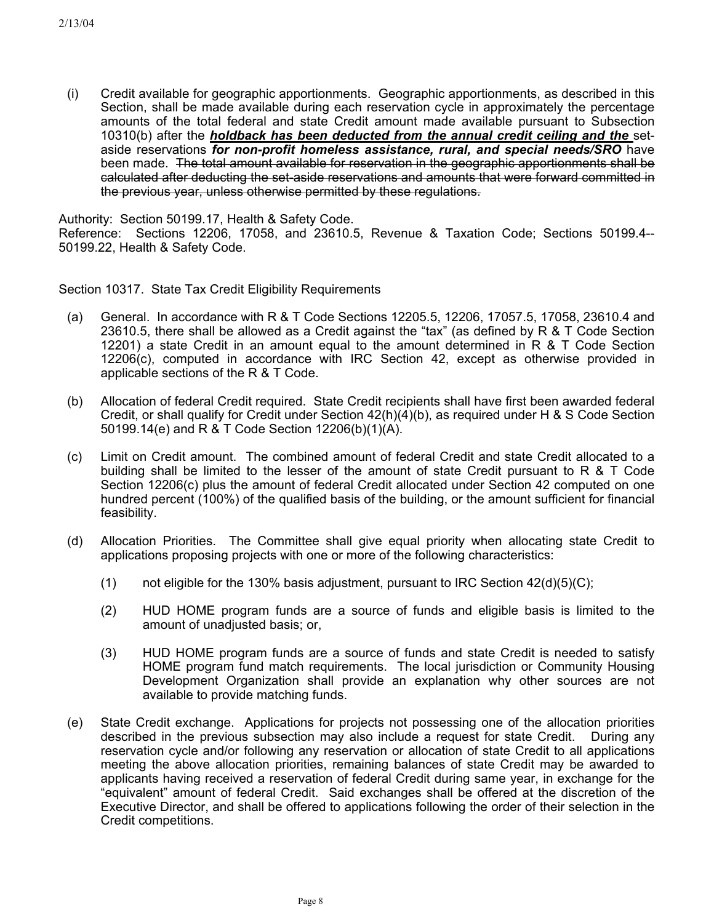(i) Credit available for geographic apportionments. Geographic apportionments, as described in this Section, shall be made available during each reservation cycle in approximately the percentage amounts of the total federal and state Credit amount made available pursuant to Subsection 10310(b) after the *holdback has been deducted from the annual credit ceiling and the* setaside reservations *for non-profit homeless assistance, rural, and special needs/SRO* have been made. The total amount available for reservation in the geographic apportionments shall be calculated after deducting the set-aside reservations and amounts that were forward committed in the previous year, unless otherwise permitted by these regulations.

Authority: Section 50199.17, Health & Safety Code.

Reference: Sections 12206, 17058, and 23610.5, Revenue & Taxation Code; Sections 50199.4-- 50199.22, Health & Safety Code.

Section 10317. State Tax Credit Eligibility Requirements

- (a) General. In accordance with R & T Code Sections 12205.5, 12206, 17057.5, 17058, 23610.4 and 23610.5, there shall be allowed as a Credit against the "tax" (as defined by R & T Code Section 12201) a state Credit in an amount equal to the amount determined in R & T Code Section 12206(c), computed in accordance with IRC Section 42, except as otherwise provided in applicable sections of the R & T Code.
- (b) Allocation of federal Credit required. State Credit recipients shall have first been awarded federal Credit, or shall qualify for Credit under Section 42(h)(4)(b), as required under H & S Code Section 50199.14(e) and R & T Code Section 12206(b)(1)(A).
- (c) Limit on Credit amount. The combined amount of federal Credit and state Credit allocated to a building shall be limited to the lesser of the amount of state Credit pursuant to R & T Code Section 12206(c) plus the amount of federal Credit allocated under Section 42 computed on one hundred percent (100%) of the qualified basis of the building, or the amount sufficient for financial feasibility.
- (d) Allocation Priorities. The Committee shall give equal priority when allocating state Credit to applications proposing projects with one or more of the following characteristics:
	- (1) not eligible for the 130% basis adjustment, pursuant to IRC Section  $42(d)(5)(C)$ ;
	- (2) HUD HOME program funds are a source of funds and eligible basis is limited to the amount of unadjusted basis; or,
	- (3) HUD HOME program funds are a source of funds and state Credit is needed to satisfy HOME program fund match requirements. The local jurisdiction or Community Housing Development Organization shall provide an explanation why other sources are not available to provide matching funds.
- (e) State Credit exchange. Applications for projects not possessing one of the allocation priorities described in the previous subsection may also include a request for state Credit. During any reservation cycle and/or following any reservation or allocation of state Credit to all applications meeting the above allocation priorities, remaining balances of state Credit may be awarded to applicants having received a reservation of federal Credit during same year, in exchange for the "equivalent" amount of federal Credit. Said exchanges shall be offered at the discretion of the Executive Director, and shall be offered to applications following the order of their selection in the Credit competitions.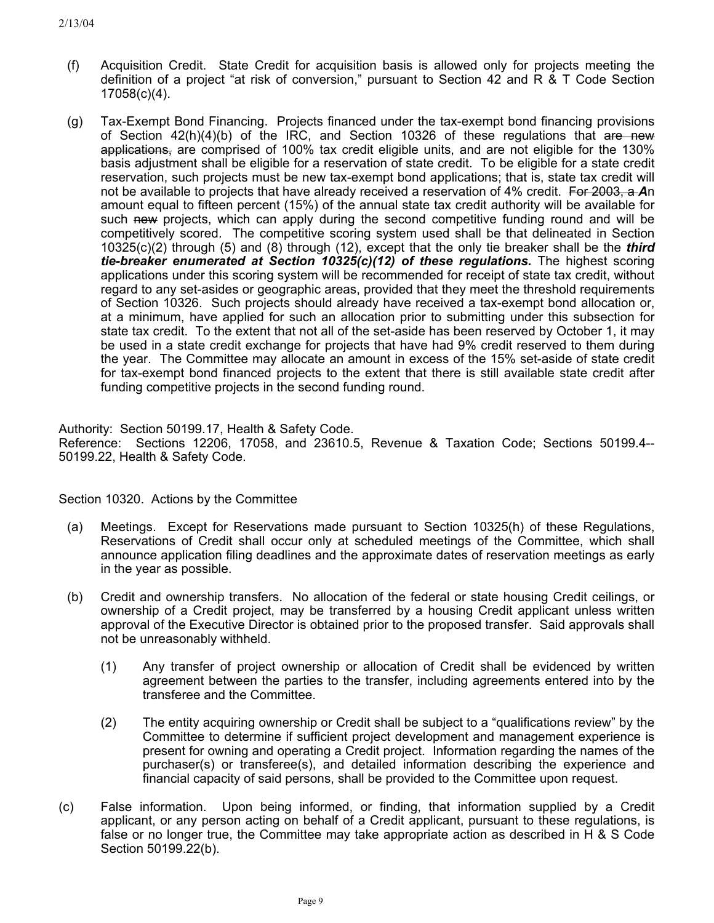- (f) Acquisition Credit. State Credit for acquisition basis is allowed only for projects meeting the definition of a project "at risk of conversion," pursuant to Section 42 and R & T Code Section 17058(c)(4).
- (g) Tax-Exempt Bond Financing. Projects financed under the tax-exempt bond financing provisions of Section 42(h)(4)(b) of the IRC, and Section 10326 of these regulations that are new applications, are comprised of 100% tax credit eligible units, and are not eligible for the 130% basis adjustment shall be eligible for a reservation of state credit. To be eligible for a state credit reservation, such projects must be new tax-exempt bond applications; that is, state tax credit will not be available to projects that have already received a reservation of 4% credit. For 2003, a *A*n amount equal to fifteen percent (15%) of the annual state tax credit authority will be available for such new projects, which can apply during the second competitive funding round and will be competitively scored. The competitive scoring system used shall be that delineated in Section 10325(c)(2) through (5) and (8) through (12), except that the only tie breaker shall be the *third tie-breaker enumerated at Section 10325(c)(12) of these regulations.* The highest scoring applications under this scoring system will be recommended for receipt of state tax credit, without regard to any set-asides or geographic areas, provided that they meet the threshold requirements of Section 10326. Such projects should already have received a tax-exempt bond allocation or, at a minimum, have applied for such an allocation prior to submitting under this subsection for state tax credit. To the extent that not all of the set-aside has been reserved by October 1, it may be used in a state credit exchange for projects that have had 9% credit reserved to them during the year. The Committee may allocate an amount in excess of the 15% set-aside of state credit for tax-exempt bond financed projects to the extent that there is still available state credit after funding competitive projects in the second funding round.

Authority: Section 50199.17, Health & Safety Code.

Reference: Sections 12206, 17058, and 23610.5, Revenue & Taxation Code; Sections 50199.4-- 50199.22, Health & Safety Code.

Section 10320. Actions by the Committee

- (a) Meetings. Except for Reservations made pursuant to Section 10325(h) of these Regulations, Reservations of Credit shall occur only at scheduled meetings of the Committee, which shall announce application filing deadlines and the approximate dates of reservation meetings as early in the year as possible.
- (b) Credit and ownership transfers. No allocation of the federal or state housing Credit ceilings, or ownership of a Credit project, may be transferred by a housing Credit applicant unless written approval of the Executive Director is obtained prior to the proposed transfer. Said approvals shall not be unreasonably withheld.
	- (1) Any transfer of project ownership or allocation of Credit shall be evidenced by written agreement between the parties to the transfer, including agreements entered into by the transferee and the Committee.
	- (2) The entity acquiring ownership or Credit shall be subject to a "qualifications review" by the Committee to determine if sufficient project development and management experience is present for owning and operating a Credit project. Information regarding the names of the purchaser(s) or transferee(s), and detailed information describing the experience and financial capacity of said persons, shall be provided to the Committee upon request.
- (c) False information. Upon being informed, or finding, that information supplied by a Credit applicant, or any person acting on behalf of a Credit applicant, pursuant to these regulations, is false or no longer true, the Committee may take appropriate action as described in H & S Code Section 50199.22(b).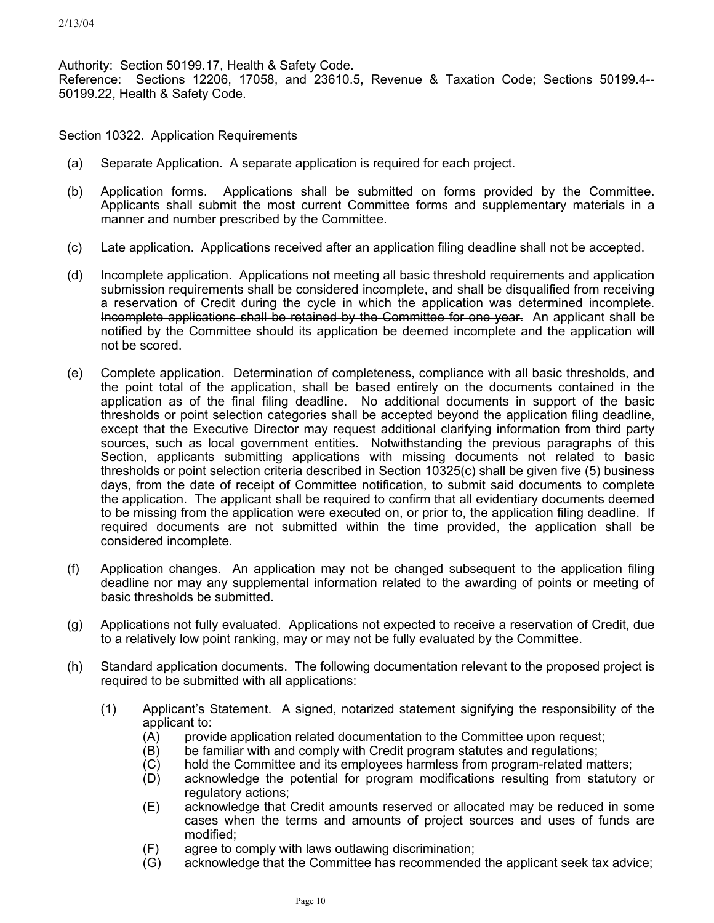Authority: Section 50199.17, Health & Safety Code. Reference: Sections 12206, 17058, and 23610.5, Revenue & Taxation Code; Sections 50199.4-- 50199.22, Health & Safety Code.

Section 10322. Application Requirements

- (a) Separate Application. A separate application is required for each project.
- (b) Application forms. Applications shall be submitted on forms provided by the Committee. Applicants shall submit the most current Committee forms and supplementary materials in a manner and number prescribed by the Committee.
- (c) Late application. Applications received after an application filing deadline shall not be accepted.
- (d) Incomplete application. Applications not meeting all basic threshold requirements and application submission requirements shall be considered incomplete, and shall be disqualified from receiving a reservation of Credit during the cycle in which the application was determined incomplete. Incomplete applications shall be retained by the Committee for one year. An applicant shall be notified by the Committee should its application be deemed incomplete and the application will not be scored.
- (e) Complete application. Determination of completeness, compliance with all basic thresholds, and the point total of the application, shall be based entirely on the documents contained in the application as of the final filing deadline. No additional documents in support of the basic thresholds or point selection categories shall be accepted beyond the application filing deadline, except that the Executive Director may request additional clarifying information from third party sources, such as local government entities. Notwithstanding the previous paragraphs of this Section, applicants submitting applications with missing documents not related to basic thresholds or point selection criteria described in Section 10325(c) shall be given five (5) business days, from the date of receipt of Committee notification, to submit said documents to complete the application. The applicant shall be required to confirm that all evidentiary documents deemed to be missing from the application were executed on, or prior to, the application filing deadline. If required documents are not submitted within the time provided, the application shall be considered incomplete.
- (f) Application changes. An application may not be changed subsequent to the application filing deadline nor may any supplemental information related to the awarding of points or meeting of basic thresholds be submitted.
- (g) Applications not fully evaluated. Applications not expected to receive a reservation of Credit, due to a relatively low point ranking, may or may not be fully evaluated by the Committee.
- (h) Standard application documents. The following documentation relevant to the proposed project is required to be submitted with all applications:
	- (1) Applicant's Statement. A signed, notarized statement signifying the responsibility of the applicant to:
		- (A) provide application related documentation to the Committee upon request;
		- (B) be familiar with and comply with Credit program statutes and regulations;
		- (C) hold the Committee and its employees harmless from program-related matters;
		- (D) acknowledge the potential for program modifications resulting from statutory or regulatory actions;
		- (E) acknowledge that Credit amounts reserved or allocated may be reduced in some cases when the terms and amounts of project sources and uses of funds are modified;
		- (F) agree to comply with laws outlawing discrimination;
		- (G) acknowledge that the Committee has recommended the applicant seek tax advice;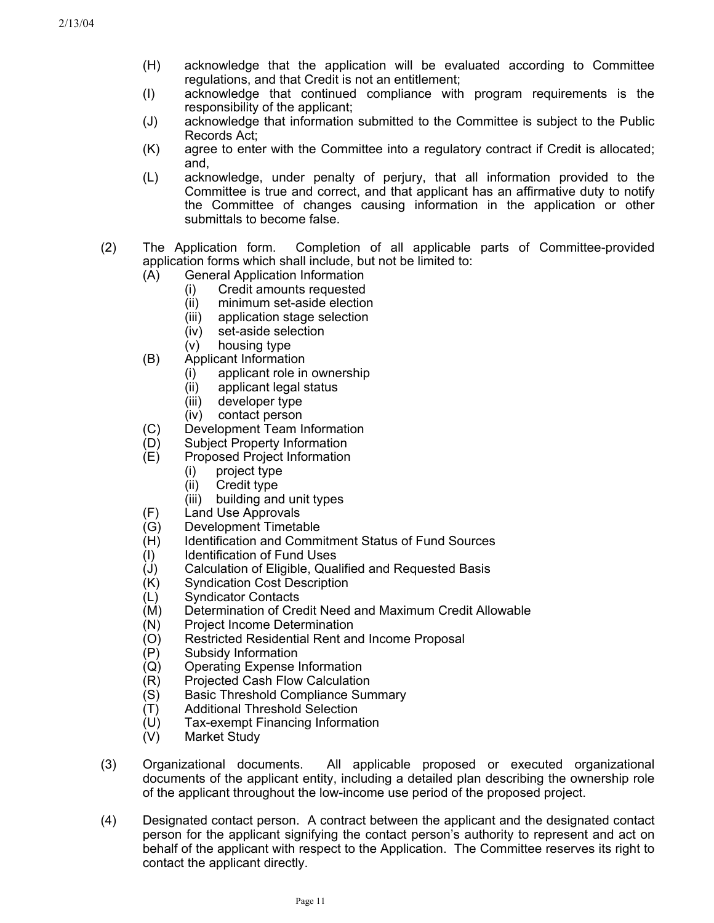- (H) acknowledge that the application will be evaluated according to Committee regulations, and that Credit is not an entitlement;
- (I) acknowledge that continued compliance with program requirements is the responsibility of the applicant;
- (J) acknowledge that information submitted to the Committee is subject to the Public Records Act;
- (K) agree to enter with the Committee into a regulatory contract if Credit is allocated; and,
- (L) acknowledge, under penalty of perjury, that all information provided to the Committee is true and correct, and that applicant has an affirmative duty to notify the Committee of changes causing information in the application or other submittals to become false.
- (2) The Application form. Completion of all applicable parts of Committee-provided application forms which shall include, but not be limited to:
	- (A) General Application Information
		- (i) Credit amounts requested
			- (ii) minimum set-aside election
			- (iii) application stage selection
			- (iv) set-aside selection
			- (v) housing type
	- (B) Applicant Information
		- (i) applicant role in ownership
		- (ii) applicant legal status
		- (iii) developer type
		- (iv) contact person
	- (C) Development Team Information
	- (D) Subject Property Information
	- (E) Proposed Project Information
		- (i) project type
		- (ii) Credit type
		- (iii) building and unit types
	- (F) Land Use Approvals
	- (G) Development Timetable
	- (H) Identification and Commitment Status of Fund Sources
	- (I) Identification of Fund Uses
	- (J) Calculation of Eligible, Qualified and Requested Basis
	- (K) Syndication Cost Description
	- (L) Syndicator Contacts
	- (M) Determination of Credit Need and Maximum Credit Allowable
	- (N) Project Income Determination
	- (O) Restricted Residential Rent and Income Proposal
	- (P) Subsidy Information
	- (Q) Operating Expense Information
	- (R) Projected Cash Flow Calculation
	- (S) Basic Threshold Compliance Summary
	- (T) Additional Threshold Selection
	- (U) Tax-exempt Financing Information
	- (V) Market Study
- (3) Organizational documents. All applicable proposed or executed organizational documents of the applicant entity, including a detailed plan describing the ownership role of the applicant throughout the low-income use period of the proposed project.
- (4) Designated contact person. A contract between the applicant and the designated contact person for the applicant signifying the contact person's authority to represent and act on behalf of the applicant with respect to the Application. The Committee reserves its right to contact the applicant directly.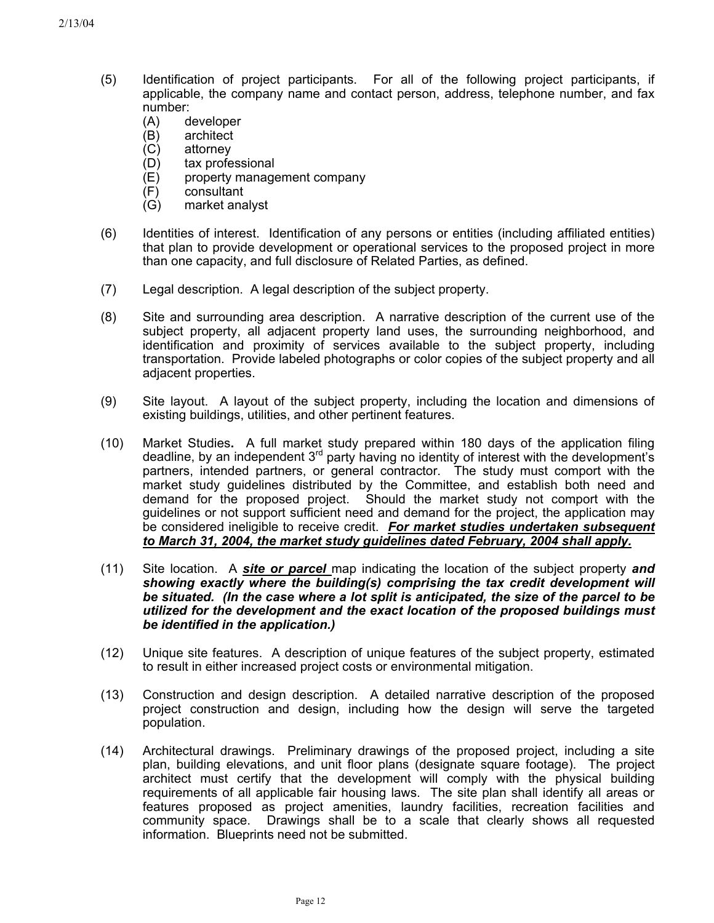- (5) Identification of project participants. For all of the following project participants, if applicable, the company name and contact person, address, telephone number, and fax number:
	- (A) developer
	- (B) architect
	- (C) attorney
	- (D) tax professional
	- (E) property management company
	- (F) consultant
	- (G) market analyst
- (6) Identities of interest. Identification of any persons or entities (including affiliated entities) that plan to provide development or operational services to the proposed project in more than one capacity, and full disclosure of Related Parties, as defined.
- (7) Legal description. A legal description of the subject property.
- (8) Site and surrounding area description. A narrative description of the current use of the subject property, all adjacent property land uses, the surrounding neighborhood, and identification and proximity of services available to the subject property, including transportation. Provide labeled photographs or color copies of the subject property and all adjacent properties.
- (9) Site layout. A layout of the subject property, including the location and dimensions of existing buildings, utilities, and other pertinent features.
- (10) Market Studies**.** A full market study prepared within 180 days of the application filing deadline, by an independent  $3<sup>rd</sup>$  party having no identity of interest with the development's partners, intended partners, or general contractor. The study must comport with the market study guidelines distributed by the Committee, and establish both need and demand for the proposed project. Should the market study not comport with the guidelines or not support sufficient need and demand for the project, the application may be considered ineligible to receive credit. *For market studies undertaken subsequent to March 31, 2004, the market study guidelines dated February, 2004 shall apply.*
- (11) Site location. A *site or parcel* map indicating the location of the subject property *and showing exactly where the building(s) comprising the tax credit development will be situated. (In the case where a lot split is anticipated, the size of the parcel to be utilized for the development and the exact location of the proposed buildings must be identified in the application.)*
- (12) Unique site features. A description of unique features of the subject property, estimated to result in either increased project costs or environmental mitigation.
- (13) Construction and design description. A detailed narrative description of the proposed project construction and design, including how the design will serve the targeted population.
- (14) Architectural drawings. Preliminary drawings of the proposed project, including a site plan, building elevations, and unit floor plans (designate square footage). The project architect must certify that the development will comply with the physical building requirements of all applicable fair housing laws. The site plan shall identify all areas or features proposed as project amenities, laundry facilities, recreation facilities and community space. Drawings shall be to a scale that clearly shows all requested information. Blueprints need not be submitted.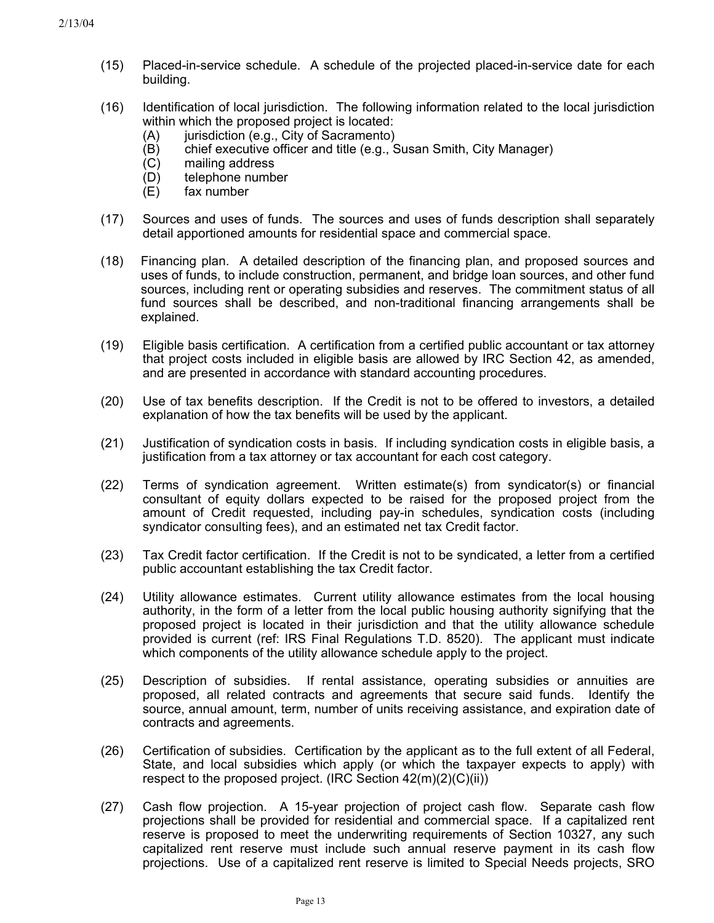- (15) Placed-in-service schedule. A schedule of the projected placed-in-service date for each building.
- (16) Identification of local jurisdiction. The following information related to the local jurisdiction within which the proposed project is located:
	- (A) jurisdiction (e.g., City of Sacramento)
	- (B) chief executive officer and title (e.g., Susan Smith, City Manager)
	- (C) mailing address
	- (D) telephone number
	- (E) fax number
- (17) Sources and uses of funds. The sources and uses of funds description shall separately detail apportioned amounts for residential space and commercial space.
- (18) Financing plan. A detailed description of the financing plan, and proposed sources and uses of funds, to include construction, permanent, and bridge loan sources, and other fund sources, including rent or operating subsidies and reserves. The commitment status of all fund sources shall be described, and non-traditional financing arrangements shall be explained.
- (19) Eligible basis certification. A certification from a certified public accountant or tax attorney that project costs included in eligible basis are allowed by IRC Section 42, as amended, and are presented in accordance with standard accounting procedures.
- (20) Use of tax benefits description. If the Credit is not to be offered to investors, a detailed explanation of how the tax benefits will be used by the applicant.
- (21) Justification of syndication costs in basis. If including syndication costs in eligible basis, a justification from a tax attorney or tax accountant for each cost category.
- (22) Terms of syndication agreement. Written estimate(s) from syndicator(s) or financial consultant of equity dollars expected to be raised for the proposed project from the amount of Credit requested, including pay-in schedules, syndication costs (including syndicator consulting fees), and an estimated net tax Credit factor.
- (23) Tax Credit factor certification. If the Credit is not to be syndicated, a letter from a certified public accountant establishing the tax Credit factor.
- (24) Utility allowance estimates. Current utility allowance estimates from the local housing authority, in the form of a letter from the local public housing authority signifying that the proposed project is located in their jurisdiction and that the utility allowance schedule provided is current (ref: IRS Final Regulations T.D. 8520). The applicant must indicate which components of the utility allowance schedule apply to the project.
- (25) Description of subsidies. If rental assistance, operating subsidies or annuities are proposed, all related contracts and agreements that secure said funds. Identify the source, annual amount, term, number of units receiving assistance, and expiration date of contracts and agreements.
- (26) Certification of subsidies. Certification by the applicant as to the full extent of all Federal, State, and local subsidies which apply (or which the taxpayer expects to apply) with respect to the proposed project. (IRC Section 42(m)(2)(C)(ii))
- (27) Cash flow projection. A 15-year projection of project cash flow. Separate cash flow projections shall be provided for residential and commercial space. If a capitalized rent reserve is proposed to meet the underwriting requirements of Section 10327, any such capitalized rent reserve must include such annual reserve payment in its cash flow projections. Use of a capitalized rent reserve is limited to Special Needs projects, SRO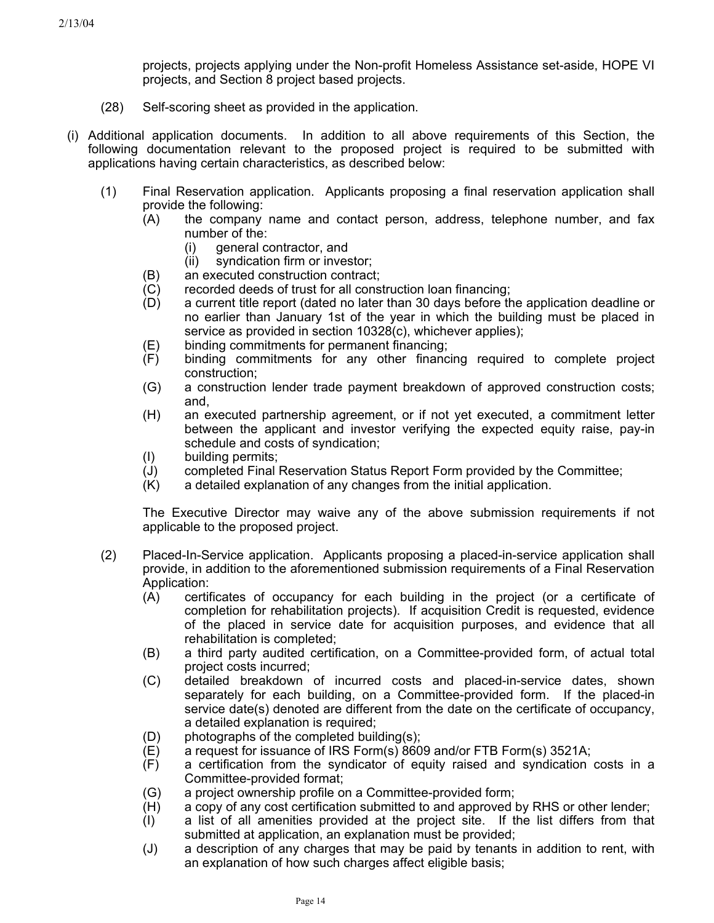projects, projects applying under the Non-profit Homeless Assistance set-aside, HOPE VI projects, and Section 8 project based projects.

- (28) Self-scoring sheet as provided in the application.
- (i) Additional application documents. In addition to all above requirements of this Section, the following documentation relevant to the proposed project is required to be submitted with applications having certain characteristics, as described below:
	- (1) Final Reservation application. Applicants proposing a final reservation application shall provide the following:
		- (A) the company name and contact person, address, telephone number, and fax number of the:
			- (i) general contractor, and
			- (ii) syndication firm or investor;
		- (B) an executed construction contract;
		- (C) recorded deeds of trust for all construction loan financing;
		- (D) a current title report (dated no later than 30 days before the application deadline or no earlier than January 1st of the year in which the building must be placed in service as provided in section 10328(c), whichever applies);
		- (E) binding commitments for permanent financing;
		- (F) binding commitments for any other financing required to complete project construction;
		- (G) a construction lender trade payment breakdown of approved construction costs; and,
		- (H) an executed partnership agreement, or if not yet executed, a commitment letter between the applicant and investor verifying the expected equity raise, pay-in schedule and costs of syndication;
		- (I) building permits;
		- (J) completed Final Reservation Status Report Form provided by the Committee;
		- (K) a detailed explanation of any changes from the initial application.

The Executive Director may waive any of the above submission requirements if not applicable to the proposed project.

- (2) Placed-In-Service application. Applicants proposing a placed-in-service application shall provide, in addition to the aforementioned submission requirements of a Final Reservation Application:
	- (A) certificates of occupancy for each building in the project (or a certificate of completion for rehabilitation projects). If acquisition Credit is requested, evidence of the placed in service date for acquisition purposes, and evidence that all rehabilitation is completed;
	- (B) a third party audited certification, on a Committee-provided form, of actual total project costs incurred;
	- (C) detailed breakdown of incurred costs and placed-in-service dates, shown separately for each building, on a Committee-provided form. If the placed-in service date(s) denoted are different from the date on the certificate of occupancy, a detailed explanation is required;
	- (D) photographs of the completed building(s);
	- (E) a request for issuance of IRS Form(s) 8609 and/or FTB Form(s) 3521A;
	- (F) a certification from the syndicator of equity raised and syndication costs in a Committee-provided format;
	- (G) a project ownership profile on a Committee-provided form;
	- (H) a copy of any cost certification submitted to and approved by RHS or other lender;
	- (I) a list of all amenities provided at the project site. If the list differs from that submitted at application, an explanation must be provided;
	- (J) a description of any charges that may be paid by tenants in addition to rent, with an explanation of how such charges affect eligible basis;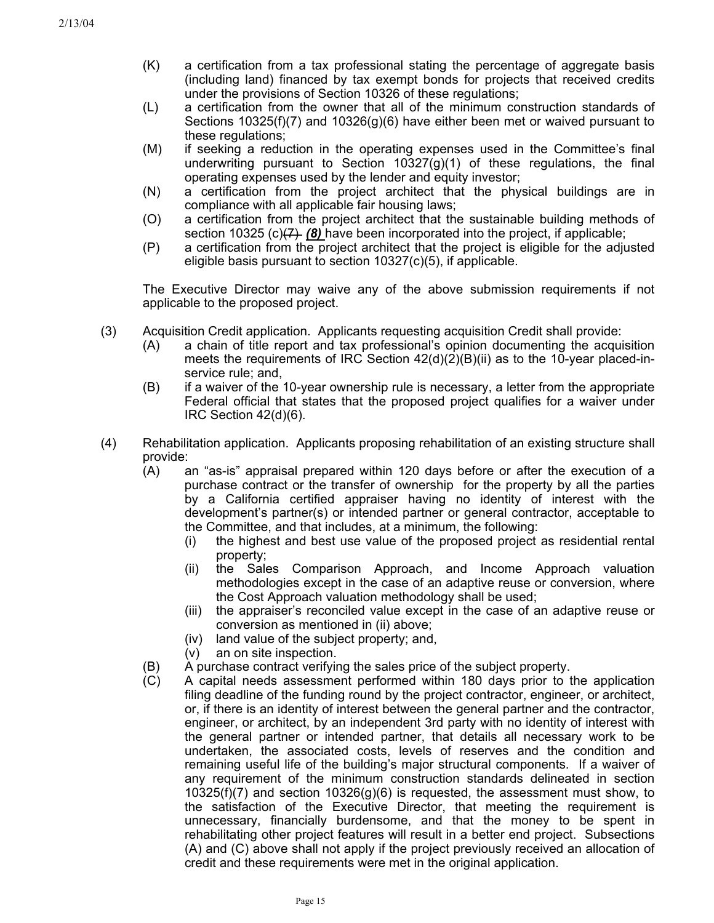- (K) a certification from a tax professional stating the percentage of aggregate basis (including land) financed by tax exempt bonds for projects that received credits under the provisions of Section 10326 of these regulations;
- (L) a certification from the owner that all of the minimum construction standards of Sections 10325(f)(7) and 10326(g)(6) have either been met or waived pursuant to these regulations;
- (M) if seeking a reduction in the operating expenses used in the Committee's final underwriting pursuant to Section  $10327(g)(1)$  of these regulations, the final operating expenses used by the lender and equity investor;
- (N) a certification from the project architect that the physical buildings are in compliance with all applicable fair housing laws;
- (O) a certification from the project architect that the sustainable building methods of section 10325 (c)<del>(7)</del> (8) have been incorporated into the project, if applicable;
- (P) a certification from the project architect that the project is eligible for the adjusted eligible basis pursuant to section 10327(c)(5), if applicable.

The Executive Director may waive any of the above submission requirements if not applicable to the proposed project.

- (3) Acquisition Credit application. Applicants requesting acquisition Credit shall provide:
	- (A) a chain of title report and tax professional's opinion documenting the acquisition meets the requirements of IRC Section  $42(d)(2)(B)(ii)$  as to the 10-year placed-inservice rule; and,
	- (B) if a waiver of the 10-year ownership rule is necessary, a letter from the appropriate Federal official that states that the proposed project qualifies for a waiver under IRC Section 42(d)(6).
- (4) Rehabilitation application. Applicants proposing rehabilitation of an existing structure shall provide:
	- (A) an "as-is" appraisal prepared within 120 days before or after the execution of a purchase contract or the transfer of ownership for the property by all the parties by a California certified appraiser having no identity of interest with the development's partner(s) or intended partner or general contractor, acceptable to the Committee, and that includes, at a minimum, the following:
		- (i) the highest and best use value of the proposed project as residential rental property;
		- (ii) the Sales Comparison Approach, and Income Approach valuation methodologies except in the case of an adaptive reuse or conversion, where the Cost Approach valuation methodology shall be used;
		- (iii) the appraiser's reconciled value except in the case of an adaptive reuse or conversion as mentioned in (ii) above;
		- (iv) land value of the subject property; and,
		- (v) an on site inspection.
	- (B) A purchase contract verifying the sales price of the subject property.
	- (C) A capital needs assessment performed within 180 days prior to the application filing deadline of the funding round by the project contractor, engineer, or architect, or, if there is an identity of interest between the general partner and the contractor, engineer, or architect, by an independent 3rd party with no identity of interest with the general partner or intended partner, that details all necessary work to be undertaken, the associated costs, levels of reserves and the condition and remaining useful life of the building's major structural components. If a waiver of any requirement of the minimum construction standards delineated in section 10325(f)(7) and section 10326(g)(6) is requested, the assessment must show, to the satisfaction of the Executive Director, that meeting the requirement is unnecessary, financially burdensome, and that the money to be spent in rehabilitating other project features will result in a better end project. Subsections (A) and (C) above shall not apply if the project previously received an allocation of credit and these requirements were met in the original application.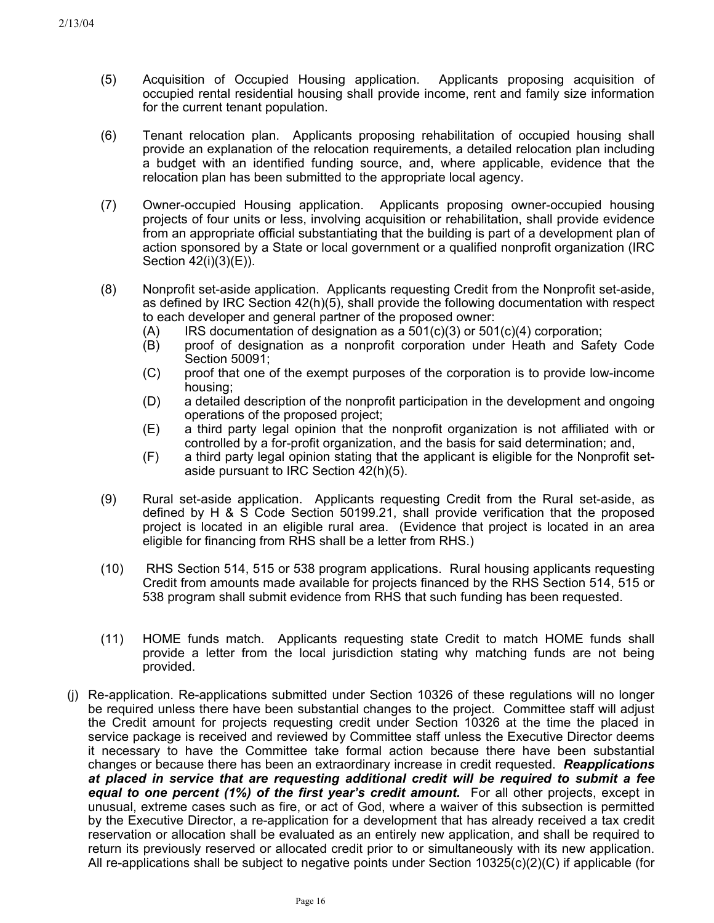- (5) Acquisition of Occupied Housing application. Applicants proposing acquisition of occupied rental residential housing shall provide income, rent and family size information for the current tenant population.
- (6) Tenant relocation plan. Applicants proposing rehabilitation of occupied housing shall provide an explanation of the relocation requirements, a detailed relocation plan including a budget with an identified funding source, and, where applicable, evidence that the relocation plan has been submitted to the appropriate local agency.
- (7) Owner-occupied Housing application. Applicants proposing owner-occupied housing projects of four units or less, involving acquisition or rehabilitation, shall provide evidence from an appropriate official substantiating that the building is part of a development plan of action sponsored by a State or local government or a qualified nonprofit organization (IRC Section 42(i)(3)(E)).
- (8) Nonprofit set-aside application. Applicants requesting Credit from the Nonprofit set-aside, as defined by IRC Section 42(h)(5), shall provide the following documentation with respect to each developer and general partner of the proposed owner:
	- $(A)$  IRS documentation of designation as a 501(c)(3) or 501(c)(4) corporation;
	- (B) proof of designation as a nonprofit corporation under Heath and Safety Code Section 50091;
	- (C) proof that one of the exempt purposes of the corporation is to provide low-income housing;
	- (D) a detailed description of the nonprofit participation in the development and ongoing operations of the proposed project;
	- (E) a third party legal opinion that the nonprofit organization is not affiliated with or controlled by a for-profit organization, and the basis for said determination; and,
	- (F) a third party legal opinion stating that the applicant is eligible for the Nonprofit setaside pursuant to IRC Section 42(h)(5).
- (9) Rural set-aside application. Applicants requesting Credit from the Rural set-aside, as defined by H & S Code Section 50199.21, shall provide verification that the proposed project is located in an eligible rural area. (Evidence that project is located in an area eligible for financing from RHS shall be a letter from RHS.)
- (10) RHS Section 514, 515 or 538 program applications. Rural housing applicants requesting Credit from amounts made available for projects financed by the RHS Section 514, 515 or 538 program shall submit evidence from RHS that such funding has been requested.
- (11) HOME funds match. Applicants requesting state Credit to match HOME funds shall provide a letter from the local jurisdiction stating why matching funds are not being provided.
- (j) Re-application. Re-applications submitted under Section 10326 of these regulations will no longer be required unless there have been substantial changes to the project. Committee staff will adjust the Credit amount for projects requesting credit under Section 10326 at the time the placed in service package is received and reviewed by Committee staff unless the Executive Director deems it necessary to have the Committee take formal action because there have been substantial changes or because there has been an extraordinary increase in credit requested. *Reapplications at placed in service that are requesting additional credit will be required to submit a fee equal to one percent (1%) of the first year's credit amount.* For all other projects, except in unusual, extreme cases such as fire, or act of God, where a waiver of this subsection is permitted by the Executive Director, a re-application for a development that has already received a tax credit reservation or allocation shall be evaluated as an entirely new application, and shall be required to return its previously reserved or allocated credit prior to or simultaneously with its new application. All re-applications shall be subject to negative points under Section 10325(c)(2)(C) if applicable (for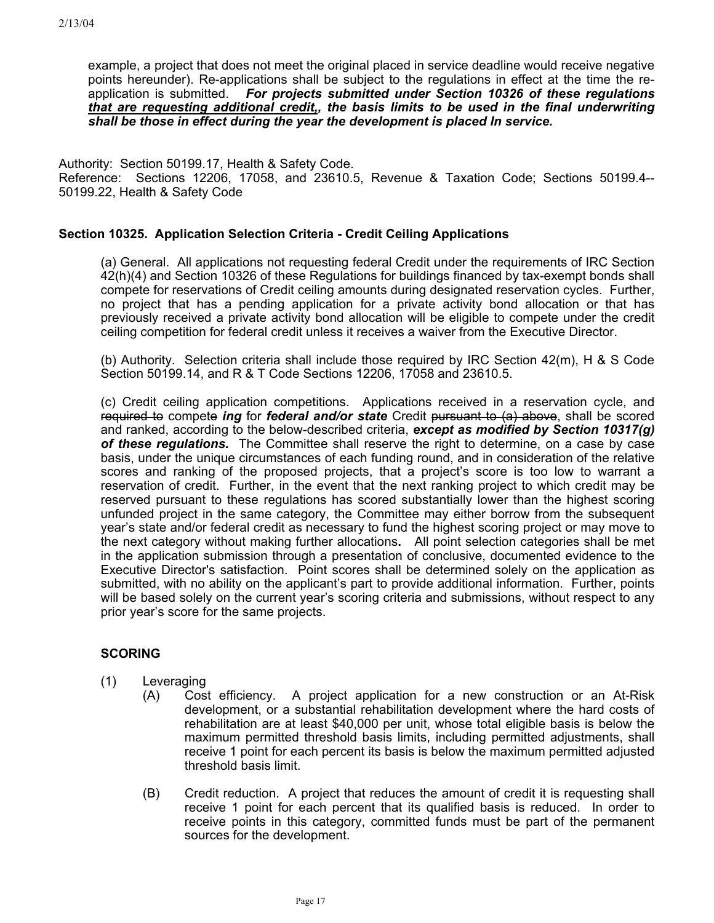example, a project that does not meet the original placed in service deadline would receive negative points hereunder). Re-applications shall be subject to the regulations in effect at the time the reapplication is submitted. *For projects submitted under Section 10326 of these regulations that are requesting additional credit,, the basis limits to be used in the final underwriting shall be those in effect during the year the development is placed In service.*

Authority: Section 50199.17, Health & Safety Code. Reference: Sections 12206, 17058, and 23610.5, Revenue & Taxation Code; Sections 50199.4-- 50199.22, Health & Safety Code

# **Section 10325. Application Selection Criteria - Credit Ceiling Applications**

(a) General. All applications not requesting federal Credit under the requirements of IRC Section 42(h)(4) and Section 10326 of these Regulations for buildings financed by tax-exempt bonds shall compete for reservations of Credit ceiling amounts during designated reservation cycles. Further, no project that has a pending application for a private activity bond allocation or that has previously received a private activity bond allocation will be eligible to compete under the credit ceiling competition for federal credit unless it receives a waiver from the Executive Director.

(b) Authority. Selection criteria shall include those required by IRC Section 42(m), H & S Code Section 50199.14, and R & T Code Sections 12206, 17058 and 23610.5.

(c) Credit ceiling application competitions. Applications received in a reservation cycle, and required to compete *ing* for *federal and/or state* Credit pursuant to (a) above, shall be scored and ranked, according to the below-described criteria, *except as modified by Section 10317(g) of these regulations.* The Committee shall reserve the right to determine, on a case by case basis, under the unique circumstances of each funding round, and in consideration of the relative scores and ranking of the proposed projects, that a project's score is too low to warrant a reservation of credit. Further, in the event that the next ranking project to which credit may be reserved pursuant to these regulations has scored substantially lower than the highest scoring unfunded project in the same category, the Committee may either borrow from the subsequent year's state and/or federal credit as necessary to fund the highest scoring project or may move to the next category without making further allocations**.** All point selection categories shall be met in the application submission through a presentation of conclusive, documented evidence to the Executive Director's satisfaction. Point scores shall be determined solely on the application as submitted, with no ability on the applicant's part to provide additional information. Further, points will be based solely on the current year's scoring criteria and submissions, without respect to any prior year's score for the same projects.

# **SCORING**

- (1) Leveraging
	- (A) Cost efficiency. A project application for a new construction or an At-Risk development, or a substantial rehabilitation development where the hard costs of rehabilitation are at least \$40,000 per unit, whose total eligible basis is below the maximum permitted threshold basis limits, including permitted adjustments, shall receive 1 point for each percent its basis is below the maximum permitted adjusted threshold basis limit.
	- (B) Credit reduction. A project that reduces the amount of credit it is requesting shall receive 1 point for each percent that its qualified basis is reduced. In order to receive points in this category, committed funds must be part of the permanent sources for the development.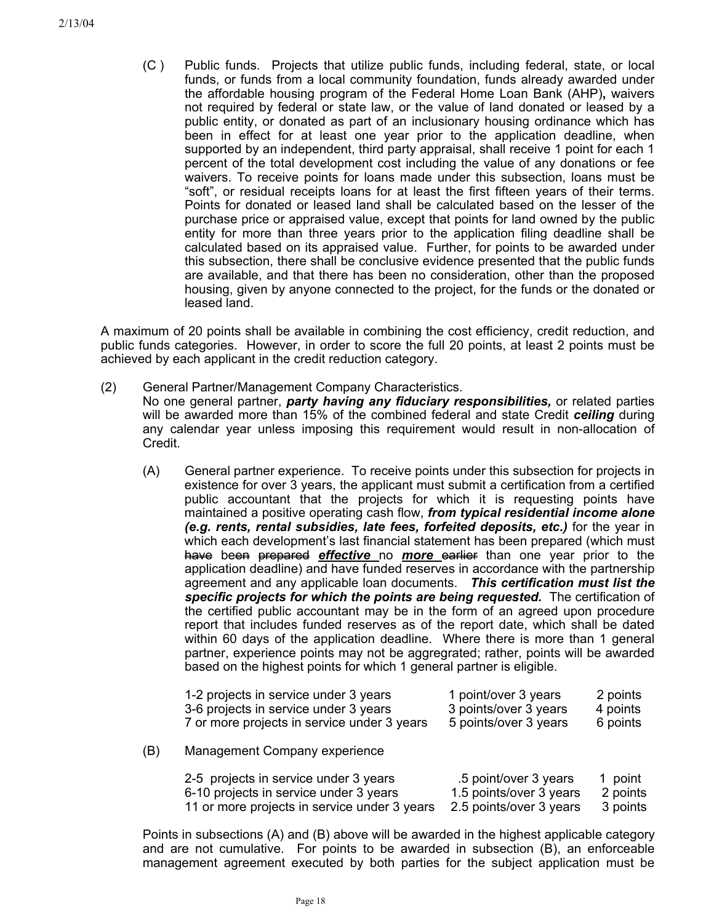(C ) Public funds. Projects that utilize public funds, including federal, state, or local funds, or funds from a local community foundation, funds already awarded under the affordable housing program of the Federal Home Loan Bank (AHP)**,** waivers not required by federal or state law, or the value of land donated or leased by a public entity, or donated as part of an inclusionary housing ordinance which has been in effect for at least one year prior to the application deadline, when supported by an independent, third party appraisal, shall receive 1 point for each 1 percent of the total development cost including the value of any donations or fee waivers. To receive points for loans made under this subsection, loans must be "soft", or residual receipts loans for at least the first fifteen years of their terms. Points for donated or leased land shall be calculated based on the lesser of the purchase price or appraised value, except that points for land owned by the public entity for more than three years prior to the application filing deadline shall be calculated based on its appraised value. Further, for points to be awarded under this subsection, there shall be conclusive evidence presented that the public funds are available, and that there has been no consideration, other than the proposed housing, given by anyone connected to the project, for the funds or the donated or leased land.

A maximum of 20 points shall be available in combining the cost efficiency, credit reduction, and public funds categories. However, in order to score the full 20 points, at least 2 points must be achieved by each applicant in the credit reduction category.

(2) General Partner/Management Company Characteristics.

No one general partner, *party having any fiduciary responsibilities,* or related parties will be awarded more than 15% of the combined federal and state Credit *ceiling* during any calendar year unless imposing this requirement would result in non-allocation of Credit.

(A) General partner experience. To receive points under this subsection for projects in existence for over 3 years, the applicant must submit a certification from a certified public accountant that the projects for which it is requesting points have maintained a positive operating cash flow, *from typical residential income alone (e.g. rents, rental subsidies, late fees, forfeited deposits, etc.)* for the year in which each development's last financial statement has been prepared (which must have been prepared *effective* no *more* earlier than one year prior to the application deadline) and have funded reserves in accordance with the partnership agreement and any applicable loan documents. *This certification must list the specific projects for which the points are being requested.* The certification of the certified public accountant may be in the form of an agreed upon procedure report that includes funded reserves as of the report date, which shall be dated within 60 days of the application deadline. Where there is more than 1 general partner, experience points may not be aggregrated; rather, points will be awarded based on the highest points for which 1 general partner is eligible.

|     | 1-2 projects in service under 3 years       | 1 point/over 3 years    | 2 points |
|-----|---------------------------------------------|-------------------------|----------|
|     | 3-6 projects in service under 3 years       | 3 points/over 3 years   | 4 points |
|     | 7 or more projects in service under 3 years | 5 points/over 3 years   | 6 points |
| (B) | Management Company experience               |                         |          |
|     | 2-5 projects in service under 3 years       | .5 point/over 3 years   | 1 point  |
|     | 6-10 projects in service under 3 years      | 1.5 points/over 3 years | 2 points |

11 or more projects in service under 3 years 2.5 points/over 3 years 3 points

Points in subsections (A) and (B) above will be awarded in the highest applicable category and are not cumulative. For points to be awarded in subsection (B), an enforceable management agreement executed by both parties for the subject application must be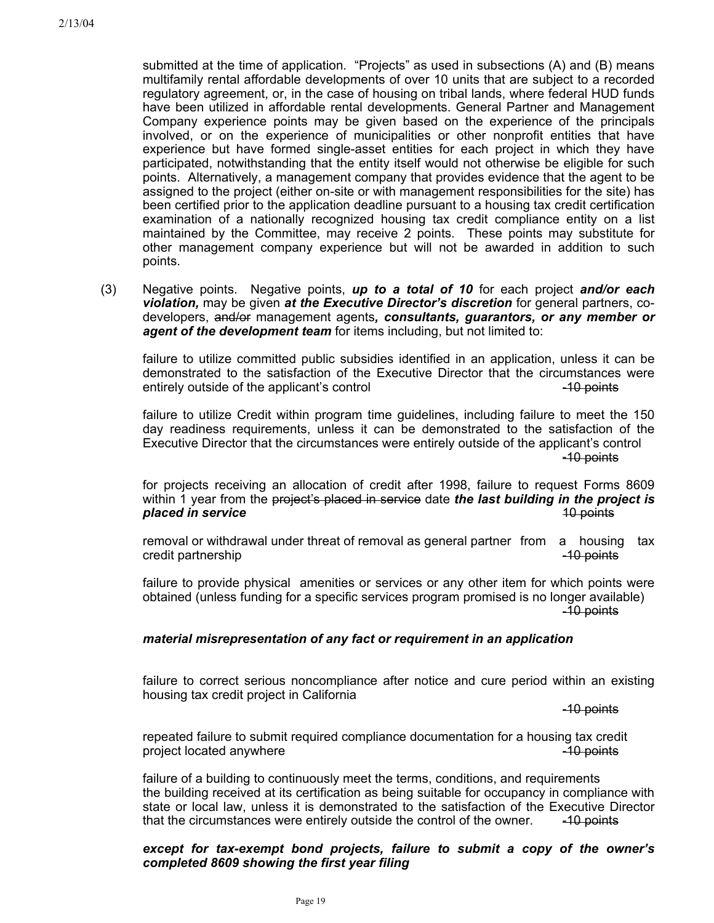submitted at the time of application. "Projects" as used in subsections (A) and (B) means multifamily rental affordable developments of over 10 units that are subject to a recorded regulatory agreement, or, in the case of housing on tribal lands, where federal HUD funds have been utilized in affordable rental developments. General Partner and Management Company experience points may be given based on the experience of the principals involved, or on the experience of municipalities or other nonprofit entities that have experience but have formed single-asset entities for each project in which they have participated, notwithstanding that the entity itself would not otherwise be eligible for such points. Alternatively, a management company that provides evidence that the agent to be assigned to the project (either on-site or with management responsibilities for the site) has been certified prior to the application deadline pursuant to a housing tax credit certification examination of a nationally recognized housing tax credit compliance entity on a list maintained by the Committee, may receive 2 points. These points may substitute for other management company experience but will not be awarded in addition to such points.

(3) Negative points. Negative points, *up to a total of 10* for each project *and/or each violation,* may be given *at the Executive Director's discretion* for general partners, codevelopers, and/or management agents*, consultants, guarantors, or any member or agent of the development team* for items including, but not limited to:

failure to utilize committed public subsidies identified in an application, unless it can be demonstrated to the satisfaction of the Executive Director that the circumstances were entirely outside of the applicant's control entirely outside of the applicant's control

failure to utilize Credit within program time guidelines, including failure to meet the 150 day readiness requirements, unless it can be demonstrated to the satisfaction of the Executive Director that the circumstances were entirely outside of the applicant's control -10 points

for projects receiving an allocation of credit after 1998, failure to request Forms 8609 within 1 year from the project's placed in service date *the last building in the project is placed in service* 10 points

removal or withdrawal under threat of removal as general partner from a housing tax credit partnership -10 points -10 points -10 points -10 points -10 points -10 points -10 points -10 points -10

failure to provide physical amenities or services or any other item for which points were obtained (unless funding for a specific services program promised is no longer available) -10 points

#### *material misrepresentation of any fact or requirement in an application*

failure to correct serious noncompliance after notice and cure period within an existing housing tax credit project in California

-10 points

repeated failure to submit required compliance documentation for a housing tax credit project located anywhere  $\sim$  10 points  $\sim$  10 points

failure of a building to continuously meet the terms, conditions, and requirements the building received at its certification as being suitable for occupancy in compliance with state or local law, unless it is demonstrated to the satisfaction of the Executive Director that the circumstances were entirely outside the control of the owner.  $-40$  points

#### *except for tax-exempt bond projects, failure to submit a copy of the owner's completed 8609 showing the first year filing*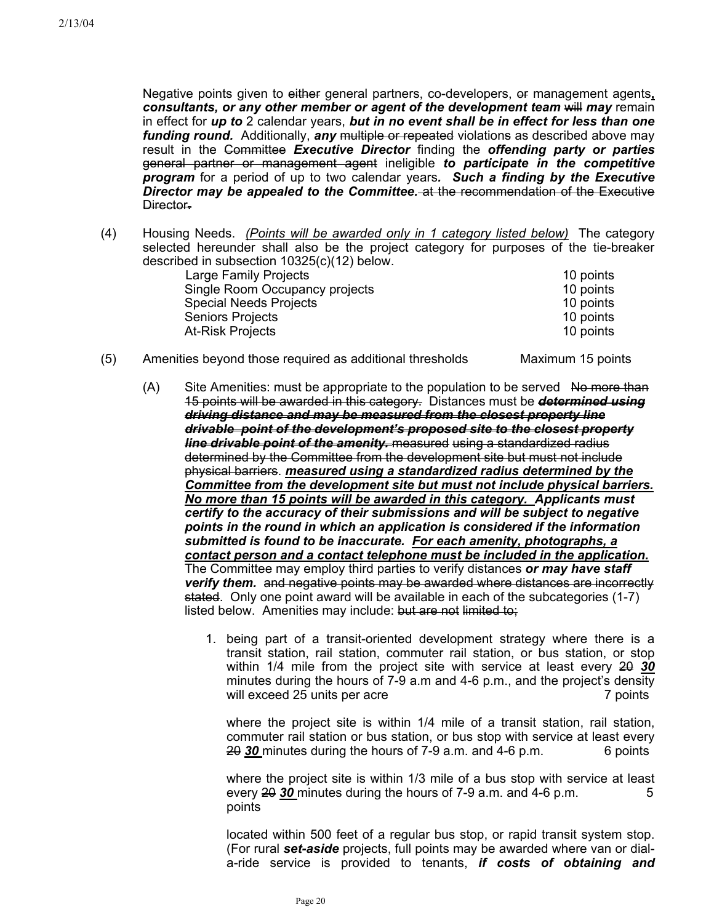Negative points given to either general partners, co-developers, or management agents**,**  *consultants, or any other member or agent of the development team will may remain* in effect for *up to* 2 calendar years, *but in no event shall be in effect for less than one funding round.* Additionally, any multiple or repeated violations as described above may result in the Committee *Executive Director* finding the *offending party or parties* general partner or management agent ineligible *to participate in the competitive program* for a period of up to two calendar years*. Such a finding by the Executive Director may be appealed to the Committee.* at the recommendation of the Executive Director-

(4) Housing Needs. *(Points will be awarded only in 1 category listed below)* The category selected hereunder shall also be the project category for purposes of the tie-breaker described in subsection 10325(c)(12) below.

| Large Family Projects          | 10 points |
|--------------------------------|-----------|
| Single Room Occupancy projects | 10 points |
| <b>Special Needs Projects</b>  | 10 points |
| <b>Seniors Projects</b>        | 10 points |
| <b>At-Risk Projects</b>        | 10 points |
|                                |           |

- (5) Amenities beyond those required as additional thresholds Maximum 15 points
	- $(A)$  Site Amenities: must be appropriate to the population to be served  $A\theta$  more than 15 points will be awarded in this category. Distances must be *determined using driving distance and may be measured from the closest property line drivable point of the development's proposed site to the closest property line drivable point of the amenity.* measured using a standardized radius determined by the Committee from the development site but must not include physical barriers. *measured using a standardized radius determined by the Committee from the development site but must not include physical barriers. No more than 15 points will be awarded in this category. Applicants must certify to the accuracy of their submissions and will be subject to negative points in the round in which an application is considered if the information submitted is found to be inaccurate. For each amenity, photographs, a contact person and a contact telephone must be included in the application.*  The Committee may employ third parties to verify distances *or may have staff verify them.* and negative points may be awarded where distances are incorrectly stated. Only one point award will be available in each of the subcategories (1-7) listed below.Amenities may include: but are not limited to;
		- 1. being part of a transit-oriented development strategy where there is a transit station, rail station, commuter rail station, or bus station, or stop within 1/4 mile from the project site with service at least every  $\frac{20}{20}$ minutes during the hours of 7-9 a.m and 4-6 p.m., and the project's density will exceed 25 units per acre 7 points 200 and 25 units per acre 7 points 200 and 25 units 200 and 25 units 200 and 200 and 200 and 200 and 200 and 200 and 200 and 200 and 200 and 200 and 200 and 200 and 200 and 200 and 20

where the project site is within 1/4 mile of a transit station, rail station, commuter rail station or bus station, or bus stop with service at least every  $\overline{20}$  30 minutes during the hours of 7-9 a.m. and 4-6 p.m. 6 points

where the project site is within 1/3 mile of a bus stop with service at least every  $\frac{20}{20}$  minutes during the hours of 7-9 a.m. and 4-6 p.m.  $\frac{5}{20}$ points

located within 500 feet of a regular bus stop, or rapid transit system stop. (For rural *set-aside* projects, full points may be awarded where van or diala-ride service is provided to tenants, *if costs of obtaining and*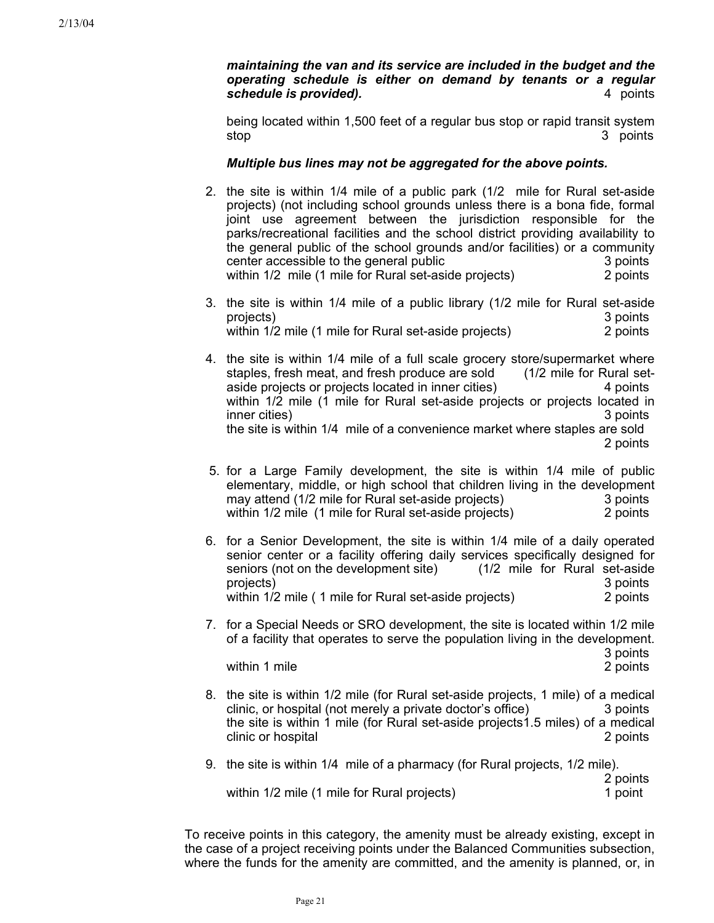*maintaining the van and its service are included in the budget and the operating schedule is either on demand by tenants or a regular schedule is provided).* 4 points

being located within 1,500 feet of a regular bus stop or rapid transit system stop 3 points

## *Multiple bus lines may not be aggregated for the above points.*

- 2. the site is within 1/4 mile of a public park (1/2 mile for Rural set-aside projects) (not including school grounds unless there is a bona fide, formal joint use agreement between the jurisdiction responsible for the parks/recreational facilities and the school district providing availability to the general public of the school grounds and/or facilities) or a community center accessible to the general public 3 points 3 points within 1/2 mile (1 mile for Rural set-aside projects) 2 points
- 3. the site is within 1/4 mile of a public library (1/2 mile for Rural set-aside projects) 3 points within 1/2 mile (1 mile for Rural set-aside projects) 2 points
- 4. the site is within 1/4 mile of a full scale grocery store/supermarket where staples, fresh meat, and fresh produce are sold (1/2 mile for Rural setaside projects or projects located in inner cities) 4 points within 1/2 mile (1 mile for Rural set-aside projects or projects located in inner cities) 3 points the site is within 1/4 mile of a convenience market where staples are sold 2 points
	- 5. for a Large Family development, the site is within 1/4 mile of public elementary, middle, or high school that children living in the development may attend (1/2 mile for Rural set-aside projects)3 points within 1/2 mile (1 mile for Rural set-aside projects) 2 points
	- 6. for a Senior Development, the site is within 1/4 mile of a daily operated senior center or a facility offering daily services specifically designed for seniors (not on the development site) (1/2 mile for Rural set-aside projects) 3 points within 1/2 mile (1 mile for Rural set-aside projects) 2 points
	- 7. for a Special Needs or SRO development, the site is located within 1/2 mile of a facility that operates to serve the population living in the development. 3 points

within 1 mile 2 points 2 points 2 points 2 points 2 points 2 points 2 points 2 points 2 points 2 points 2 points 2 points 2 points 2 points 2 points 2 points 2 points 2 points 2 points 2 points 2 points 2 points 2 points 2

8. the site is within 1/2 mile (for Rural set-aside projects, 1 mile) of a medical clinic, or hospital (not merely a private doctor's office) 3 points the site is within 1 mile (for Rural set-aside projects1.5 miles) of a medical clinic or hospital 2 points 2 points

2 points

9. the site is within 1/4 mile of a pharmacy (for Rural projects, 1/2 mile).

within 1/2 mile (1 mile for Rural projects) 1 point

To receive points in this category, the amenity must be already existing, except in the case of a project receiving points under the Balanced Communities subsection, where the funds for the amenity are committed, and the amenity is planned, or, in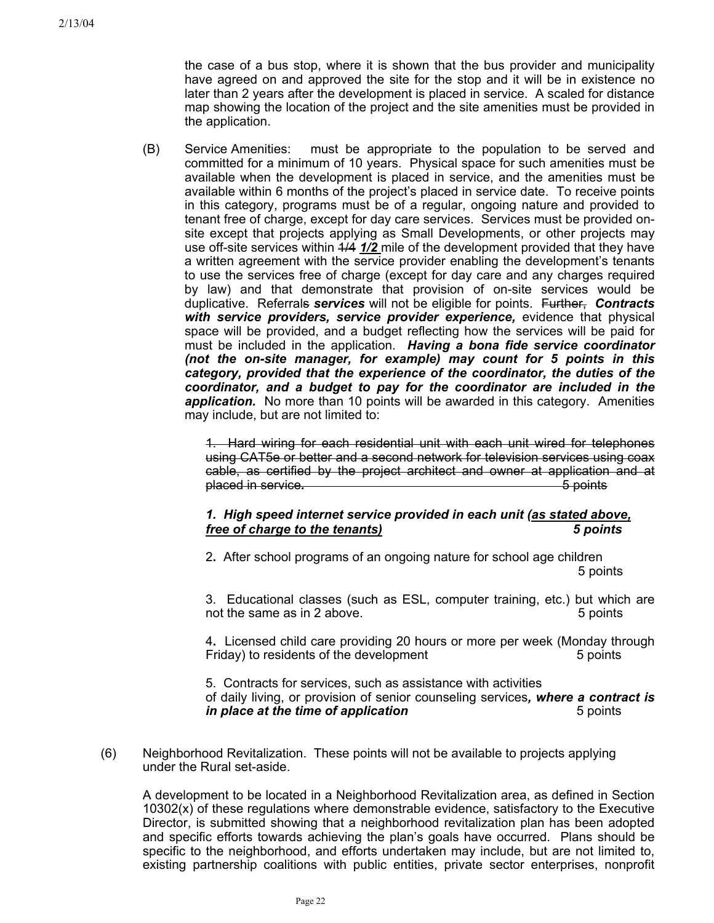the case of a bus stop, where it is shown that the bus provider and municipality have agreed on and approved the site for the stop and it will be in existence no later than 2 years after the development is placed in service. A scaled for distance map showing the location of the project and the site amenities must be provided in the application.

(B) Service Amenities: must be appropriate to the population to be served and committed for a minimum of 10 years. Physical space for such amenities must be available when the development is placed in service, and the amenities must be available within 6 months of the project's placed in service date. To receive points in this category, programs must be of a regular, ongoing nature and provided to tenant free of charge, except for day care services. Services must be provided onsite except that projects applying as Small Developments, or other projects may use off-site services within  $\frac{4}{4}$  1/2 mile of the development provided that they have a written agreement with the service provider enabling the development's tenants to use the services free of charge (except for day care and any charges required by law) and that demonstrate that provision of on-site services would be duplicative. Referrals *services* will not be eligible for points. Further, *Contracts with service providers, service provider experience,* evidence that physical space will be provided, and a budget reflecting how the services will be paid for must be included in the application. *Having a bona fide service coordinator (not the on-site manager, for example) may count for 5 points in this category, provided that the experience of the coordinator, the duties of the coordinator, and a budget to pay for the coordinator are included in the application.* No more than 10 points will be awarded in this category. Amenities may include, but are not limited to:

> 1. Hard wiring for each residential unit with each unit wired for telephones using CAT5e or better and a second network for television services using coax cable, as certified by the project architect and owner at application and at placed in service. **5** points

# *1. High speed internet service provided in each unit (as stated above, free of charge to the tenants) 5 points*

2**.** After school programs of an ongoing nature for school age children 5 points

3. Educational classes (such as ESL, computer training, etc.) but which are not the same as in 2 above. The same as in 2 above.

4**.** Licensed child care providing 20 hours or more per week (Monday through Friday) to residents of the development 5 points

5. Contracts for services, such as assistance with activities of daily living, or provision of senior counseling services*, where a contract is in place at the time of application* **5** points

(6) Neighborhood Revitalization. These points will not be available to projects applying under the Rural set-aside.

A development to be located in a Neighborhood Revitalization area, as defined in Section 10302(x) of these regulations where demonstrable evidence, satisfactory to the Executive Director, is submitted showing that a neighborhood revitalization plan has been adopted and specific efforts towards achieving the plan's goals have occurred. Plans should be specific to the neighborhood, and efforts undertaken may include, but are not limited to, existing partnership coalitions with public entities, private sector enterprises, nonprofit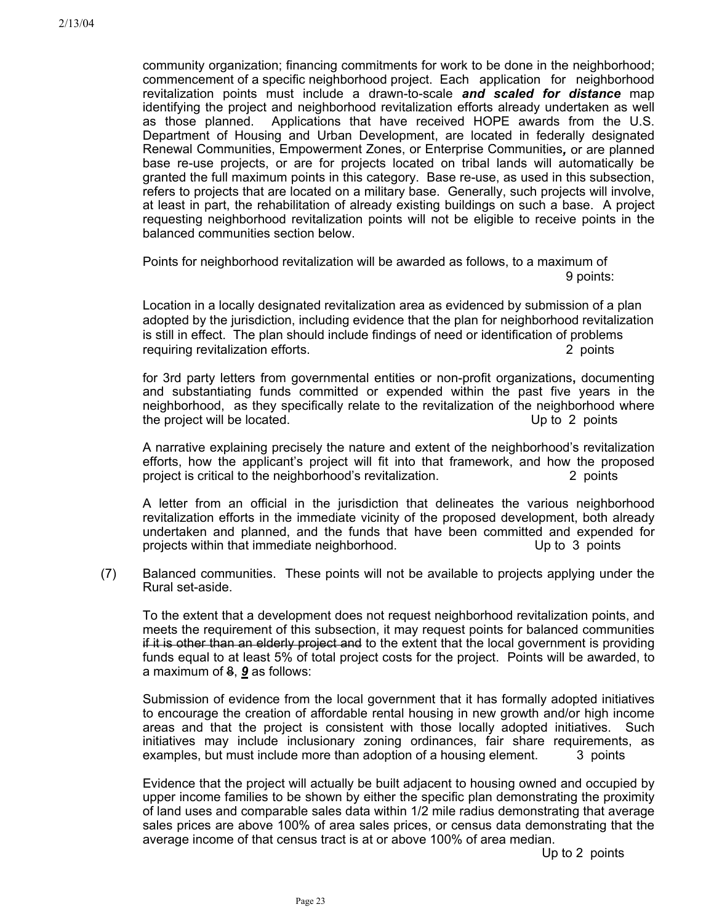community organization; financing commitments for work to be done in the neighborhood; commencement of a specific neighborhood project. Each application for neighborhood revitalization points must include a drawn-to-scale *and scaled for distance* map identifying the project and neighborhood revitalization efforts already undertaken as well as those planned. Applications that have received HOPE awards from the U.S. Department of Housing and Urban Development, are located in federally designated Renewal Communities, Empowerment Zones, or Enterprise Communities*,* or are planned base re-use projects, or are for projects located on tribal lands will automatically be granted the full maximum points in this category. Base re-use, as used in this subsection, refers to projects that are located on a military base. Generally, such projects will involve, at least in part, the rehabilitation of already existing buildings on such a base. A project requesting neighborhood revitalization points will not be eligible to receive points in the balanced communities section below.

Points for neighborhood revitalization will be awarded as follows, to a maximum of 9 points:

Location in a locally designated revitalization area as evidenced by submission of a plan adopted by the jurisdiction, including evidence that the plan for neighborhood revitalization is still in effect. The plan should include findings of need or identification of problems requiring revitalization efforts. The contraction of the contraction of the contraction of the contraction of the contraction of the contraction of the contraction of the contraction of the contraction of the contraction o

for 3rd party letters from governmental entities or non-profit organizations**,** documenting and substantiating funds committed or expended within the past five years in the neighborhood, as they specifically relate to the revitalization of the neighborhood where the project will be located. Up to 2 points

A narrative explaining precisely the nature and extent of the neighborhood's revitalization efforts, how the applicant's project will fit into that framework, and how the proposed project is critical to the neighborhood's revitalization. 2 points

A letter from an official in the jurisdiction that delineates the various neighborhood revitalization efforts in the immediate vicinity of the proposed development, both already undertaken and planned, and the funds that have been committed and expended for projects within that immediate neighborhood. Up to 3 points

(7) Balanced communities. These points will not be available to projects applying under the Rural set-aside.

To the extent that a development does not request neighborhood revitalization points, and meets the requirement of this subsection, it may request points for balanced communities if it is other than an elderly project and to the extent that the local government is providing funds equal to at least 5% of total project costs for the project. Points will be awarded, to a maximum of 8, *9* as follows:

Submission of evidence from the local government that it has formally adopted initiatives to encourage the creation of affordable rental housing in new growth and/or high income areas and that the project is consistent with those locally adopted initiatives. Such initiatives may include inclusionary zoning ordinances, fair share requirements, as examples, but must include more than adoption of a housing element. 3 points

Evidence that the project will actually be built adjacent to housing owned and occupied by upper income families to be shown by either the specific plan demonstrating the proximity of land uses and comparable sales data within 1/2 mile radius demonstrating that average sales prices are above 100% of area sales prices, or census data demonstrating that the average income of that census tract is at or above 100% of area median.

Up to 2 points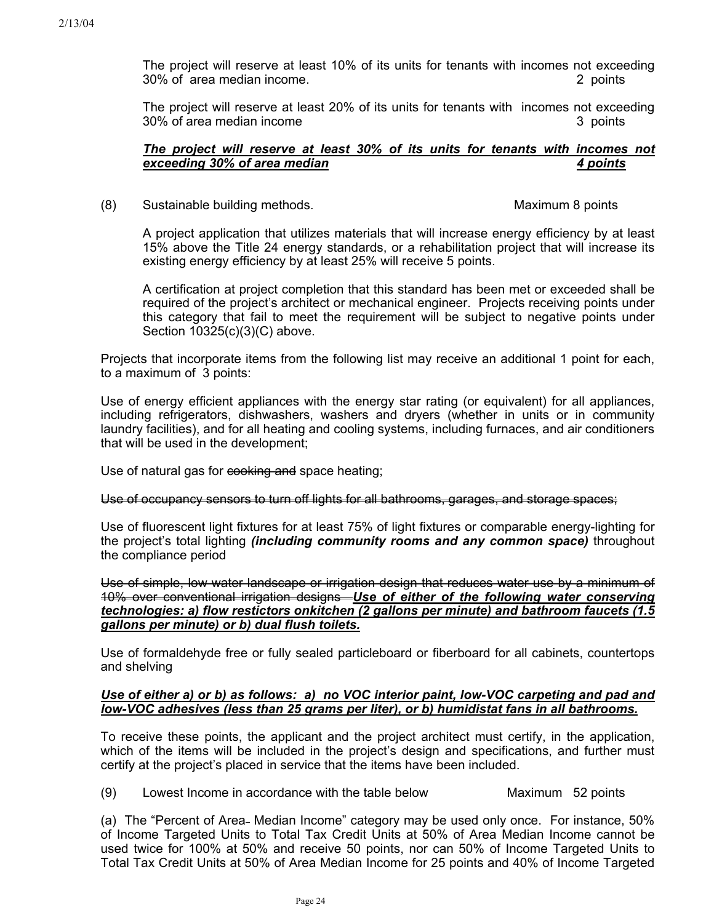The project will reserve at least 10% of its units for tenants with incomes not exceeding 30% of area median income. 2 points

The project will reserve at least 20% of its units for tenants with incomes not exceeding 30% of area median income 3 points 3 points

### *The project will reserve at least 30% of its units for tenants with incomes not exceeding 30% of area median 4 points*

(8) Sustainable building methods.Maximum 8 points

A project application that utilizes materials that will increase energy efficiency by at least 15% above the Title 24 energy standards, or a rehabilitation project that will increase its existing energy efficiency by at least 25% will receive 5 points.

A certification at project completion that this standard has been met or exceeded shall be required of the project's architect or mechanical engineer. Projects receiving points under this category that fail to meet the requirement will be subject to negative points under Section 10325(c)(3)(C) above.

Projects that incorporate items from the following list may receive an additional 1 point for each, to a maximum of 3 points:

Use of energy efficient appliances with the energy star rating (or equivalent) for all appliances, including refrigerators, dishwashers, washers and dryers (whether in units or in community laundry facilities), and for all heating and cooling systems, including furnaces, and air conditioners that will be used in the development;

Use of natural gas for cooking and space heating;

#### Use of occupancy sensors to turn off lights for all bathrooms, garages, and storage spaces;

Use of fluorescent light fixtures for at least 75% of light fixtures or comparable energy-lighting for the project's total lighting *(including community rooms and any common space)* throughout the compliance period

Use of simple, low water landscape or irrigation design that reduces water use by a minimum of 10% over conventional irrigation designs *Use of either of the following water conserving technologies: a) flow restictors onkitchen (2 gallons per minute) and bathroom faucets (1.5 gallons per minute) or b) dual flush toilets.*

Use of formaldehyde free or fully sealed particleboard or fiberboard for all cabinets, countertops and shelving

## *Use of either a) or b) as follows: a) no VOC interior paint, low-VOC carpeting and pad and low-VOC adhesives (less than 25 grams per liter), or b) humidistat fans in all bathrooms.*

To receive these points, the applicant and the project architect must certify, in the application, which of the items will be included in the project's design and specifications, and further must certify at the project's placed in service that the items have been included.

(9) Lowest Income in accordance with the table below Maximum 52 points

(a) The "Percent of Area- Median Income" category may be used only once. For instance, 50% of Income Targeted Units to Total Tax Credit Units at 50% of Area Median Income cannot be used twice for 100% at 50% and receive 50 points, nor can 50% of Income Targeted Units to Total Tax Credit Units at 50% of Area Median Income for 25 points and 40% of Income Targeted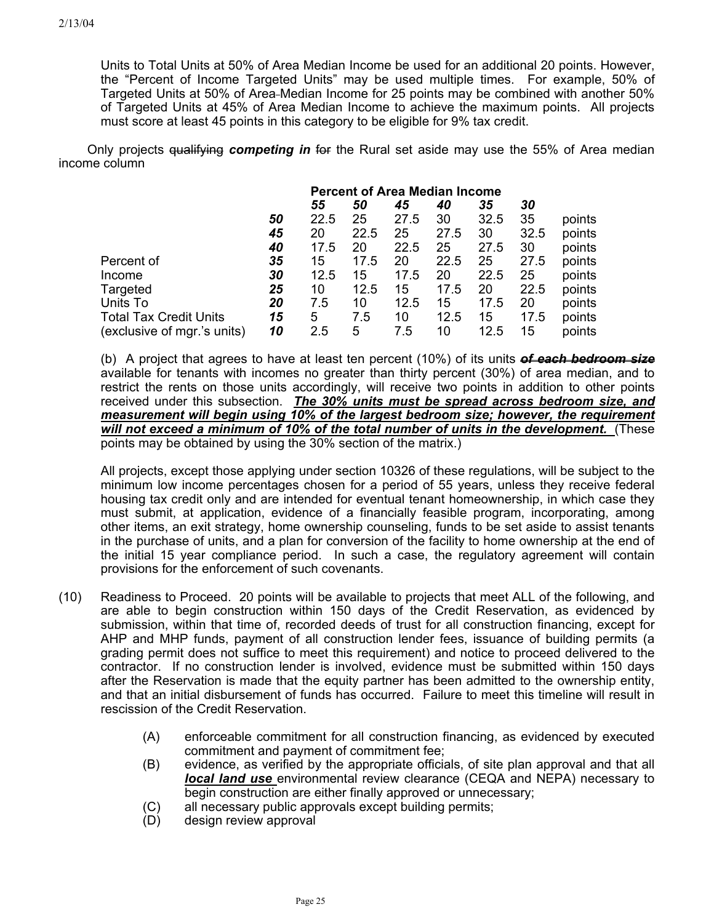Units to Total Units at 50% of Area Median Income be used for an additional 20 points. However, the "Percent of Income Targeted Units" may be used multiple times. For example, 50% of Targeted Units at 50% of Area Median Income for 25 points may be combined with another 50% of Targeted Units at 45% of Area Median Income to achieve the maximum points. All projects must score at least 45 points in this category to be eligible for 9% tax credit.

 Only projects qualifying *competing in* for the Rural set aside may use the 55% of Area median income column

|                               | <b>Percent of Area Median Income</b> |      |      |      |      |      |      |        |
|-------------------------------|--------------------------------------|------|------|------|------|------|------|--------|
|                               | 45<br>35<br>50<br>55<br>40<br>30     |      |      |      |      |      |      |        |
|                               | 50                                   | 22.5 | 25   | 27.5 | 30   | 32.5 | 35   | points |
|                               | 45                                   | 20   | 22.5 | 25   | 27.5 | 30   | 32.5 | points |
|                               | 40                                   | 17.5 | 20   | 22.5 | 25   | 27.5 | 30   | points |
| Percent of                    | 35                                   | 15   | 17.5 | 20   | 22.5 | 25   | 27.5 | points |
| Income                        | 30                                   | 12.5 | 15   | 17.5 | 20   | 22.5 | 25   | points |
| Targeted                      | 25                                   | 10   | 12.5 | 15   | 17.5 | 20   | 22.5 | points |
| Units To                      | 20                                   | 7.5  | 10   | 12.5 | 15   | 17.5 | 20   | points |
| <b>Total Tax Credit Units</b> | 15                                   | 5    | 7.5  | 10   | 12.5 | 15   | 17.5 | points |
| (exclusive of mgr.'s units)   | 10                                   | 2.5  | 5    | 7.5  | 10   | 12.5 | 15   | points |

(b) A project that agrees to have at least ten percent (10%) of its units *of each bedroom size* available for tenants with incomes no greater than thirty percent (30%) of area median, and to restrict the rents on those units accordingly, will receive two points in addition to other points received under this subsection. *The 30% units must be spread across bedroom size, and measurement will begin using 10% of the largest bedroom size; however, the requirement will not exceed a minimum of 10% of the total number of units in the development.* (These points may be obtained by using the 30% section of the matrix.)

All projects, except those applying under section 10326 of these regulations, will be subject to the minimum low income percentages chosen for a period of 55 years, unless they receive federal housing tax credit only and are intended for eventual tenant homeownership, in which case they must submit, at application, evidence of a financially feasible program, incorporating, among other items, an exit strategy, home ownership counseling, funds to be set aside to assist tenants in the purchase of units, and a plan for conversion of the facility to home ownership at the end of the initial 15 year compliance period. In such a case, the regulatory agreement will contain provisions for the enforcement of such covenants.

- (10) Readiness to Proceed. 20 points will be available to projects that meet ALL of the following, and are able to begin construction within 150 days of the Credit Reservation, as evidenced by submission, within that time of, recorded deeds of trust for all construction financing, except for AHP and MHP funds, payment of all construction lender fees, issuance of building permits (a grading permit does not suffice to meet this requirement) and notice to proceed delivered to the contractor. If no construction lender is involved, evidence must be submitted within 150 days after the Reservation is made that the equity partner has been admitted to the ownership entity, and that an initial disbursement of funds has occurred. Failure to meet this timeline will result in rescission of the Credit Reservation.
	- (A) enforceable commitment for all construction financing, as evidenced by executed commitment and payment of commitment fee;
	- (B) evidence, as verified by the appropriate officials, of site plan approval and that all *local land use* environmental review clearance (CEQA and NEPA) necessary to begin construction are either finally approved or unnecessary;
	- (C) all necessary public approvals except building permits;
	- (D) design review approval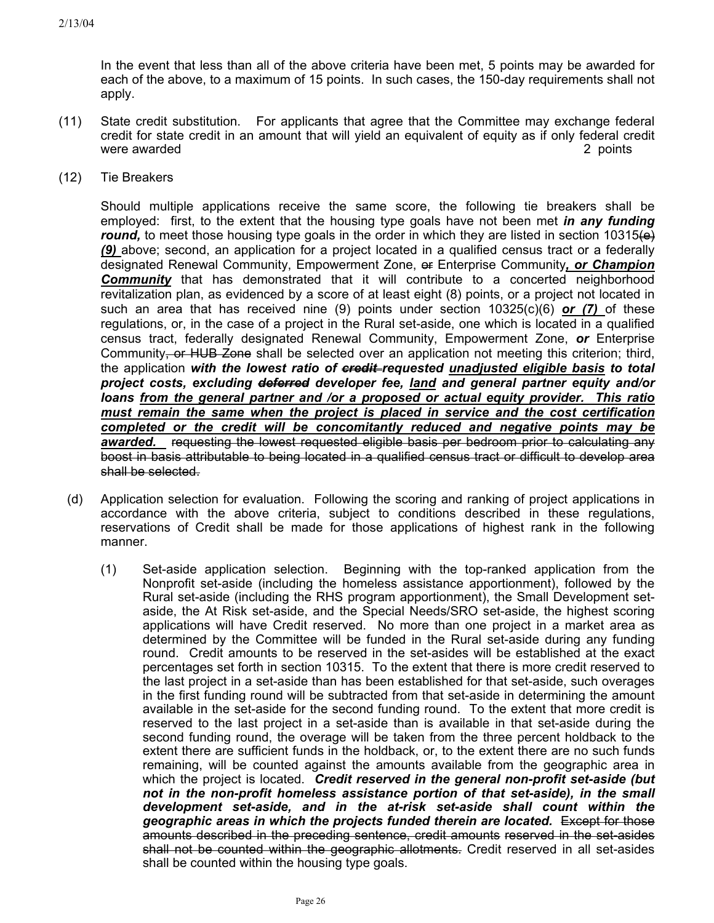In the event that less than all of the above criteria have been met, 5 points may be awarded for each of the above, to a maximum of 15 points. In such cases, the 150-day requirements shall not apply.

- (11) State credit substitution. For applicants that agree that the Committee may exchange federal credit for state credit in an amount that will yield an equivalent of equity as if only federal credit were awarded **2** points **2** points **2** points **2** points **2** points **2** points **2** points **2** points **2** points **2** points **2** points **2** points **2** points **2** points **2** points **2** points **2** points **2** points **2** points
- (12) Tie Breakers

Should multiple applications receive the same score, the following tie breakers shall be employed: first, to the extent that the housing type goals have not been met *in any funding round*, to meet those housing type goals in the order in which they are listed in section 10315 $\leftrightarrow$ *(9)* above; second, an application for a project located in a qualified census tract or a federally designated Renewal Community, Empowerment Zone, of Enterprise Community, or Champion **Community** that has demonstrated that it will contribute to a concerted neighborhood revitalization plan, as evidenced by a score of at least eight (8) points, or a project not located in such an area that has received nine (9) points under section 10325(c)(6) *or (7)* of these regulations, or, in the case of a project in the Rural set-aside, one which is located in a qualified census tract, federally designated Renewal Community, Empowerment Zone, *or* Enterprise Community, or HUB Zone shall be selected over an application not meeting this criterion; third, the application *with the lowest ratio of credit requested unadjusted eligible basis to total project costs, excluding deferred developer fee, land and general partner equity and/or loans from the general partner and /or a proposed or actual equity provider. This ratio must remain the same when the project is placed in service and the cost certification completed or the credit will be concomitantly reduced and negative points may be awarded.* requesting the lowest requested eligible basis per bedroom prior to calculating any boost in basis attributable to being located in a qualified census tract or difficult to develop area shall be selected.

- (d) Application selection for evaluation. Following the scoring and ranking of project applications in accordance with the above criteria, subject to conditions described in these regulations, reservations of Credit shall be made for those applications of highest rank in the following manner.
	- (1) Set-aside application selection. Beginning with the top-ranked application from the Nonprofit set-aside (including the homeless assistance apportionment), followed by the Rural set-aside (including the RHS program apportionment), the Small Development setaside, the At Risk set-aside, and the Special Needs/SRO set-aside, the highest scoring applications will have Credit reserved. No more than one project in a market area as determined by the Committee will be funded in the Rural set-aside during any funding round. Credit amounts to be reserved in the set-asides will be established at the exact percentages set forth in section 10315. To the extent that there is more credit reserved to the last project in a set-aside than has been established for that set-aside, such overages in the first funding round will be subtracted from that set-aside in determining the amount available in the set-aside for the second funding round. To the extent that more credit is reserved to the last project in a set-aside than is available in that set-aside during the second funding round, the overage will be taken from the three percent holdback to the extent there are sufficient funds in the holdback, or, to the extent there are no such funds remaining, will be counted against the amounts available from the geographic area in which the project is located. *Credit reserved in the general non-profit set-aside (but*  not in the non-profit homeless assistance portion of that set-aside), in the small *development set-aside, and in the at-risk set-aside shall count within the geographic areas in which the projects funded therein are located.* Except for those amounts described in the preceding sentence, credit amounts reserved in the set-asides shall not be counted within the geographic allotments. Credit reserved in all set-asides shall be counted within the housing type goals.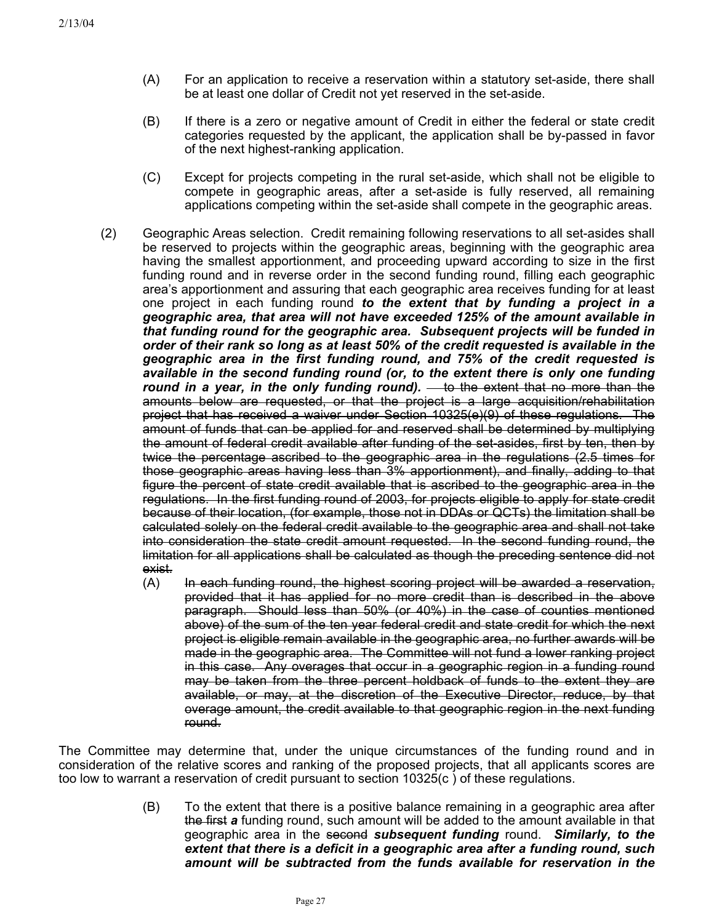- (A) For an application to receive a reservation within a statutory set-aside, there shall be at least one dollar of Credit not yet reserved in the set-aside.
- (B) If there is a zero or negative amount of Credit in either the federal or state credit categories requested by the applicant, the application shall be by-passed in favor of the next highest-ranking application.
- (C) Except for projects competing in the rural set-aside, which shall not be eligible to compete in geographic areas, after a set-aside is fully reserved, all remaining applications competing within the set-aside shall compete in the geographic areas.
- (2) Geographic Areas selection. Credit remaining following reservations to all set-asides shall be reserved to projects within the geographic areas, beginning with the geographic area having the smallest apportionment, and proceeding upward according to size in the first funding round and in reverse order in the second funding round, filling each geographic area's apportionment and assuring that each geographic area receives funding for at least one project in each funding round *to the extent that by funding a project in a geographic area, that area will not have exceeded 125% of the amount available in that funding round for the geographic area. Subsequent projects will be funded in order of their rank so long as at least 50% of the credit requested is available in the geographic area in the first funding round, and 75% of the credit requested is available in the second funding round (or, to the extent there is only one funding*  round in a year, in the only funding round). **to the extent that no more than the** amounts below are requested, or that the project is a large acquisition/rehabilitation project that has received a waiver under Section 10325(e)(9) of these regulations. The amount of funds that can be applied for and reserved shall be determined by multiplying the amount of federal credit available after funding of the set-asides, first by ten, then by twice the percentage ascribed to the geographic area in the regulations (2.5 times for those geographic areas having less than 3% apportionment), and finally, adding to that figure the percent of state credit available that is ascribed to the geographic area in the regulations. In the first funding round of 2003, for projects eligible to apply for state credit because of their location, (for example, those not in DDAs or QCTs) the limitation shall be calculated solely on the federal credit available to the geographic area and shall not take into consideration the state credit amount requested. In the second funding round, the limitation for all applications shall be calculated as though the preceding sentence did not exist.
	- (A) In each funding round, the highest scoring project will be awarded a reservation, provided that it has applied for no more credit than is described in the above paragraph. Should less than 50% (or 40%) in the case of counties mentioned above) of the sum of the ten year federal credit and state credit for which the next project is eligible remain available in the geographic area, no further awards will be made in the geographic area. The Committee will not fund a lower ranking project in this case. Any overages that occur in a geographic region in a funding round may be taken from the three percent holdback of funds to the extent they are available, or may, at the discretion of the Executive Director, reduce, by that overage amount, the credit available to that geographic region in the next funding round.

The Committee may determine that, under the unique circumstances of the funding round and in consideration of the relative scores and ranking of the proposed projects, that all applicants scores are too low to warrant a reservation of credit pursuant to section 10325(c ) of these regulations.

> (B) To the extent that there is a positive balance remaining in a geographic area after the first *a* funding round, such amount will be added to the amount available in that geographic area in the second *subsequent funding* round. *Similarly, to the extent that there is a deficit in a geographic area after a funding round, such amount will be subtracted from the funds available for reservation in the*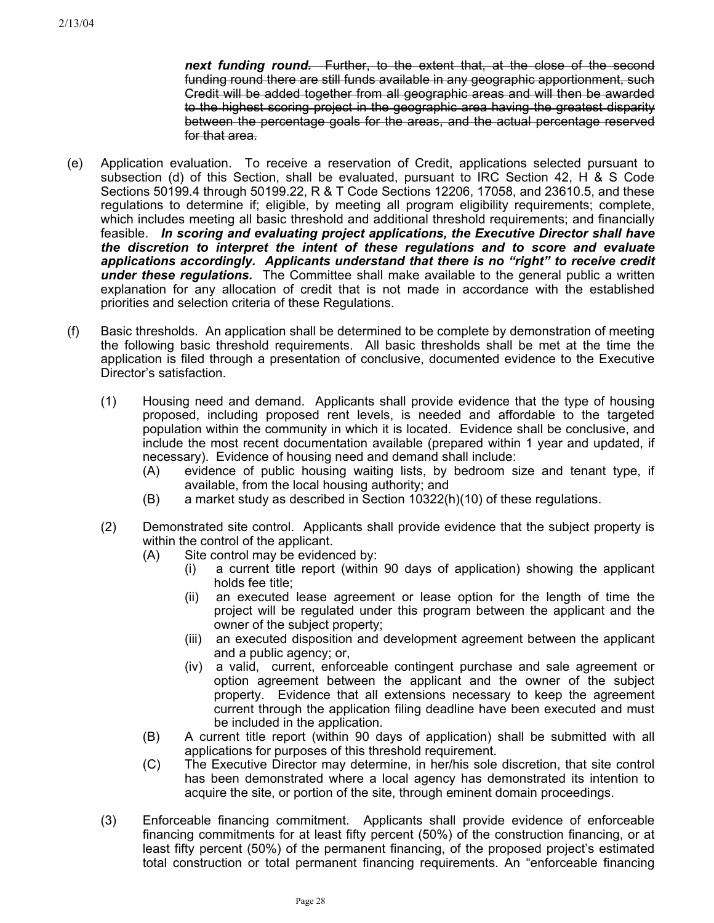*next funding round.* Further, to the extent that, at the close of the second funding round there are still funds available in any geographic apportionment, such Credit will be added together from all geographic areas and will then be awarded to the highest scoring project in the geographic area having the greatest disparity between the percentage goals for the areas, and the actual percentage reserved for that area.

- (e) Application evaluation. To receive a reservation of Credit, applications selected pursuant to subsection (d) of this Section, shall be evaluated, pursuant to IRC Section 42, H & S Code Sections 50199.4 through 50199.22, R & T Code Sections 12206, 17058, and 23610.5, and these regulations to determine if; eligible, by meeting all program eligibility requirements; complete, which includes meeting all basic threshold and additional threshold requirements; and financially feasible. *In scoring and evaluating project applications, the Executive Director shall have the discretion to interpret the intent of these regulations and to score and evaluate applications accordingly. Applicants understand that there is no "right" to receive credit* **under these regulations.** The Committee shall make available to the general public a written explanation for any allocation of credit that is not made in accordance with the established priorities and selection criteria of these Regulations.
- (f) Basic thresholds. An application shall be determined to be complete by demonstration of meeting the following basic threshold requirements. All basic thresholds shall be met at the time the application is filed through a presentation of conclusive, documented evidence to the Executive Director's satisfaction.
	- (1) Housing need and demand. Applicants shall provide evidence that the type of housing proposed, including proposed rent levels, is needed and affordable to the targeted population within the community in which it is located. Evidence shall be conclusive, and include the most recent documentation available (prepared within 1 year and updated, if necessary). Evidence of housing need and demand shall include:
		- (A) evidence of public housing waiting lists, by bedroom size and tenant type, if available, from the local housing authority; and
		- (B) a market study as described in Section 10322(h)(10) of these regulations.
	- (2) Demonstrated site control. Applicants shall provide evidence that the subject property is within the control of the applicant.
		- (A) Site control may be evidenced by:
			- (i) a current title report (within 90 days of application) showing the applicant holds fee title;
			- (ii) an executed lease agreement or lease option for the length of time the project will be regulated under this program between the applicant and the owner of the subject property;
			- (iii) an executed disposition and development agreement between the applicant and a public agency; or,
			- (iv) a valid, current, enforceable contingent purchase and sale agreement or option agreement between the applicant and the owner of the subject property. Evidence that all extensions necessary to keep the agreement current through the application filing deadline have been executed and must be included in the application.
		- (B) A current title report (within 90 days of application) shall be submitted with all applications for purposes of this threshold requirement.
		- (C) The Executive Director may determine, in her/his sole discretion, that site control has been demonstrated where a local agency has demonstrated its intention to acquire the site, or portion of the site, through eminent domain proceedings.
	- (3) Enforceable financing commitment. Applicants shall provide evidence of enforceable financing commitments for at least fifty percent (50%) of the construction financing, or at least fifty percent (50%) of the permanent financing, of the proposed project's estimated total construction or total permanent financing requirements. An "enforceable financing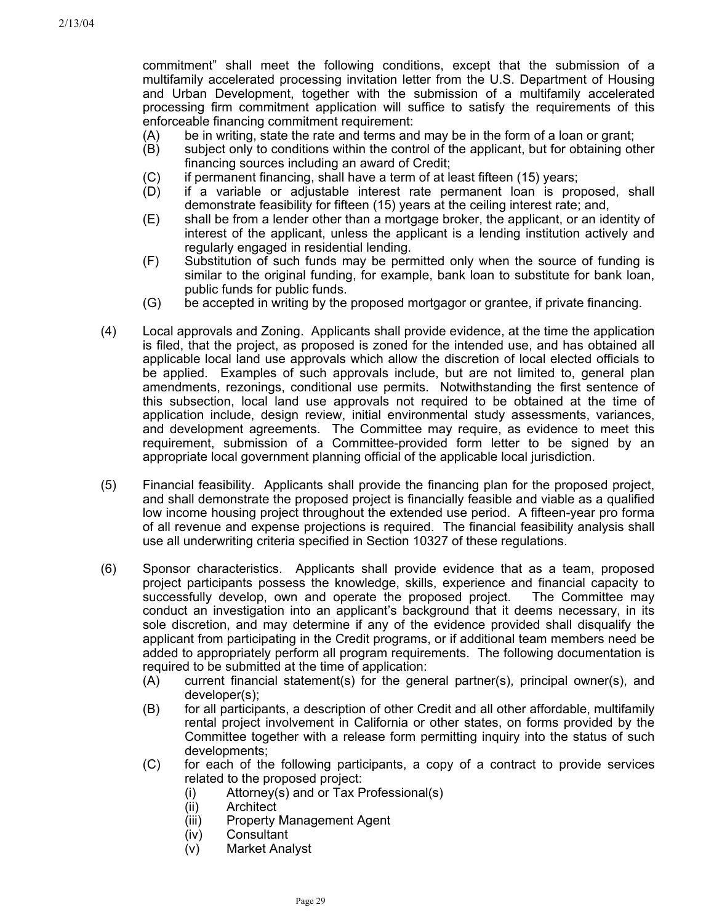commitment" shall meet the following conditions, except that the submission of a multifamily accelerated processing invitation letter from the U.S. Department of Housing and Urban Development, together with the submission of a multifamily accelerated processing firm commitment application will suffice to satisfy the requirements of this enforceable financing commitment requirement:

- (A) be in writing, state the rate and terms and may be in the form of a loan or grant;
- (B) subject only to conditions within the control of the applicant, but for obtaining other financing sources including an award of Credit;
- (C) if permanent financing, shall have a term of at least fifteen (15) years;
- (D) if a variable or adjustable interest rate permanent loan is proposed, shall demonstrate feasibility for fifteen (15) years at the ceiling interest rate; and,
- (E) shall be from a lender other than a mortgage broker, the applicant, or an identity of interest of the applicant, unless the applicant is a lending institution actively and regularly engaged in residential lending.
- (F) Substitution of such funds may be permitted only when the source of funding is similar to the original funding, for example, bank loan to substitute for bank loan, public funds for public funds.
- (G) be accepted in writing by the proposed mortgagor or grantee, if private financing.
- (4) Local approvals and Zoning. Applicants shall provide evidence, at the time the application is filed, that the project, as proposed is zoned for the intended use, and has obtained all applicable local land use approvals which allow the discretion of local elected officials to be applied. Examples of such approvals include, but are not limited to, general plan amendments, rezonings, conditional use permits. Notwithstanding the first sentence of this subsection, local land use approvals not required to be obtained at the time of application include, design review, initial environmental study assessments, variances, and development agreements. The Committee may require, as evidence to meet this requirement, submission of a Committee-provided form letter to be signed by an appropriate local government planning official of the applicable local jurisdiction.
- (5) Financial feasibility. Applicants shall provide the financing plan for the proposed project, and shall demonstrate the proposed project is financially feasible and viable as a qualified low income housing project throughout the extended use period. A fifteen-year pro forma of all revenue and expense projections is required. The financial feasibility analysis shall use all underwriting criteria specified in Section 10327 of these regulations.
- (6) Sponsor characteristics. Applicants shall provide evidence that as a team, proposed project participants possess the knowledge, skills, experience and financial capacity to successfully develop, own and operate the proposed project. The Committee may conduct an investigation into an applicant's background that it deems necessary, in its sole discretion, and may determine if any of the evidence provided shall disqualify the applicant from participating in the Credit programs, or if additional team members need be added to appropriately perform all program requirements. The following documentation is required to be submitted at the time of application:
	- (A) current financial statement(s) for the general partner(s), principal owner(s), and developer(s);
	- (B) for all participants, a description of other Credit and all other affordable, multifamily rental project involvement in California or other states, on forms provided by the Committee together with a release form permitting inquiry into the status of such developments;
	- (C) for each of the following participants, a copy of a contract to provide services related to the proposed project:
		- (i) Attorney(s) and or Tax Professional(s)
		- (ii) Architect
		- (iii) Property Management Agent
		- (iv) Consultant
		- (v) Market Analyst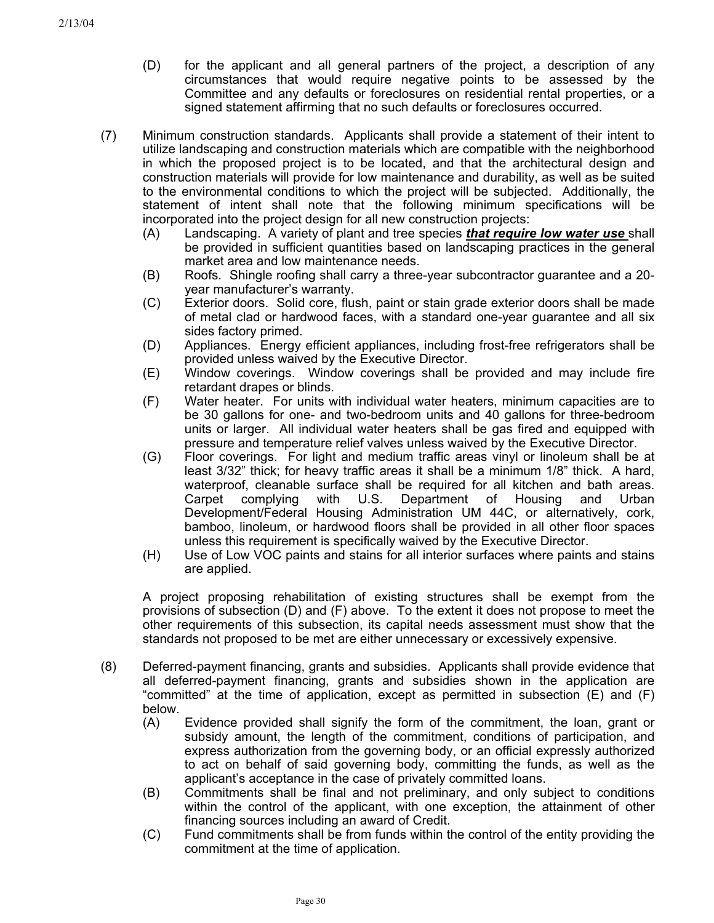- (D) for the applicant and all general partners of the project, a description of any circumstances that would require negative points to be assessed by the Committee and any defaults or foreclosures on residential rental properties, or a signed statement affirming that no such defaults or foreclosures occurred.
- (7) Minimum construction standards. Applicants shall provide a statement of their intent to utilize landscaping and construction materials which are compatible with the neighborhood in which the proposed project is to be located, and that the architectural design and construction materials will provide for low maintenance and durability, as well as be suited to the environmental conditions to which the project will be subjected. Additionally, the statement of intent shall note that the following minimum specifications will be incorporated into the project design for all new construction projects:
	- (A) Landscaping. A variety of plant and tree species *that require low water use* shall be provided in sufficient quantities based on landscaping practices in the general market area and low maintenance needs.
	- (B) Roofs. Shingle roofing shall carry a three-year subcontractor guarantee and a 20 year manufacturer's warranty.
	- (C) Exterior doors. Solid core, flush, paint or stain grade exterior doors shall be made of metal clad or hardwood faces, with a standard one-year guarantee and all six sides factory primed.
	- (D) Appliances. Energy efficient appliances, including frost-free refrigerators shall be provided unless waived by the Executive Director.
	- (E) Window coverings. Window coverings shall be provided and may include fire retardant drapes or blinds.
	- (F) Water heater. For units with individual water heaters, minimum capacities are to be 30 gallons for one- and two-bedroom units and 40 gallons for three-bedroom units or larger. All individual water heaters shall be gas fired and equipped with pressure and temperature relief valves unless waived by the Executive Director.
	- (G) Floor coverings. For light and medium traffic areas vinyl or linoleum shall be at least 3/32" thick; for heavy traffic areas it shall be a minimum 1/8" thick. A hard, waterproof, cleanable surface shall be required for all kitchen and bath areas. Carpet complying with U.S. Department of Housing and Urban Development/Federal Housing Administration UM 44C, or alternatively, cork, bamboo, linoleum, or hardwood floors shall be provided in all other floor spaces unless this requirement is specifically waived by the Executive Director.
	- (H) Use of Low VOC paints and stains for all interior surfaces where paints and stains are applied.

A project proposing rehabilitation of existing structures shall be exempt from the provisions of subsection (D) and (F) above. To the extent it does not propose to meet the other requirements of this subsection, its capital needs assessment must show that the standards not proposed to be met are either unnecessary or excessively expensive.

- (8) Deferred-payment financing, grants and subsidies. Applicants shall provide evidence that all deferred-payment financing, grants and subsidies shown in the application are "committed" at the time of application, except as permitted in subsection (E) and (F) below.
	- (A) Evidence provided shall signify the form of the commitment, the loan, grant or subsidy amount, the length of the commitment, conditions of participation, and express authorization from the governing body, or an official expressly authorized to act on behalf of said governing body, committing the funds, as well as the applicant's acceptance in the case of privately committed loans.
	- (B) Commitments shall be final and not preliminary, and only subject to conditions within the control of the applicant, with one exception, the attainment of other financing sources including an award of Credit.
	- (C) Fund commitments shall be from funds within the control of the entity providing the commitment at the time of application.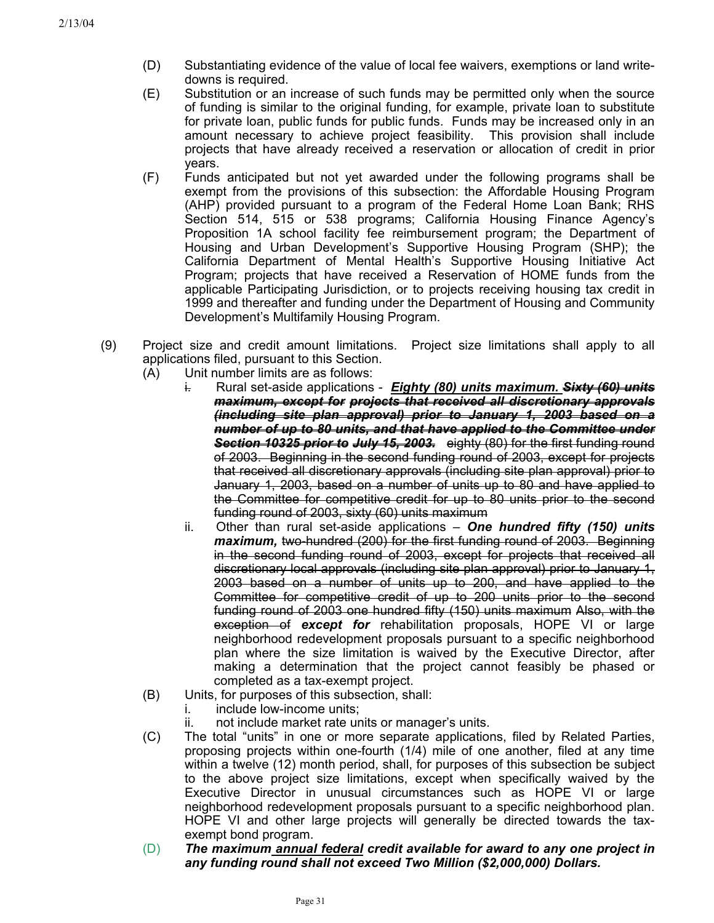- (D) Substantiating evidence of the value of local fee waivers, exemptions or land writedowns is required.
- (E) Substitution or an increase of such funds may be permitted only when the source of funding is similar to the original funding, for example, private loan to substitute for private loan, public funds for public funds. Funds may be increased only in an amount necessary to achieve project feasibility. This provision shall include projects that have already received a reservation or allocation of credit in prior years.
- (F) Funds anticipated but not yet awarded under the following programs shall be exempt from the provisions of this subsection: the Affordable Housing Program (AHP) provided pursuant to a program of the Federal Home Loan Bank; RHS Section 514, 515 or 538 programs; California Housing Finance Agency's Proposition 1A school facility fee reimbursement program; the Department of Housing and Urban Development's Supportive Housing Program (SHP); the California Department of Mental Health's Supportive Housing Initiative Act Program; projects that have received a Reservation of HOME funds from the applicable Participating Jurisdiction, or to projects receiving housing tax credit in 1999 and thereafter and funding under the Department of Housing and Community Development's Multifamily Housing Program.
- (9) Project size and credit amount limitations. Project size limitations shall apply to all applications filed, pursuant to this Section.
	- (A) Unit number limits are as follows:
		- i. Rural set-aside applications *Eighty (80) units maximum. Sixty (60) units maximum, except for projects that received all discretionary approvals (including site plan approval) prior to January 1, 2003 based on a number of up to 80 units, and that have applied to the Committee under Section 10325 prior to July 15, 2003.* eighty (80) for the first funding round of 2003. Beginning in the second funding round of 2003, except for projects that received all discretionary approvals (including site plan approval) prior to January 1, 2003, based on a number of units up to 80 and have applied to the Committee for competitive credit for up to 80 units prior to the second funding round of 2003, sixty (60) units maximum
		- ii. Other than rural set-aside applications *One hundred fifty (150) units maximum,* two-hundred (200) for the first funding round of 2003. Beginning in the second funding round of 2003, except for projects that received all discretionary local approvals (including site plan approval) prior to January 1, 2003 based on a number of units up to 200, and have applied to the Committee for competitive credit of up to 200 units prior to the second funding round of 2003 one hundred fifty (150) units maximum Also, with the exception of *except for* rehabilitation proposals, HOPE VI or large neighborhood redevelopment proposals pursuant to a specific neighborhood plan where the size limitation is waived by the Executive Director, after making a determination that the project cannot feasibly be phased or completed as a tax-exempt project.
	- (B) Units, for purposes of this subsection, shall:
		- i. include low-income units:
		- ii. not include market rate units or manager's units.
	- (C) The total "units" in one or more separate applications, filed by Related Parties, proposing projects within one-fourth (1/4) mile of one another, filed at any time within a twelve (12) month period, shall, for purposes of this subsection be subject to the above project size limitations, except when specifically waived by the Executive Director in unusual circumstances such as HOPE VI or large neighborhood redevelopment proposals pursuant to a specific neighborhood plan. HOPE VI and other large projects will generally be directed towards the taxexempt bond program.
	- (D) *The maximum annual federal credit available for award to any one project in any funding round shall not exceed Two Million (\$2,000,000) Dollars.*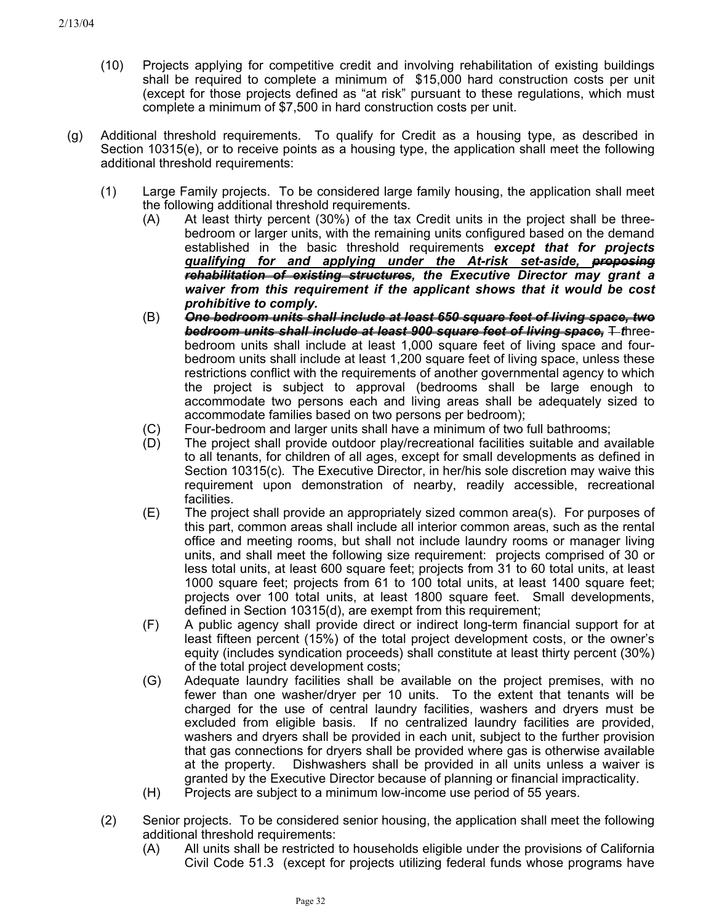- (10) Projects applying for competitive credit and involving rehabilitation of existing buildings shall be required to complete a minimum of \$15,000 hard construction costs per unit (except for those projects defined as "at risk" pursuant to these regulations, which must complete a minimum of \$7,500 in hard construction costs per unit.
- (g) Additional threshold requirements. To qualify for Credit as a housing type, as described in Section 10315(e), or to receive points as a housing type, the application shall meet the following additional threshold requirements:
	- (1) Large Family projects. To be considered large family housing, the application shall meet the following additional threshold requirements.
		- (A) At least thirty percent (30%) of the tax Credit units in the project shall be threebedroom or larger units, with the remaining units configured based on the demand established in the basic threshold requirements *except that for projects qualifying for and applying under the At-risk set-aside, proposing rehabilitation of existing structures, the Executive Director may grant a waiver from this requirement if the applicant shows that it would be cost prohibitive to comply.*
		- *One bedroom units shall include at least 650 square feet of living space, two bedroom units shall include at least 900 square feet of living space,* T *t*hreebedroom units shall include at least 1,000 square feet of living space and fourbedroom units shall include at least 1,200 square feet of living space, unless these restrictions conflict with the requirements of another governmental agency to which the project is subject to approval (bedrooms shall be large enough to accommodate two persons each and living areas shall be adequately sized to accommodate families based on two persons per bedroom); (B)
		- (C) Four-bedroom and larger units shall have a minimum of two full bathrooms;
		- (D) The project shall provide outdoor play/recreational facilities suitable and available to all tenants, for children of all ages, except for small developments as defined in Section 10315(c). The Executive Director, in her/his sole discretion may waive this requirement upon demonstration of nearby, readily accessible, recreational facilities.
		- (E) The project shall provide an appropriately sized common area(s). For purposes of this part, common areas shall include all interior common areas, such as the rental office and meeting rooms, but shall not include laundry rooms or manager living units, and shall meet the following size requirement: projects comprised of 30 or less total units, at least 600 square feet; projects from 31 to 60 total units, at least 1000 square feet; projects from 61 to 100 total units, at least 1400 square feet; projects over 100 total units, at least 1800 square feet. Small developments, defined in Section 10315(d), are exempt from this requirement;
		- (F) A public agency shall provide direct or indirect long-term financial support for at least fifteen percent (15%) of the total project development costs, or the owner's equity (includes syndication proceeds) shall constitute at least thirty percent (30%) of the total project development costs;
		- (G) Adequate laundry facilities shall be available on the project premises, with no fewer than one washer/dryer per 10 units. To the extent that tenants will be charged for the use of central laundry facilities, washers and dryers must be excluded from eligible basis. If no centralized laundry facilities are provided, washers and dryers shall be provided in each unit, subject to the further provision that gas connections for dryers shall be provided where gas is otherwise available at the property. Dishwashers shall be provided in all units unless a waiver is granted by the Executive Director because of planning or financial impracticality.
		- (H) Projects are subject to a minimum low-income use period of 55 years.
	- (2) Senior projects. To be considered senior housing, the application shall meet the following additional threshold requirements:
		- (A) All units shall be restricted to households eligible under the provisions of California Civil Code 51.3 (except for projects utilizing federal funds whose programs have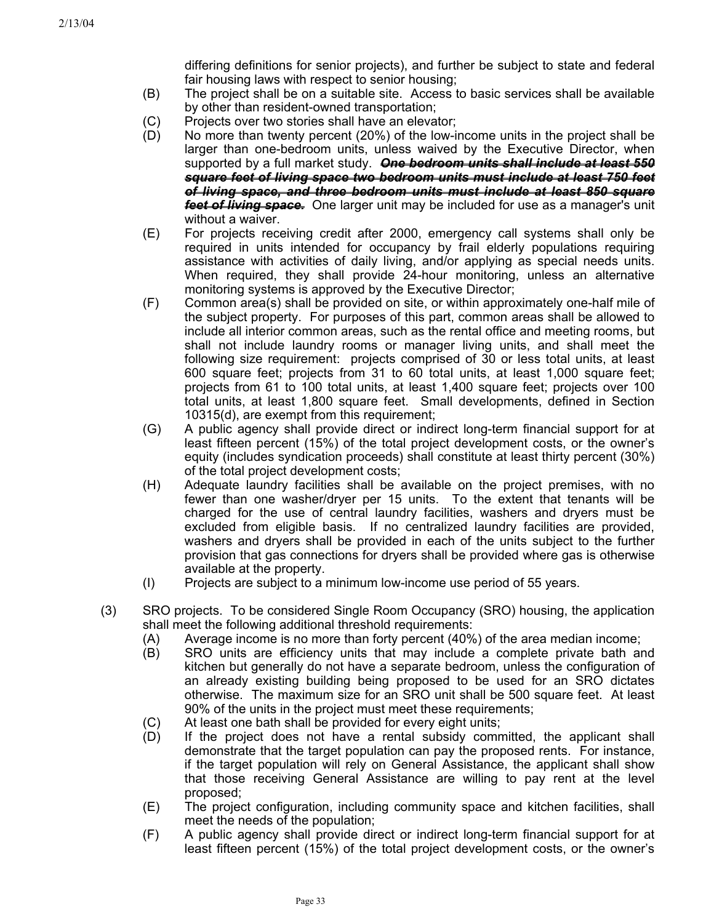differing definitions for senior projects), and further be subject to state and federal fair housing laws with respect to senior housing;

- (B) The project shall be on a suitable site. Access to basic services shall be available by other than resident-owned transportation;
- (C) Projects over two stories shall have an elevator;
- (D) No more than twenty percent (20%) of the low-income units in the project shall be larger than one-bedroom units, unless waived by the Executive Director, when supported by a full market study. *One bedroom units shall include at least 550 square feet of living space two bedroom units must include at least 750 feet of living space, and three bedroom units must include at least 850 square feet of living space.* One larger unit may be included for use as a manager's unit without a waiver.
- (E) For projects receiving credit after 2000, emergency call systems shall only be required in units intended for occupancy by frail elderly populations requiring assistance with activities of daily living, and/or applying as special needs units. When required, they shall provide 24-hour monitoring, unless an alternative monitoring systems is approved by the Executive Director;
- (F) Common area(s) shall be provided on site, or within approximately one-half mile of the subject property. For purposes of this part, common areas shall be allowed to include all interior common areas, such as the rental office and meeting rooms, but shall not include laundry rooms or manager living units, and shall meet the following size requirement: projects comprised of 30 or less total units, at least 600 square feet; projects from 31 to 60 total units, at least 1,000 square feet; projects from 61 to 100 total units, at least 1,400 square feet; projects over 100 total units, at least 1,800 square feet. Small developments, defined in Section 10315(d), are exempt from this requirement;
- (G) A public agency shall provide direct or indirect long-term financial support for at least fifteen percent (15%) of the total project development costs, or the owner's equity (includes syndication proceeds) shall constitute at least thirty percent (30%) of the total project development costs;
- (H) Adequate laundry facilities shall be available on the project premises, with no fewer than one washer/dryer per 15 units. To the extent that tenants will be charged for the use of central laundry facilities, washers and dryers must be excluded from eligible basis. If no centralized laundry facilities are provided, washers and dryers shall be provided in each of the units subject to the further provision that gas connections for dryers shall be provided where gas is otherwise available at the property.
- (I) Projects are subject to a minimum low-income use period of 55 years.
- (3) SRO projects. To be considered Single Room Occupancy (SRO) housing, the application shall meet the following additional threshold requirements:
	- (A) Average income is no more than forty percent (40%) of the area median income;
	- (B) SRO units are efficiency units that may include a complete private bath and kitchen but generally do not have a separate bedroom, unless the configuration of an already existing building being proposed to be used for an SRO dictates otherwise. The maximum size for an SRO unit shall be 500 square feet. At least 90% of the units in the project must meet these requirements;
	- (C) At least one bath shall be provided for every eight units;
	- (D) If the project does not have a rental subsidy committed, the applicant shall demonstrate that the target population can pay the proposed rents. For instance, if the target population will rely on General Assistance, the applicant shall show that those receiving General Assistance are willing to pay rent at the level proposed;
	- (E) The project configuration, including community space and kitchen facilities, shall meet the needs of the population;
	- (F) A public agency shall provide direct or indirect long-term financial support for at least fifteen percent (15%) of the total project development costs, or the owner's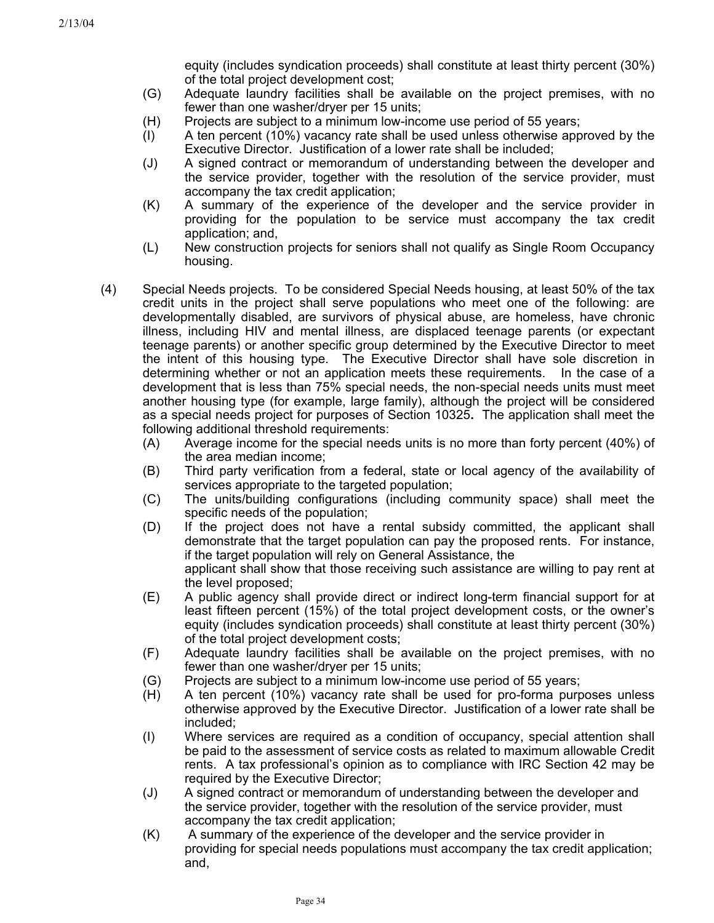equity (includes syndication proceeds) shall constitute at least thirty percent (30%) of the total project development cost;

- (G) Adequate laundry facilities shall be available on the project premises, with no fewer than one washer/dryer per 15 units;
- (H) Projects are subject to a minimum low-income use period of 55 years;
- (I) A ten percent (10%) vacancy rate shall be used unless otherwise approved by the Executive Director. Justification of a lower rate shall be included;
- (J) A signed contract or memorandum of understanding between the developer and the service provider, together with the resolution of the service provider, must accompany the tax credit application;
- (K) A summary of the experience of the developer and the service provider in providing for the population to be service must accompany the tax credit application; and,
- (L) New construction projects for seniors shall not qualify as Single Room Occupancy housing.
- (4) Special Needs projects. To be considered Special Needs housing, at least 50% of the tax credit units in the project shall serve populations who meet one of the following: are developmentally disabled, are survivors of physical abuse, are homeless, have chronic illness, including HIV and mental illness, are displaced teenage parents (or expectant teenage parents) or another specific group determined by the Executive Director to meet the intent of this housing type. The Executive Director shall have sole discretion in determining whether or not an application meets these requirements. In the case of a development that is less than 75% special needs, the non-special needs units must meet another housing type (for example, large family), although the project will be considered as a special needs project for purposes of Section 10325**.** The application shall meet the following additional threshold requirements:
	- (A) Average income for the special needs units is no more than forty percent (40%) of the area median income;
	- (B) Third party verification from a federal, state or local agency of the availability of services appropriate to the targeted population;
	- (C) The units/building configurations (including community space) shall meet the specific needs of the population;
	- (D) If the project does not have a rental subsidy committed, the applicant shall demonstrate that the target population can pay the proposed rents. For instance, if the target population will rely on General Assistance, the applicant shall show that those receiving such assistance are willing to pay rent at the level proposed;
	- (E) A public agency shall provide direct or indirect long-term financial support for at least fifteen percent (15%) of the total project development costs, or the owner's equity (includes syndication proceeds) shall constitute at least thirty percent (30%) of the total project development costs;
	- (F) Adequate laundry facilities shall be available on the project premises, with no fewer than one washer/dryer per 15 units;
	- (G) Projects are subject to a minimum low-income use period of 55 years;
	- (H) A ten percent (10%) vacancy rate shall be used for pro-forma purposes unless otherwise approved by the Executive Director. Justification of a lower rate shall be included;
	- (I) Where services are required as a condition of occupancy, special attention shall be paid to the assessment of service costs as related to maximum allowable Credit rents. A tax professional's opinion as to compliance with IRC Section 42 may be required by the Executive Director;
	- (J) A signed contract or memorandum of understanding between the developer and the service provider, together with the resolution of the service provider, must accompany the tax credit application;
	- (K) A summary of the experience of the developer and the service provider in providing for special needs populations must accompany the tax credit application; and,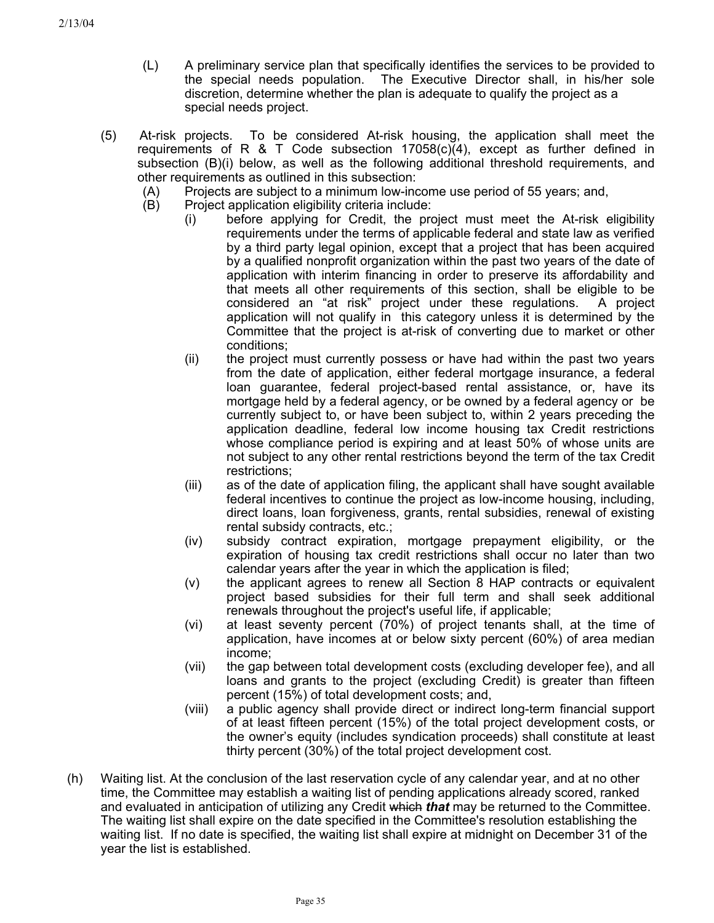- (L) A preliminary service plan that specifically identifies the services to be provided to the special needs population. The Executive Director shall, in his/her sole discretion, determine whether the plan is adequate to qualify the project as a special needs project.
- (5) At-risk projects. To be considered At-risk housing, the application shall meet the requirements of R  $\&$  T Code subsection 17058(c)(4), except as further defined in subsection (B)(i) below, as well as the following additional threshold requirements, and other requirements as outlined in this subsection:
	- (A) Projects are subject to a minimum low-income use period of 55 years; and,
	- (B) Project application eligibility criteria include:
		- (i) before applying for Credit, the project must meet the At-risk eligibility requirements under the terms of applicable federal and state law as verified by a third party legal opinion, except that a project that has been acquired by a qualified nonprofit organization within the past two years of the date of application with interim financing in order to preserve its affordability and that meets all other requirements of this section, shall be eligible to be considered an "at risk" project under these regulations. A project application will not qualify in this category unless it is determined by the Committee that the project is at-risk of converting due to market or other conditions;
		- (ii) the project must currently possess or have had within the past two years from the date of application, either federal mortgage insurance, a federal loan guarantee, federal project-based rental assistance, or, have its mortgage held by a federal agency, or be owned by a federal agency orbe currently subject to, or have been subject to, within 2 years preceding the application deadline, federal low income housing tax Credit restrictions whose compliance period is expiring and at least 50% of whose units are not subject to any other rental restrictions beyond the term of the tax Credit restrictions;
		- (iii) as of the date of application filing, the applicant shall have sought available federal incentives to continue the project as low-income housing, including, direct loans, loan forgiveness, grants, rental subsidies, renewal of existing rental subsidy contracts, etc.;
		- (iv) subsidy contract expiration, mortgage prepayment eligibility, or the expiration of housing tax credit restrictions shall occur no later than two calendar years after the year in which the application is filed;
		- (v) the applicant agrees to renew all Section 8 HAP contracts or equivalent project based subsidies for their full term and shall seek additional renewals throughout the project's useful life, if applicable;
		- (vi) at least seventy percent (70%) of project tenants shall, at the time of application, have incomes at or below sixty percent (60%) of area median income;
		- (vii) the gap between total development costs (excluding developer fee), and all loans and grants to the project (excluding Credit) is greater than fifteen percent (15%) of total development costs; and,
		- (viii) a public agency shall provide direct or indirect long-term financial support of at least fifteen percent (15%) of the total project development costs, or the owner's equity (includes syndication proceeds) shall constitute at least thirty percent (30%) of the total project development cost.
- (h) Waiting list. At the conclusion of the last reservation cycle of any calendar year, and at no other time, the Committee may establish a waiting list of pending applications already scored, ranked and evaluated in anticipation of utilizing any Credit which *that* may be returned to the Committee. The waiting list shall expire on the date specified in the Committee's resolution establishing the waiting list. If no date is specified, the waiting list shall expire at midnight on December 31 of the year the list is established.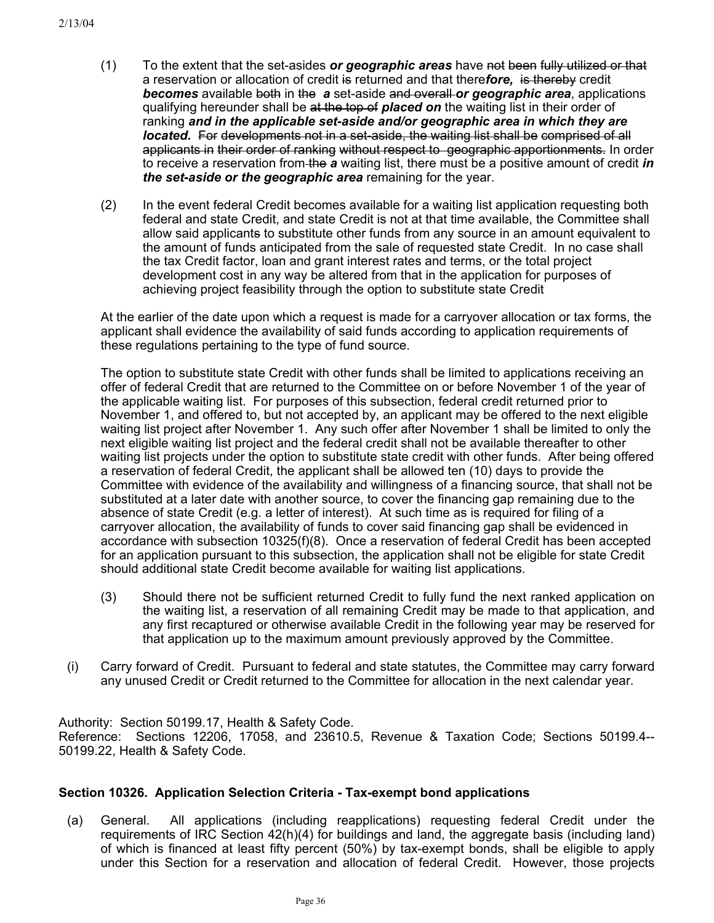- To the extent that the set-asides *or geographic areas* have not been fully utilized or that a reservation or allocation of credit is returned and that there*fore,* is thereby credit *becomes* available both in the *a* set-aside and overall *or geographic area*, applications qualifying hereunder shall be at the top of *placed on* the waiting list in their order of ranking *and in the applicable set-aside and/or geographic area in which they are located.* For developments not in a set-aside, the waiting list shall be comprised of all applicants in their order of ranking without respect to geographic apportionments. In order to receive a reservation from the *a* waiting list, there must be a positive amount of credit *in the set-aside or the geographic area* remaining for the year. (1)
- (2) In the event federal Credit becomes available for a waiting list application requesting both federal and state Credit, and state Credit is not at that time available, the Committee shall allow said applicants to substitute other funds from any source in an amount equivalent to the amount of funds anticipated from the sale of requested state Credit. In no case shall the tax Credit factor, loan and grant interest rates and terms, or the total project development cost in any way be altered from that in the application for purposes of achieving project feasibility through the option to substitute state Credit

At the earlier of the date upon which a request is made for a carryover allocation or tax forms, the applicant shall evidence the availability of said funds according to application requirements of these regulations pertaining to the type of fund source.

The option to substitute state Credit with other funds shall be limited to applications receiving an offer of federal Credit that are returned to the Committee on or before November 1 of the year of the applicable waiting list. For purposes of this subsection, federal credit returned prior to November 1, and offered to, but not accepted by, an applicant may be offered to the next eligible waiting list project after November 1. Any such offer after November 1 shall be limited to only the next eligible waiting list project and the federal credit shall not be available thereafter to other waiting list projects under the option to substitute state credit with other funds. After being offered a reservation of federal Credit, the applicant shall be allowed ten (10) days to provide the Committee with evidence of the availability and willingness of a financing source, that shall not be substituted at a later date with another source, to cover the financing gap remaining due to the absence of state Credit (e.g. a letter of interest). At such time as is required for filing of a carryover allocation, the availability of funds to cover said financing gap shall be evidenced in accordance with subsection 10325(f)(8). Once a reservation of federal Credit has been accepted for an application pursuant to this subsection, the application shall not be eligible for state Credit should additional state Credit become available for waiting list applications.

- (3) Should there not be sufficient returned Credit to fully fund the next ranked application on the waiting list, a reservation of all remaining Credit may be made to that application, and any first recaptured or otherwise available Credit in the following year may be reserved for that application up to the maximum amount previously approved by the Committee.
- (i) Carry forward of Credit. Pursuant to federal and state statutes, the Committee may carry forward any unused Credit or Credit returned to the Committee for allocation in the next calendar year.

Authority: Section 50199.17, Health & Safety Code. Reference: Sections 12206, 17058, and 23610.5, Revenue & Taxation Code; Sections 50199.4-- 50199.22, Health & Safety Code.

# **Section 10326. Application Selection Criteria - Tax-exempt bond applications**

(a) General. All applications (including reapplications) requesting federal Credit under the requirements of IRC Section 42(h)(4) for buildings and land, the aggregate basis (including land) of which is financed at least fifty percent (50%) by tax-exempt bonds, shall be eligible to apply under this Section for a reservation and allocation of federal Credit. However, those projects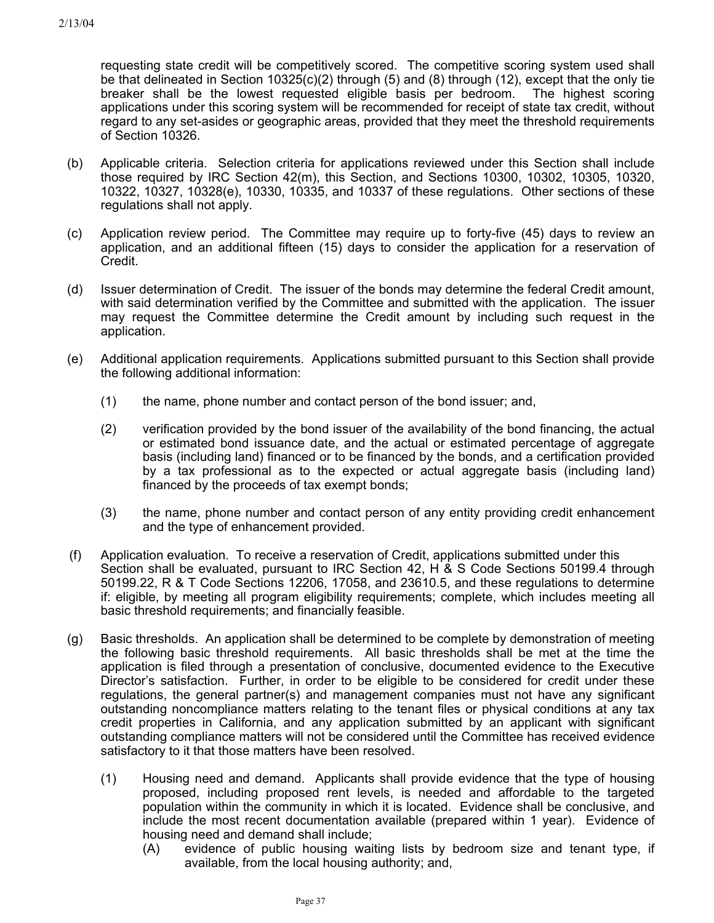requesting state credit will be competitively scored. The competitive scoring system used shall be that delineated in Section 10325(c)(2) through (5) and (8) through (12), except that the only tie breaker shall be the lowest requested eligible basis per bedroom. The highest scoring applications under this scoring system will be recommended for receipt of state tax credit, without regard to any set-asides or geographic areas, provided that they meet the threshold requirements of Section 10326.

- (b) Applicable criteria. Selection criteria for applications reviewed under this Section shall include those required by IRC Section 42(m), this Section, and Sections 10300, 10302, 10305, 10320, 10322, 10327, 10328(e), 10330, 10335, and 10337 of these regulations. Other sections of these regulations shall not apply.
- (c) Application review period. The Committee may require up to forty-five (45) days to review an application, and an additional fifteen (15) days to consider the application for a reservation of Credit.
- (d) Issuer determination of Credit. The issuer of the bonds may determine the federal Credit amount, with said determination verified by the Committee and submitted with the application. The issuer may request the Committee determine the Credit amount by including such request in the application.
- (e) Additional application requirements. Applications submitted pursuant to this Section shall provide the following additional information:
	- (1) the name, phone number and contact person of the bond issuer; and,
	- (2) verification provided by the bond issuer of the availability of the bond financing, the actual or estimated bond issuance date, and the actual or estimated percentage of aggregate basis (including land) financed or to be financed by the bonds, and a certification provided by a tax professional as to the expected or actual aggregate basis (including land) financed by the proceeds of tax exempt bonds;
	- (3) the name, phone number and contact person of any entity providing credit enhancement and the type of enhancement provided.
- (f) Application evaluation. To receive a reservation of Credit, applications submitted under this Section shall be evaluated, pursuant to IRC Section 42, H & S Code Sections 50199.4 through 50199.22, R & T Code Sections 12206, 17058, and 23610.5, and these regulations to determine if: eligible, by meeting all program eligibility requirements; complete, which includes meeting all basic threshold requirements; and financially feasible.
- (g) Basic thresholds. An application shall be determined to be complete by demonstration of meeting the following basic threshold requirements. All basic thresholds shall be met at the time the application is filed through a presentation of conclusive, documented evidence to the Executive Director's satisfaction. Further, in order to be eligible to be considered for credit under these regulations, the general partner(s) and management companies must not have any significant outstanding noncompliance matters relating to the tenant files or physical conditions at any tax credit properties in California, and any application submitted by an applicant with significant outstanding compliance matters will not be considered until the Committee has received evidence satisfactory to it that those matters have been resolved.
	- (1) Housing need and demand. Applicants shall provide evidence that the type of housing proposed, including proposed rent levels, is needed and affordable to the targeted population within the community in which it is located. Evidence shall be conclusive, and include the most recent documentation available (prepared within 1 year). Evidence of housing need and demand shall include;
		- (A) evidence of public housing waiting lists by bedroom size and tenant type, if available, from the local housing authority; and,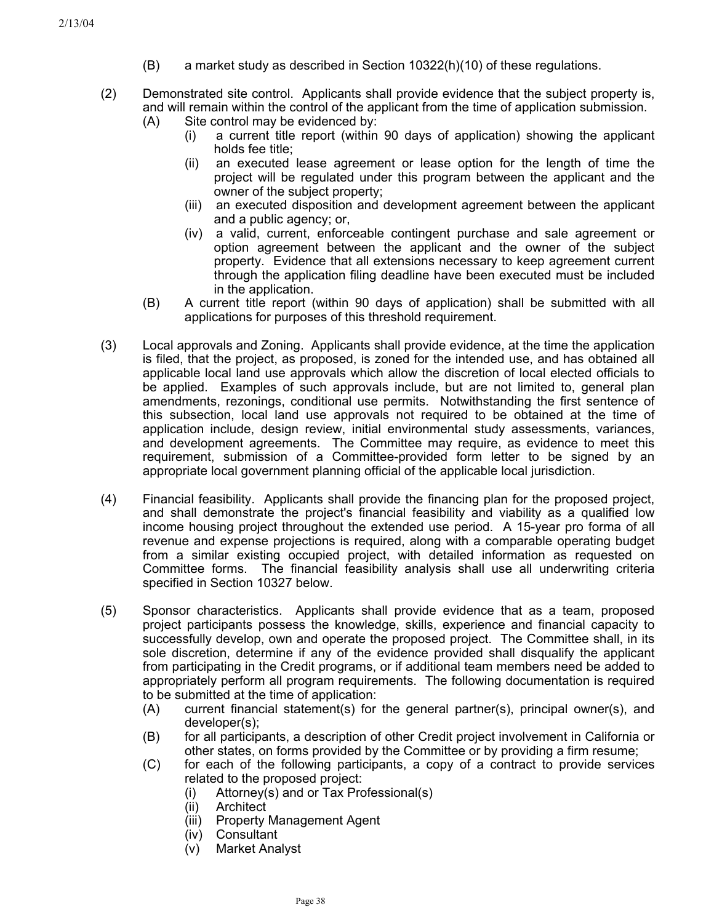- $(B)$  a market study as described in Section 10322(h)(10) of these regulations.
- (2) Demonstrated site control. Applicants shall provide evidence that the subject property is, and will remain within the control of the applicant from the time of application submission.
	- (A) Site control may be evidenced by:
		- (i) a current title report (within 90 days of application) showing the applicant holds fee title;
		- (ii) an executed lease agreement or lease option for the length of time the project will be regulated under this program between the applicant and the owner of the subject property;
		- (iii) an executed disposition and development agreement between the applicant and a public agency; or,
		- (iv) a valid, current, enforceable contingent purchase and sale agreement or option agreement between the applicant and the owner of the subject property. Evidence that all extensions necessary to keep agreement current through the application filing deadline have been executed must be included in the application.
	- (B) A current title report (within 90 days of application) shall be submitted with all applications for purposes of this threshold requirement.
- (3) Local approvals and Zoning. Applicants shall provide evidence, at the time the application is filed, that the project, as proposed, is zoned for the intended use, and has obtained all applicable local land use approvals which allow the discretion of local elected officials to be applied. Examples of such approvals include, but are not limited to, general plan amendments, rezonings, conditional use permits. Notwithstanding the first sentence of this subsection, local land use approvals not required to be obtained at the time of application include, design review, initial environmental study assessments, variances, and development agreements. The Committee may require, as evidence to meet this requirement, submission of a Committee-provided form letter to be signed by an appropriate local government planning official of the applicable local jurisdiction.
- (4) Financial feasibility. Applicants shall provide the financing plan for the proposed project, and shall demonstrate the project's financial feasibility and viability as a qualified low income housing project throughout the extended use period. A 15-year pro forma of all revenue and expense projections is required, along with a comparable operating budget from a similar existing occupied project, with detailed information as requested on Committee forms. The financial feasibility analysis shall use all underwriting criteria specified in Section 10327 below.
- (5) Sponsor characteristics. Applicants shall provide evidence that as a team, proposed project participants possess the knowledge, skills, experience and financial capacity to successfully develop, own and operate the proposed project. The Committee shall, in its sole discretion, determine if any of the evidence provided shall disqualify the applicant from participating in the Credit programs, or if additional team members need be added to appropriately perform all program requirements. The following documentation is required to be submitted at the time of application:
	- (A) current financial statement(s) for the general partner(s), principal owner(s), and developer(s);
	- (B) for all participants, a description of other Credit project involvement in California or other states, on forms provided by the Committee or by providing a firm resume;
	- (C) for each of the following participants, a copy of a contract to provide services related to the proposed project:
		- (i) Attorney(s) and or Tax Professional(s)
		- (ii) Architect
		- (iii) Property Management Agent
		- (iv) Consultant
		- (v) Market Analyst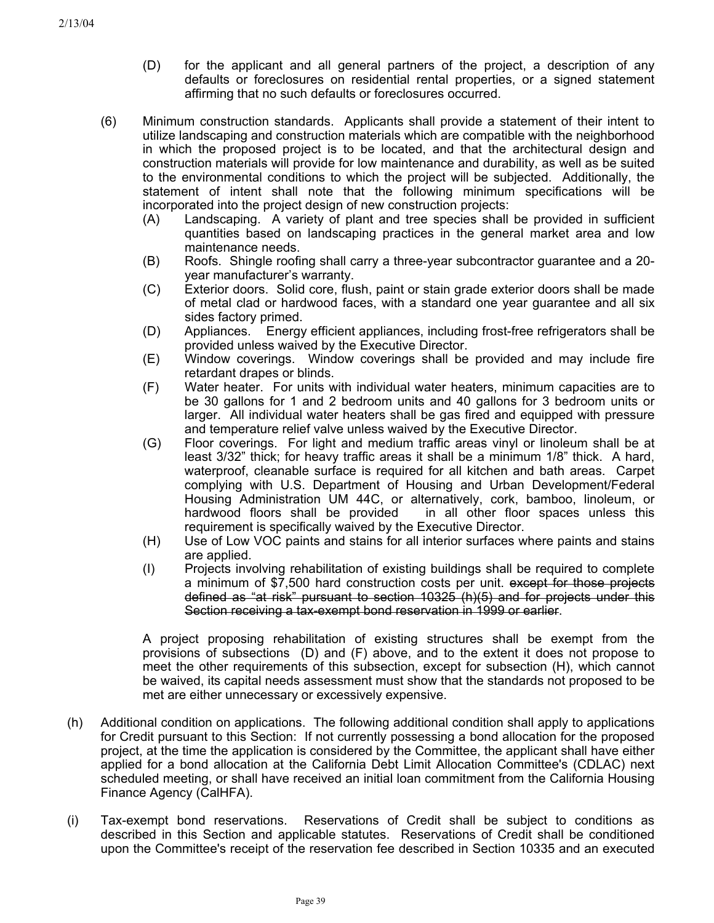- (D) for the applicant and all general partners of the project, a description of any defaults or foreclosures on residential rental properties, or a signed statement affirming that no such defaults or foreclosures occurred.
- (6) Minimum construction standards. Applicants shall provide a statement of their intent to utilize landscaping and construction materials which are compatible with the neighborhood in which the proposed project is to be located, and that the architectural design and construction materials will provide for low maintenance and durability, as well as be suited to the environmental conditions to which the project will be subjected. Additionally, the statement of intent shall note that the following minimum specifications will be incorporated into the project design of new construction projects:
	- (A) Landscaping. A variety of plant and tree species shall be provided in sufficient quantities based on landscaping practices in the general market area and low maintenance needs.
	- (B) Roofs. Shingle roofing shall carry a three-year subcontractor guarantee and a 20 year manufacturer's warranty.
	- (C) Exterior doors. Solid core, flush, paint or stain grade exterior doors shall be made of metal clad or hardwood faces, with a standard one year guarantee and all six sides factory primed.
	- (D) Appliances. Energy efficient appliances, including frost-free refrigerators shall be provided unless waived by the Executive Director.
	- (E) Window coverings. Window coverings shall be provided and may include fire retardant drapes or blinds.
	- (F) Water heater. For units with individual water heaters, minimum capacities are to be 30 gallons for 1 and 2 bedroom units and 40 gallons for 3 bedroom units or larger. All individual water heaters shall be gas fired and equipped with pressure and temperature relief valve unless waived by the Executive Director.
	- (G) Floor coverings. For light and medium traffic areas vinyl or linoleum shall be at least 3/32" thick; for heavy traffic areas it shall be a minimum 1/8" thick. A hard, waterproof, cleanable surface is required for all kitchen and bath areas. Carpet complying with U.S. Department of Housing and Urban Development/Federal Housing Administration UM 44C, or alternatively, cork, bamboo, linoleum, or hardwood floors shall be provided in all other floor spaces unless this requirement is specifically waived by the Executive Director.
	- (H) Use of Low VOC paints and stains for all interior surfaces where paints and stains are applied.
	- (I) Projects involving rehabilitation of existing buildings shall be required to complete a minimum of \$7,500 hard construction costs per unit. except for those projects defined as "at risk" pursuant to section 10325 (h)(5) and for projects under this Section receiving a tax-exempt bond reservation in 1999 or earlier.

A project proposing rehabilitation of existing structures shall be exempt from the provisions of subsections (D) and (F) above, and to the extent it does not propose to meet the other requirements of this subsection, except for subsection (H), which cannot be waived, its capital needs assessment must show that the standards not proposed to be met are either unnecessary or excessively expensive.

- (h) Additional condition on applications. The following additional condition shall apply to applications for Credit pursuant to this Section: If not currently possessing a bond allocation for the proposed project, at the time the application is considered by the Committee, the applicant shall have either applied for a bond allocation at the California Debt Limit Allocation Committee's (CDLAC) next scheduled meeting, or shall have received an initial loan commitment from the California Housing Finance Agency (CalHFA).
- (i) Tax-exempt bond reservations. Reservations of Credit shall be subject to conditions as described in this Section and applicable statutes. Reservations of Credit shall be conditioned upon the Committee's receipt of the reservation fee described in Section 10335 and an executed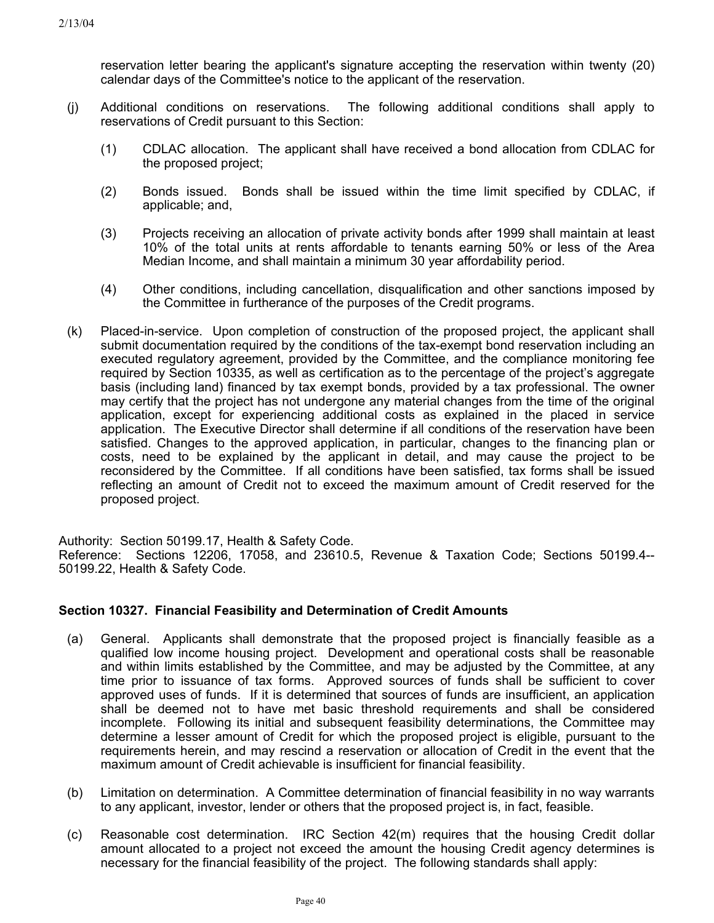reservation letter bearing the applicant's signature accepting the reservation within twenty (20) calendar days of the Committee's notice to the applicant of the reservation.

- (j) Additional conditions on reservations. The following additional conditions shall apply to reservations of Credit pursuant to this Section:
	- (1) CDLAC allocation. The applicant shall have received a bond allocation from CDLAC for the proposed project;
	- (2) Bonds issued. Bonds shall be issued within the time limit specified by CDLAC, if applicable; and,
	- (3) Projects receiving an allocation of private activity bonds after 1999 shall maintain at least 10% of the total units at rents affordable to tenants earning 50% or less of the Area Median Income, and shall maintain a minimum 30 year affordability period.
	- (4) Other conditions, including cancellation, disqualification and other sanctions imposed by the Committee in furtherance of the purposes of the Credit programs.
- (k) Placed-in-service. Upon completion of construction of the proposed project, the applicant shall submit documentation required by the conditions of the tax-exempt bond reservation including an executed regulatory agreement, provided by the Committee, and the compliance monitoring fee required by Section 10335, as well as certification as to the percentage of the project's aggregate basis (including land) financed by tax exempt bonds, provided by a tax professional. The owner may certify that the project has not undergone any material changes from the time of the original application, except for experiencing additional costs as explained in the placed in service application.The Executive Director shall determine if all conditions of the reservation have been satisfied. Changes to the approved application, in particular, changes to the financing plan or costs, need to be explained by the applicant in detail, and may cause the project to be reconsidered by the Committee. If all conditions have been satisfied, tax forms shall be issued reflecting an amount of Credit not to exceed the maximum amount of Credit reserved for the proposed project.

Authority: Section 50199.17, Health & Safety Code. Reference: Sections 12206, 17058, and 23610.5, Revenue & Taxation Code; Sections 50199.4-- 50199.22, Health & Safety Code.

# **Section 10327. Financial Feasibility and Determination of Credit Amounts**

- (a) General. Applicants shall demonstrate that the proposed project is financially feasible as a qualified low income housing project. Development and operational costs shall be reasonable and within limits established by the Committee, and may be adjusted by the Committee, at any time prior to issuance of tax forms. Approved sources of funds shall be sufficient to cover approved uses of funds. If it is determined that sources of funds are insufficient, an application shall be deemed not to have met basic threshold requirements and shall be considered incomplete. Following its initial and subsequent feasibility determinations, the Committee may determine a lesser amount of Credit for which the proposed project is eligible, pursuant to the requirements herein, and may rescind a reservation or allocation of Credit in the event that the maximum amount of Credit achievable is insufficient for financial feasibility.
- (b) Limitation on determination. A Committee determination of financial feasibility in no way warrants to any applicant, investor, lender or others that the proposed project is, in fact, feasible.
- (c) Reasonable cost determination. IRC Section 42(m) requires that the housing Credit dollar amount allocated to a project not exceed the amount the housing Credit agency determines is necessary for the financial feasibility of the project. The following standards shall apply: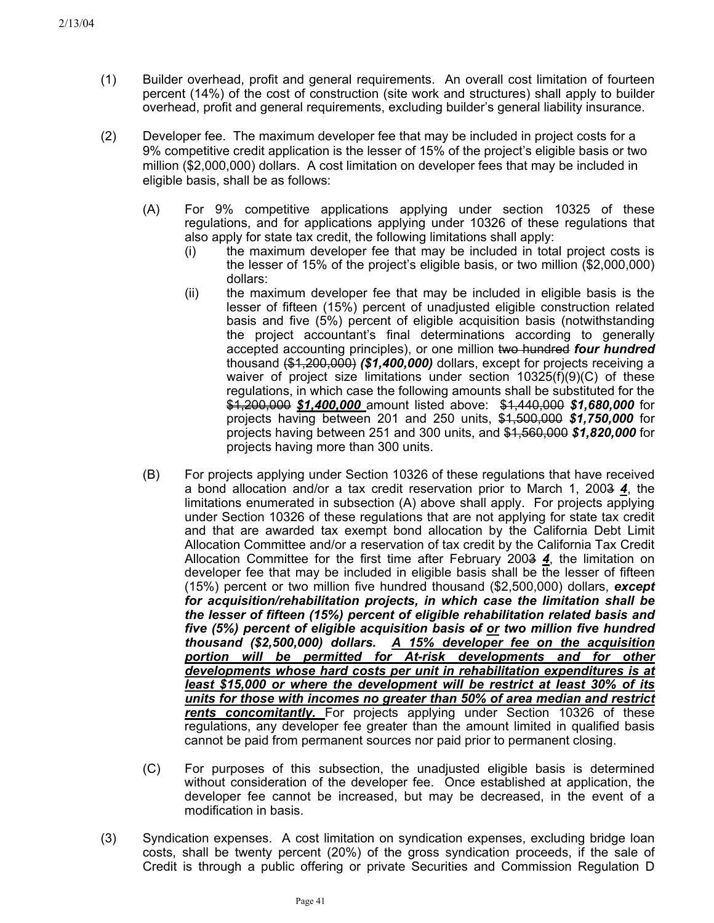- (1) Builder overhead, profit and general requirements. An overall cost limitation of fourteen percent (14%) of the cost of construction (site work and structures) shall apply to builder overhead, profit and general requirements, excluding builder's general liability insurance.
- (2) Developer fee. The maximum developer fee that may be included in project costs for a 9% competitive credit application is the lesser of 15% of the project's eligible basis or two million (\$2,000,000) dollars. A cost limitation on developer fees that may be included in eligible basis, shall be as follows:
	- (A) For 9% competitive applications applying under section 10325 of these regulations, and for applications applying under 10326 of these regulations that also apply for state tax credit, the following limitations shall apply:
		- (i) the maximum developer fee that may be included in total project costs is the lesser of 15% of the project's eligible basis, or two million (\$2,000,000) dollars:
		- (ii) the maximum developer fee that may be included in eligible basis is the lesser of fifteen (15%) percent of unadjusted eligible construction related basis and five (5%) percent of eligible acquisition basis (notwithstanding the project accountant's final determinations according to generally accepted accounting principles), or one million two hundred *four hundred* thousand (\$1,200,000) *(\$1,400,000)* dollars, except for projects receiving a waiver of project size limitations under section  $10325(f)(9)(C)$  of these regulations, in which case the following amounts shall be substituted for the \$1,200,000 *\$1,400,000* amount listed above: \$1,440,000 *\$1,680,000* for projects having between 201 and 250 units, \$1,500,000 *\$1,750,000* for projects having between 251 and 300 units, and \$1,560,000 *\$1,820,000* for projects having more than 300 units.
	- (B) For projects applying under Section 10326 of these regulations that have received a bond allocation and/or a tax credit reservation prior to March 1, 2003 *4*, the limitations enumerated in subsection (A) above shall apply. For projects applying under Section 10326 of these regulations that are not applying for state tax credit and that are awarded tax exempt bond allocation by the California Debt Limit Allocation Committee and/or a reservation of tax credit by the California Tax Credit Allocation Committee for the first time after February 2003 *4*, the limitation on developer fee that may be included in eligible basis shall be the lesser of fifteen (15%) percent or two million five hundred thousand (\$2,500,000) dollars, *except for acquisition/rehabilitation projects, in which case the limitation shall be the lesser of fifteen (15%) percent of eligible rehabilitation related basis and five (5%) percent of eligible acquisition basis of or two million five hundred thousand (\$2,500,000) dollars. A 15% developer fee on the acquisition portion will be permitted for At-risk developments and for other developments whose hard costs per unit in rehabilitation expenditures is at least \$15,000 or where the development will be restrict at least 30% of its units for those with incomes no greater than 50% of area median and restrict rents concomitantly.* For projects applying under Section 10326 of these regulations, any developer fee greater than the amount limited in qualified basis cannot be paid from permanent sources nor paid prior to permanent closing.
	- (C) For purposes of this subsection, the unadjusted eligible basis is determined without consideration of the developer fee. Once established at application, the developer fee cannot be increased, but may be decreased, in the event of a modification in basis.
- (3) Syndication expenses. A cost limitation on syndication expenses, excluding bridge loan costs, shall be twenty percent (20%) of the gross syndication proceeds, if the sale of Credit is through a public offering or private Securities and Commission Regulation D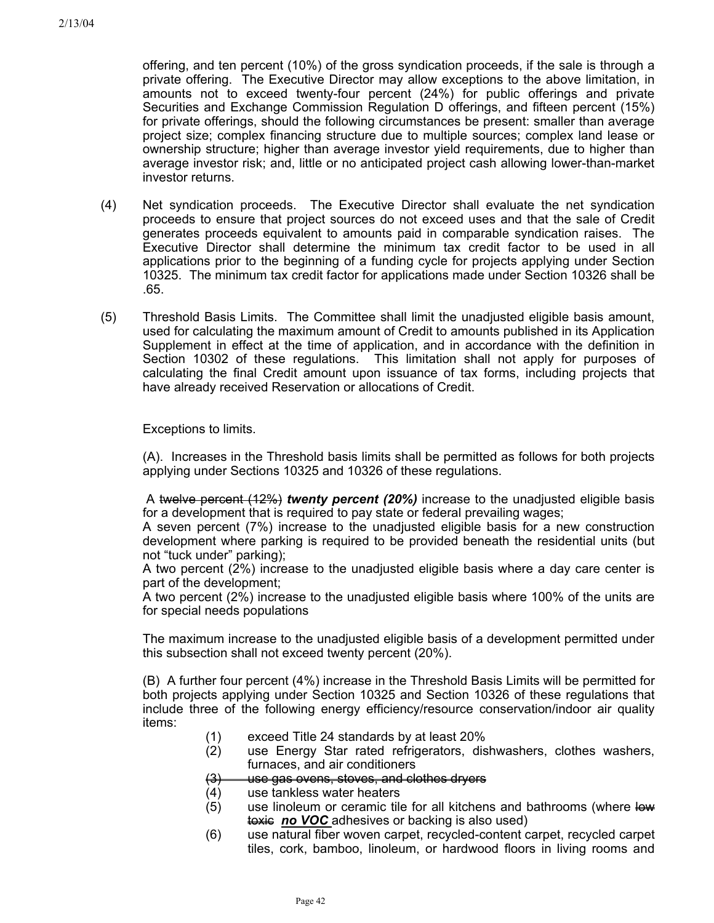offering, and ten percent (10%) of the gross syndication proceeds, if the sale is through a private offering. The Executive Director may allow exceptions to the above limitation, in amounts not to exceed twenty-four percent (24%) for public offerings and private Securities and Exchange Commission Regulation D offerings, and fifteen percent (15%) for private offerings, should the following circumstances be present: smaller than average project size; complex financing structure due to multiple sources; complex land lease or ownership structure; higher than average investor yield requirements, due to higher than average investor risk; and, little or no anticipated project cash allowing lower-than-market investor returns.

- (4) Net syndication proceeds. The Executive Director shall evaluate the net syndication proceeds to ensure that project sources do not exceed uses and that the sale of Credit generates proceeds equivalent to amounts paid in comparable syndication raises. The Executive Director shall determine the minimum tax credit factor to be used in all applications prior to the beginning of a funding cycle for projects applying under Section 10325. The minimum tax credit factor for applications made under Section 10326 shall be .65.
- (5) Threshold Basis Limits. The Committee shall limit the unadjusted eligible basis amount, used for calculating the maximum amount of Credit to amounts published in its Application Supplement in effect at the time of application, and in accordance with the definition in Section 10302 of these regulations. This limitation shall not apply for purposes of calculating the final Credit amount upon issuance of tax forms, including projects that have already received Reservation or allocations of Credit.

Exceptions to limits.

(A). Increases in the Threshold basis limits shall be permitted as follows for both projects applying under Sections 10325 and 10326 of these regulations.

 A twelve percent (12%) *twenty percent (20%)* increase to the unadjusted eligible basis for a development that is required to pay state or federal prevailing wages;

A seven percent (7%) increase to the unadjusted eligible basis for a new construction development where parking is required to be provided beneath the residential units (but not "tuck under" parking);

A two percent (2%) increase to the unadjusted eligible basis where a day care center is part of the development;

A two percent (2%) increase to the unadjusted eligible basis where 100% of the units are for special needs populations

The maximum increase to the unadjusted eligible basis of a development permitted under this subsection shall not exceed twenty percent (20%).

(B) A further four percent (4%) increase in the Threshold Basis Limits will be permitted for both projects applying under Section 10325 and Section 10326 of these regulations that include three of the following energy efficiency/resource conservation/indoor air quality items:

- (1) exceed Title 24 standards by at least 20%
- (2) use Energy Star rated refrigerators, dishwashers, clothes washers, furnaces, and air conditioners
- $(3)$ use gas ovens, stoves, and clothes dryers
- (4) use tankless water heaters
- (5) use linoleum or ceramic tile for all kitchens and bathrooms (where low toxic *no VOC* adhesives or backing is also used)
- (6) use natural fiber woven carpet, recycled-content carpet, recycled carpet tiles, cork, bamboo, linoleum, or hardwood floors in living rooms and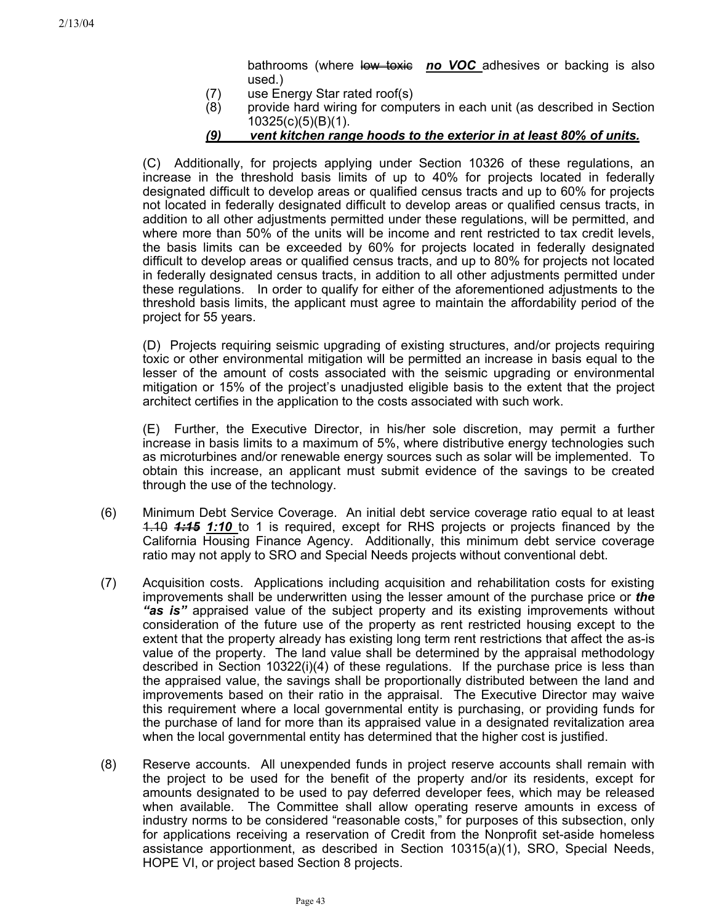bathrooms (where low toxic no VOC adhesives or backing is also used.)

- (7) use Energy Star rated roof(s)
- (8) provide hard wiring for computers in each unit (as described in Section 10325(c)(5)(B)(1).
- *(9) vent kitchen range hoods to the exterior in at least 80% of units.*

(C) Additionally, for projects applying under Section 10326 of these regulations, an increase in the threshold basis limits of up to 40% for projects located in federally designated difficult to develop areas or qualified census tracts and up to 60% for projects not located in federally designated difficult to develop areas or qualified census tracts, in addition to all other adjustments permitted under these regulations, will be permitted, and where more than 50% of the units will be income and rent restricted to tax credit levels, the basis limits can be exceeded by 60% for projects located in federally designated difficult to develop areas or qualified census tracts, and up to 80% for projects not located in federally designated census tracts, in addition to all other adjustments permitted under these regulations. In order to qualify for either of the aforementioned adjustments to the threshold basis limits, the applicant must agree to maintain the affordability period of the project for 55 years.

(D) Projects requiring seismic upgrading of existing structures, and/or projects requiring toxic or other environmental mitigation will be permitted an increase in basis equal to the lesser of the amount of costs associated with the seismic upgrading or environmental mitigation or 15% of the project's unadjusted eligible basis to the extent that the project architect certifies in the application to the costs associated with such work.

(E) Further, the Executive Director, in his/her sole discretion, may permit a further increase in basis limits to a maximum of 5%, where distributive energy technologies such as microturbines and/or renewable energy sources such as solar will be implemented. To obtain this increase, an applicant must submit evidence of the savings to be created through the use of the technology.

- (6) Minimum Debt Service Coverage. An initial debt service coverage ratio equal to at least 1.10 *1:15 1:10* to 1 is required, except for RHS projects or projects financed by the California Housing Finance Agency. Additionally, this minimum debt service coverage ratio may not apply to SRO and Special Needs projects without conventional debt.
- (7) Acquisition costs. Applications including acquisition and rehabilitation costs for existing improvements shall be underwritten using the lesser amount of the purchase price or *the "as is"* appraised value of the subject property and its existing improvements without consideration of the future use of the property as rent restricted housing except to the extent that the property already has existing long term rent restrictions that affect the as-is value of the property. The land value shall be determined by the appraisal methodology described in Section 10322(i)(4) of these regulations. If the purchase price is less than the appraised value, the savings shall be proportionally distributed between the land and improvements based on their ratio in the appraisal. The Executive Director may waive this requirement where a local governmental entity is purchasing, or providing funds for the purchase of land for more than its appraised value in a designated revitalization area when the local governmental entity has determined that the higher cost is justified.
- (8) Reserve accounts. All unexpended funds in project reserve accounts shall remain with the project to be used for the benefit of the property and/or its residents, except for amounts designated to be used to pay deferred developer fees, which may be released when available. The Committee shall allow operating reserve amounts in excess of industry norms to be considered "reasonable costs," for purposes of this subsection, only for applications receiving a reservation of Credit from the Nonprofit set-aside homeless assistance apportionment, as described in Section 10315(a)(1), SRO, Special Needs, HOPE VI, or project based Section 8 projects.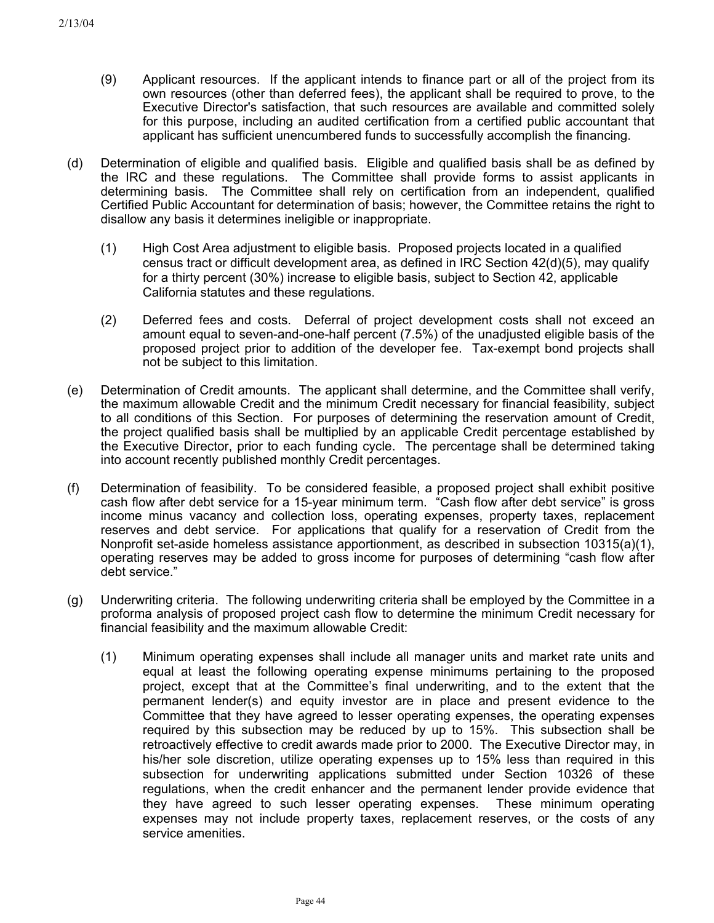- (9) Applicant resources. If the applicant intends to finance part or all of the project from its own resources (other than deferred fees), the applicant shall be required to prove, to the Executive Director's satisfaction, that such resources are available and committed solely for this purpose, including an audited certification from a certified public accountant that applicant has sufficient unencumbered funds to successfully accomplish the financing.
- (d) Determination of eligible and qualified basis. Eligible and qualified basis shall be as defined by the IRC and these regulations. The Committee shall provide forms to assist applicants in determining basis. The Committee shall rely on certification from an independent, qualified Certified Public Accountant for determination of basis; however, the Committee retains the right to disallow any basis it determines ineligible or inappropriate.
	- (1) High Cost Area adjustment to eligible basis. Proposed projects located in a qualified census tract or difficult development area, as defined in IRC Section 42(d)(5), may qualify for a thirty percent (30%) increase to eligible basis, subject to Section 42, applicable California statutes and these regulations.
	- (2) Deferred fees and costs. Deferral of project development costs shall not exceed an amount equal to seven-and-one-half percent (7.5%) of the unadjusted eligible basis of the proposed project prior to addition of the developer fee. Tax-exempt bond projects shall not be subject to this limitation.
- (e) Determination of Credit amounts. The applicant shall determine, and the Committee shall verify, the maximum allowable Credit and the minimum Credit necessary for financial feasibility, subject to all conditions of this Section. For purposes of determining the reservation amount of Credit, the project qualified basis shall be multiplied by an applicable Credit percentage established by the Executive Director, prior to each funding cycle. The percentage shall be determined taking into account recently published monthly Credit percentages.
- (f) Determination of feasibility. To be considered feasible, a proposed project shall exhibit positive cash flow after debt service for a 15-year minimum term. "Cash flow after debt service" is gross income minus vacancy and collection loss, operating expenses, property taxes, replacement reserves and debt service. For applications that qualify for a reservation of Credit from the Nonprofit set-aside homeless assistance apportionment, as described in subsection 10315(a)(1), operating reserves may be added to gross income for purposes of determining "cash flow after debt service."
- (g) Underwriting criteria. The following underwriting criteria shall be employed by the Committee in a proforma analysis of proposed project cash flow to determine the minimum Credit necessary for financial feasibility and the maximum allowable Credit:
	- (1) Minimum operating expenses shall include all manager units and market rate units and equal at least the following operating expense minimums pertaining to the proposed project, except that at the Committee's final underwriting, and to the extent that the permanent lender(s) and equity investor are in place and present evidence to the Committee that they have agreed to lesser operating expenses, the operating expenses required by this subsection may be reduced by up to 15%. This subsection shall be retroactively effective to credit awards made prior to 2000. The Executive Director may, in his/her sole discretion, utilize operating expenses up to 15% less than required in this subsection for underwriting applications submitted under Section 10326 of these regulations, when the credit enhancer and the permanent lender provide evidence that they have agreed to such lesser operating expenses. These minimum operating expenses may not include property taxes, replacement reserves, or the costs of any service amenities.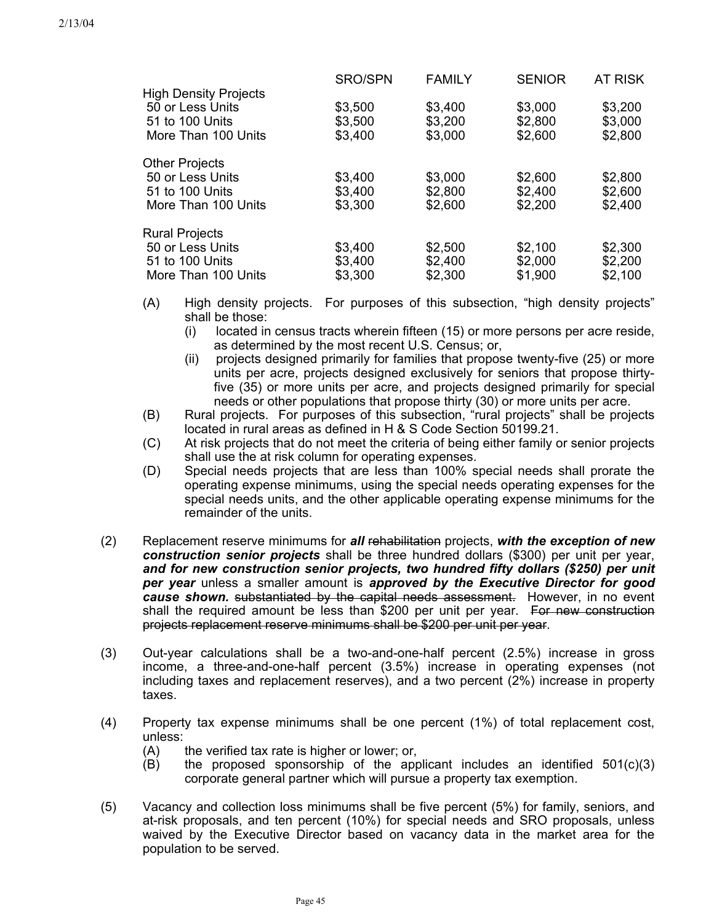|                              | <b>SRO/SPN</b> | <b>FAMILY</b> | <b>SENIOR</b> | <b>AT RISK</b> |
|------------------------------|----------------|---------------|---------------|----------------|
| <b>High Density Projects</b> |                |               |               |                |
| 50 or Less Units             | \$3,500        | \$3,400       | \$3,000       | \$3,200        |
| 51 to 100 Units              | \$3,500        | \$3,200       | \$2,800       | \$3,000        |
| More Than 100 Units          | \$3,400        | \$3,000       | \$2,600       | \$2,800        |
| <b>Other Projects</b>        |                |               |               |                |
| 50 or Less Units             | \$3,400        | \$3,000       | \$2,600       | \$2,800        |
| 51 to 100 Units              | \$3,400        | \$2,800       | \$2,400       | \$2,600        |
| More Than 100 Units          | \$3,300        | \$2,600       | \$2,200       | \$2,400        |
| <b>Rural Projects</b>        |                |               |               |                |
| 50 or Less Units             | \$3,400        | \$2,500       | \$2,100       | \$2,300        |
| 51 to 100 Units              | \$3,400        | \$2,400       | \$2,000       | \$2,200        |
| More Than 100 Units          | \$3,300        | \$2,300       | \$1,900       | \$2,100        |
|                              |                |               |               |                |

- (A) High density projects. For purposes of this subsection, "high density projects" shall be those:
	- (i) located in census tracts wherein fifteen (15) or more persons per acre reside, as determined by the most recent U.S. Census; or,
	- (ii) projects designed primarily for families that propose twenty-five (25) or more units per acre, projects designed exclusively for seniors that propose thirtyfive (35) or more units per acre, and projects designed primarily for special needs or other populations that propose thirty (30) or more units per acre.
- (B) Rural projects. For purposes of this subsection, "rural projects" shall be projects located in rural areas as defined in H & S Code Section 50199.21.
- (C) At risk projects that do not meet the criteria of being either family or senior projects shall use the at risk column for operating expenses.
- (D) Special needs projects that are less than 100% special needs shall prorate the operating expense minimums, using the special needs operating expenses for the special needs units, and the other applicable operating expense minimums for the remainder of the units.
- Replacement reserve minimums for *all* rehabilitation projects, *with the exception of new construction senior projects* shall be three hundred dollars (\$300) per unit per year, *and for new construction senior projects, two hundred fifty dollars (\$250) per unit per year* unless a smaller amount is *approved by the Executive Director for good cause shown.* substantiated by the capital needs assessment. However, in no event shall the required amount be less than \$200 per unit per year. For new construction projects replacement reserve minimums shall be \$200 per unit per year. (2)
- (3) Out-year calculations shall be a two-and-one-half percent (2.5%) increase in gross income, a three-and-one-half percent (3.5%) increase in operating expenses (not including taxes and replacement reserves), and a two percent (2%) increase in property taxes.
- (4) Property tax expense minimums shall be one percent (1%) of total replacement cost, unless:
	- (A) the verified tax rate is higher or lower; or,
	- $(B)$  the proposed sponsorship of the applicant includes an identified  $501(c)(3)$ corporate general partner which will pursue a property tax exemption.
- (5) Vacancy and collection loss minimums shall be five percent (5%) for family, seniors, and at-risk proposals, and ten percent (10%) for special needs and SRO proposals, unless waived by the Executive Director based on vacancy data in the market area for the population to be served.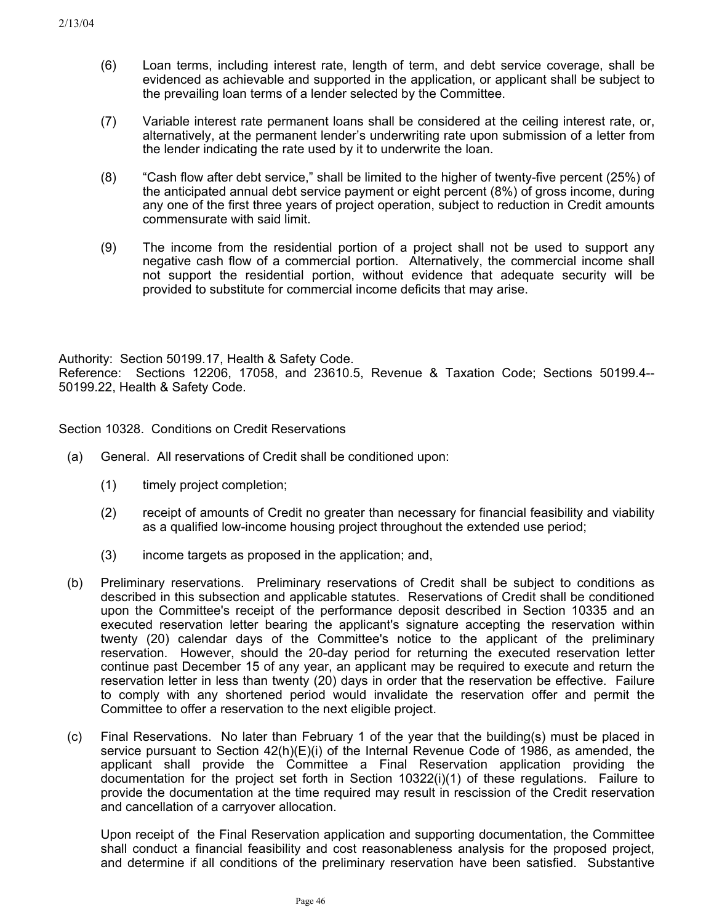- (6) Loan terms, including interest rate, length of term, and debt service coverage, shall be evidenced as achievable and supported in the application, or applicant shall be subject to the prevailing loan terms of a lender selected by the Committee.
- (7) Variable interest rate permanent loans shall be considered at the ceiling interest rate, or, alternatively, at the permanent lender's underwriting rate upon submission of a letter from the lender indicating the rate used by it to underwrite the loan.
- (8) "Cash flow after debt service," shall be limited to the higher of twenty-five percent (25%) of the anticipated annual debt service payment or eight percent (8%) of gross income, during any one of the first three years of project operation, subject to reduction in Credit amounts commensurate with said limit.
- (9) The income from the residential portion of a project shall not be used to support any negative cash flow of a commercial portion. Alternatively, the commercial income shall not support the residential portion, without evidence that adequate security will be provided to substitute for commercial income deficits that may arise.

Authority: Section 50199.17, Health & Safety Code. Reference: Sections 12206, 17058, and 23610.5, Revenue & Taxation Code; Sections 50199.4-- 50199.22, Health & Safety Code.

Section 10328. Conditions on Credit Reservations

- (a) General. All reservations of Credit shall be conditioned upon:
	- (1) timely project completion;
	- (2) receipt of amounts of Credit no greater than necessary for financial feasibility and viability as a qualified low-income housing project throughout the extended use period;
	- (3) income targets as proposed in the application; and,
- (b) Preliminary reservations. Preliminary reservations of Credit shall be subject to conditions as described in this subsection and applicable statutes. Reservations of Credit shall be conditioned upon the Committee's receipt of the performance deposit described in Section 10335 and an executed reservation letter bearing the applicant's signature accepting the reservation within twenty (20) calendar days of the Committee's notice to the applicant of the preliminary reservation. However, should the 20-day period for returning the executed reservation letter continue past December 15 of any year, an applicant may be required to execute and return the reservation letter in less than twenty (20) days in order that the reservation be effective. Failure to comply with any shortened period would invalidate the reservation offer and permit the Committee to offer a reservation to the next eligible project.
- (c) Final Reservations. No later than February 1 of the year that the building(s) must be placed in service pursuant to Section 42(h)(E)(i) of the Internal Revenue Code of 1986, as amended, the applicant shall provide the Committee a Final Reservation application providing the documentation for the project set forth in Section 10322(i)(1) of these regulations. Failure to provide the documentation at the time required may result in rescission of the Credit reservation and cancellation of a carryover allocation.

Upon receipt of the Final Reservation application and supporting documentation, the Committee shall conduct a financial feasibility and cost reasonableness analysis for the proposed project, and determine if all conditions of the preliminary reservation have been satisfied. Substantive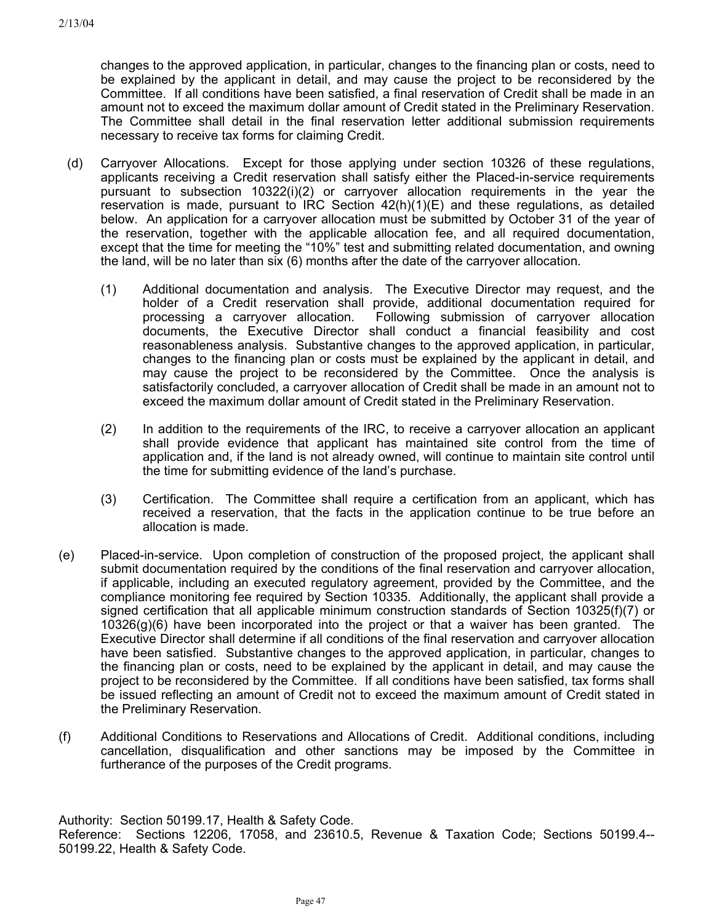changes to the approved application, in particular, changes to the financing plan or costs, need to be explained by the applicant in detail, and may cause the project to be reconsidered by the Committee. If all conditions have been satisfied, a final reservation of Credit shall be made in an amount not to exceed the maximum dollar amount of Credit stated in the Preliminary Reservation. The Committee shall detail in the final reservation letter additional submission requirements necessary to receive tax forms for claiming Credit.

- (d) Carryover Allocations. Except for those applying under section 10326 of these regulations, applicants receiving a Credit reservation shall satisfy either the Placed-in-service requirements pursuant to subsection 10322(i)(2) or carryover allocation requirements in the year the reservation is made, pursuant to IRC Section  $42(h)(1)(E)$  and these regulations, as detailed below. An application for a carryover allocation must be submitted by October 31 of the year of the reservation, together with the applicable allocation fee, and all required documentation, except that the time for meeting the "10%" test and submitting related documentation, and owning the land, will be no later than six (6) months after the date of the carryover allocation.
	- (1) Additional documentation and analysis. The Executive Director may request, and the holder of a Credit reservation shall provide, additional documentation required for processing a carryover allocation. Following submission of carryover allocation documents, the Executive Director shall conduct a financial feasibility and cost reasonableness analysis. Substantive changes to the approved application, in particular, changes to the financing plan or costs must be explained by the applicant in detail, and may cause the project to be reconsidered by the Committee. Once the analysis is satisfactorily concluded, a carryover allocation of Credit shall be made in an amount not to exceed the maximum dollar amount of Credit stated in the Preliminary Reservation.
	- (2) In addition to the requirements of the IRC, to receive a carryover allocation an applicant shall provide evidence that applicant has maintained site control from the time of application and, if the land is not already owned, will continue to maintain site control until the time for submitting evidence of the land's purchase.
	- (3) Certification. The Committee shall require a certification from an applicant, which has received a reservation, that the facts in the application continue to be true before an allocation is made.
- (e) Placed-in-service. Upon completion of construction of the proposed project, the applicant shall submit documentation required by the conditions of the final reservation and carryover allocation, if applicable, including an executed regulatory agreement, provided by the Committee, and the compliance monitoring fee required by Section 10335. Additionally, the applicant shall provide a signed certification that all applicable minimum construction standards of Section 10325(f)(7) or 10326(g)(6) have been incorporated into the project or that a waiver has been granted. The Executive Director shall determine if all conditions of the final reservation and carryover allocation have been satisfied. Substantive changes to the approved application, in particular, changes to the financing plan or costs, need to be explained by the applicant in detail, and may cause the project to be reconsidered by the Committee. If all conditions have been satisfied, tax forms shall be issued reflecting an amount of Credit not to exceed the maximum amount of Credit stated in the Preliminary Reservation.
- (f) Additional Conditions to Reservations and Allocations of Credit. Additional conditions, including cancellation, disqualification and other sanctions may be imposed by the Committee in furtherance of the purposes of the Credit programs.

Authority: Section 50199.17, Health & Safety Code. Reference: Sections 12206, 17058, and 23610.5, Revenue & Taxation Code; Sections 50199.4-- 50199.22, Health & Safety Code.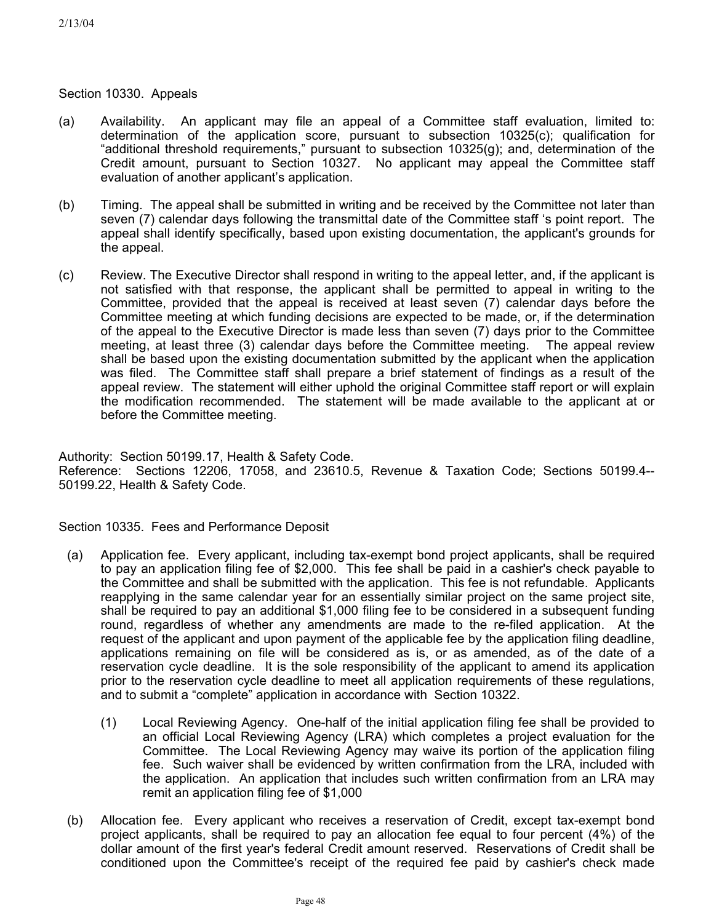## Section 10330. Appeals

- (a) Availability. An applicant may file an appeal of a Committee staff evaluation, limited to: determination of the application score, pursuant to subsection 10325(c); qualification for "additional threshold requirements," pursuant to subsection 10325(g); and, determination of the Credit amount, pursuant to Section 10327. No applicant may appeal the Committee staff evaluation of another applicant's application.
- (b) Timing. The appeal shall be submitted in writing and be received by the Committee not later than seven (7) calendar days following the transmittal date of the Committee staff 's point report. The appeal shall identify specifically, based upon existing documentation, the applicant's grounds for the appeal.
- (c) Review. The Executive Director shall respond in writing to the appeal letter, and, if the applicant is not satisfied with that response, the applicant shall be permitted to appeal in writing to the Committee, provided that the appeal is received at least seven (7) calendar days before the Committee meeting at which funding decisions are expected to be made, or, if the determination of the appeal to the Executive Director is made less than seven (7) days prior to the Committee meeting, at least three (3) calendar days before the Committee meeting. The appeal review shall be based upon the existing documentation submitted by the applicant when the application was filed. The Committee staff shall prepare a brief statement of findings as a result of the appeal review. The statement will either uphold the original Committee staff report or will explain the modification recommended. The statement will be made available to the applicant at or before the Committee meeting.

Authority: Section 50199.17, Health & Safety Code. Reference: Sections 12206, 17058, and 23610.5, Revenue & Taxation Code; Sections 50199.4-- 50199.22, Health & Safety Code.

Section 10335. Fees and Performance Deposit

- (a) Application fee. Every applicant, including tax-exempt bond project applicants, shall be required to pay an application filing fee of \$2,000. This fee shall be paid in a cashier's check payable to the Committee and shall be submitted with the application. This fee is not refundable. Applicants reapplying in the same calendar year for an essentially similar project on the same project site, shall be required to pay an additional \$1,000 filing fee to be considered in a subsequent funding round, regardless of whether any amendments are made to the re-filed application. At the request of the applicant and upon payment of the applicable fee by the application filing deadline, applications remaining on file will be considered as is, or as amended, as of the date of a reservation cycle deadline. It is the sole responsibility of the applicant to amend its application prior to the reservation cycle deadline to meet all application requirements of these regulations, and to submit a "complete" application in accordance with Section 10322.
	- (1) Local Reviewing Agency. One-half of the initial application filing fee shall be provided to an official Local Reviewing Agency (LRA) which completes a project evaluation for the Committee. The Local Reviewing Agency may waive its portion of the application filing fee. Such waiver shall be evidenced by written confirmation from the LRA, included with the application. An application that includes such written confirmation from an LRA may remit an application filing fee of \$1,000
- (b) Allocation fee. Every applicant who receives a reservation of Credit, except tax-exempt bond project applicants, shall be required to pay an allocation fee equal to four percent (4%) of the dollar amount of the first year's federal Credit amount reserved. Reservations of Credit shall be conditioned upon the Committee's receipt of the required fee paid by cashier's check made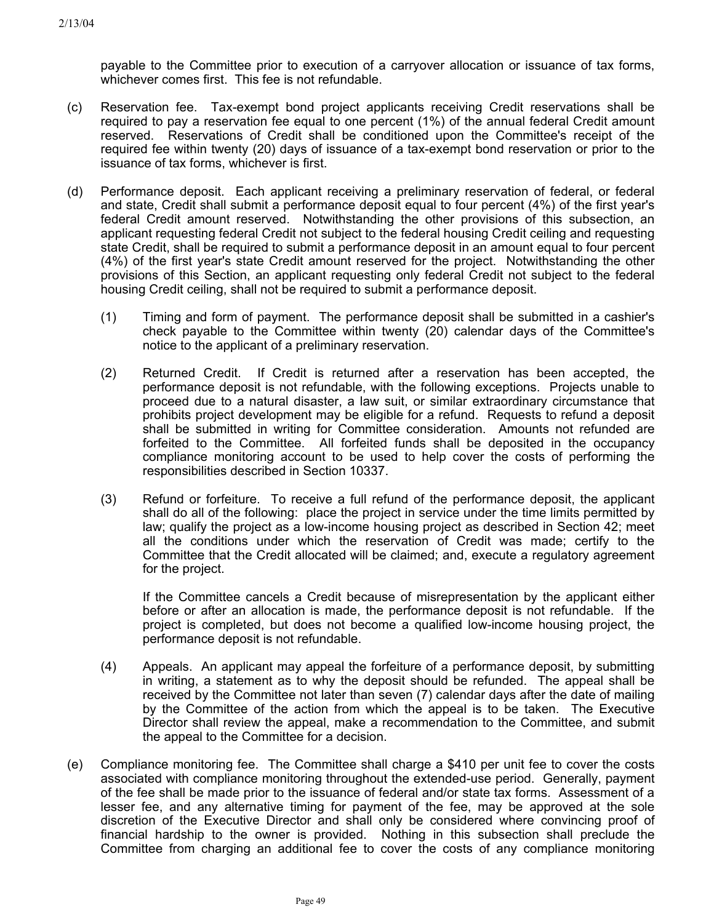payable to the Committee prior to execution of a carryover allocation or issuance of tax forms, whichever comes first. This fee is not refundable.

- (c) Reservation fee. Tax-exempt bond project applicants receiving Credit reservations shall be required to pay a reservation fee equal to one percent (1%) of the annual federal Credit amount reserved. Reservations of Credit shall be conditioned upon the Committee's receipt of the required fee within twenty (20) days of issuance of a tax-exempt bond reservation or prior to the issuance of tax forms, whichever is first.
- (d) Performance deposit. Each applicant receiving a preliminary reservation of federal, or federal and state, Credit shall submit a performance deposit equal to four percent (4%) of the first year's federal Credit amount reserved. Notwithstanding the other provisions of this subsection, an applicant requesting federal Credit not subject to the federal housing Credit ceiling and requesting state Credit, shall be required to submit a performance deposit in an amount equal to four percent (4%) of the first year's state Credit amount reserved for the project. Notwithstanding the other provisions of this Section, an applicant requesting only federal Credit not subject to the federal housing Credit ceiling, shall not be required to submit a performance deposit.
	- (1) Timing and form of payment. The performance deposit shall be submitted in a cashier's check payable to the Committee within twenty (20) calendar days of the Committee's notice to the applicant of a preliminary reservation.
	- (2) Returned Credit. If Credit is returned after a reservation has been accepted, the performance deposit is not refundable, with the following exceptions. Projects unable to proceed due to a natural disaster, a law suit, or similar extraordinary circumstance that prohibits project development may be eligible for a refund. Requests to refund a deposit shall be submitted in writing for Committee consideration. Amounts not refunded are forfeited to the Committee. All forfeited funds shall be deposited in the occupancy compliance monitoring account to be used to help cover the costs of performing the responsibilities described in Section 10337.
	- (3) Refund or forfeiture. To receive a full refund of the performance deposit, the applicant shall do all of the following: place the project in service under the time limits permitted by law; qualify the project as a low-income housing project as described in Section 42; meet all the conditions under which the reservation of Credit was made; certify to the Committee that the Credit allocated will be claimed; and, execute a regulatory agreement for the project.

If the Committee cancels a Credit because of misrepresentation by the applicant either before or after an allocation is made, the performance deposit is not refundable. If the project is completed, but does not become a qualified low-income housing project, the performance deposit is not refundable.

- (4) Appeals. An applicant may appeal the forfeiture of a performance deposit, by submitting in writing, a statement as to why the deposit should be refunded. The appeal shall be received by the Committee not later than seven (7) calendar days after the date of mailing by the Committee of the action from which the appeal is to be taken. The Executive Director shall review the appeal, make a recommendation to the Committee, and submit the appeal to the Committee for a decision.
- (e) Compliance monitoring fee. The Committee shall charge a \$410 per unit fee to cover the costs associated with compliance monitoring throughout the extended-use period. Generally, payment of the fee shall be made prior to the issuance of federal and/or state tax forms. Assessment of a lesser fee, and any alternative timing for payment of the fee, may be approved at the sole discretion of the Executive Director and shall only be considered where convincing proof of financial hardship to the owner is provided. Nothing in this subsection shall preclude the Committee from charging an additional fee to cover the costs of any compliance monitoring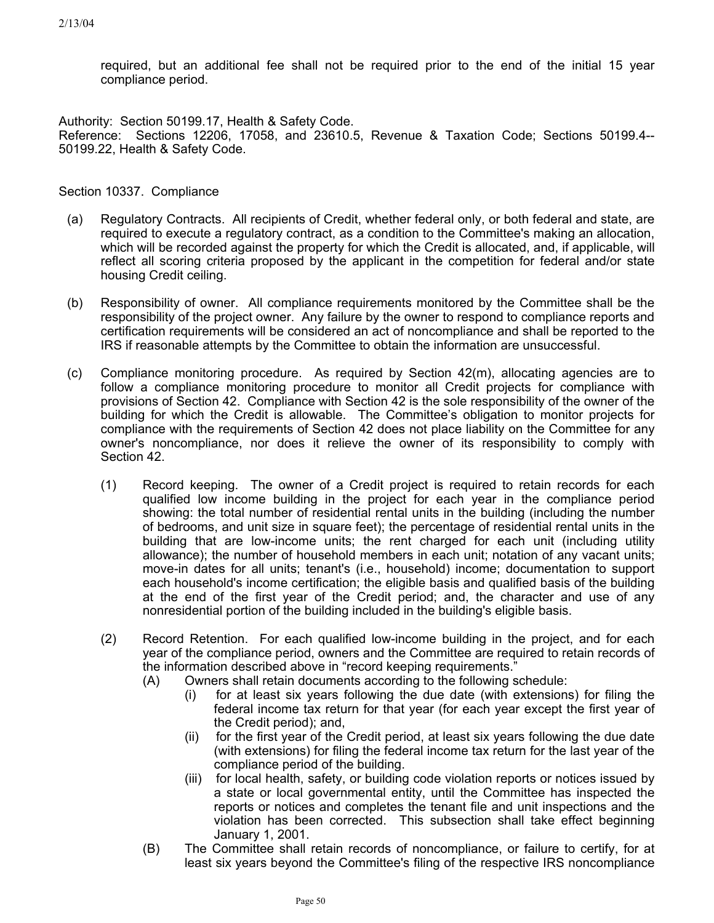required, but an additional fee shall not be required prior to the end of the initial 15 year compliance period.

Authority: Section 50199.17, Health & Safety Code. Reference: Sections 12206, 17058, and 23610.5, Revenue & Taxation Code; Sections 50199.4-- 50199.22, Health & Safety Code.

Section 10337. Compliance

- (a) Regulatory Contracts. All recipients of Credit, whether federal only, or both federal and state, are required to execute a regulatory contract, as a condition to the Committee's making an allocation, which will be recorded against the property for which the Credit is allocated, and, if applicable, will reflect all scoring criteria proposed by the applicant in the competition for federal and/or state housing Credit ceiling.
- (b) Responsibility of owner. All compliance requirements monitored by the Committee shall be the responsibility of the project owner. Any failure by the owner to respond to compliance reports and certification requirements will be considered an act of noncompliance and shall be reported to the IRS if reasonable attempts by the Committee to obtain the information are unsuccessful.
- (c) Compliance monitoring procedure. As required by Section 42(m), allocating agencies are to follow a compliance monitoring procedure to monitor all Credit projects for compliance with provisions of Section 42. Compliance with Section 42 is the sole responsibility of the owner of the building for which the Credit is allowable. The Committee's obligation to monitor projects for compliance with the requirements of Section 42 does not place liability on the Committee for any owner's noncompliance, nor does it relieve the owner of its responsibility to comply with Section 42.
	- (1) Record keeping. The owner of a Credit project is required to retain records for each qualified low income building in the project for each year in the compliance period showing: the total number of residential rental units in the building (including the number of bedrooms, and unit size in square feet); the percentage of residential rental units in the building that are low-income units; the rent charged for each unit (including utility allowance); the number of household members in each unit; notation of any vacant units; move-in dates for all units; tenant's (i.e., household) income; documentation to support each household's income certification; the eligible basis and qualified basis of the building at the end of the first year of the Credit period; and, the character and use of any nonresidential portion of the building included in the building's eligible basis.
	- (2) Record Retention. For each qualified low-income building in the project, and for each year of the compliance period, owners and the Committee are required to retain records of the information described above in "record keeping requirements."
		- (A) Owners shall retain documents according to the following schedule:
			- (i) for at least six years following the due date (with extensions) for filing the federal income tax return for that year (for each year except the first year of the Credit period); and,
			- (ii) for the first year of the Credit period, at least six years following the due date (with extensions) for filing the federal income tax return for the last year of the compliance period of the building.
			- (iii) for local health, safety, or building code violation reports or notices issued by a state or local governmental entity, until the Committee has inspected the reports or notices and completes the tenant file and unit inspections and the violation has been corrected. This subsection shall take effect beginning January 1, 2001.
		- (B) The Committee shall retain records of noncompliance, or failure to certify, for at least six years beyond the Committee's filing of the respective IRS noncompliance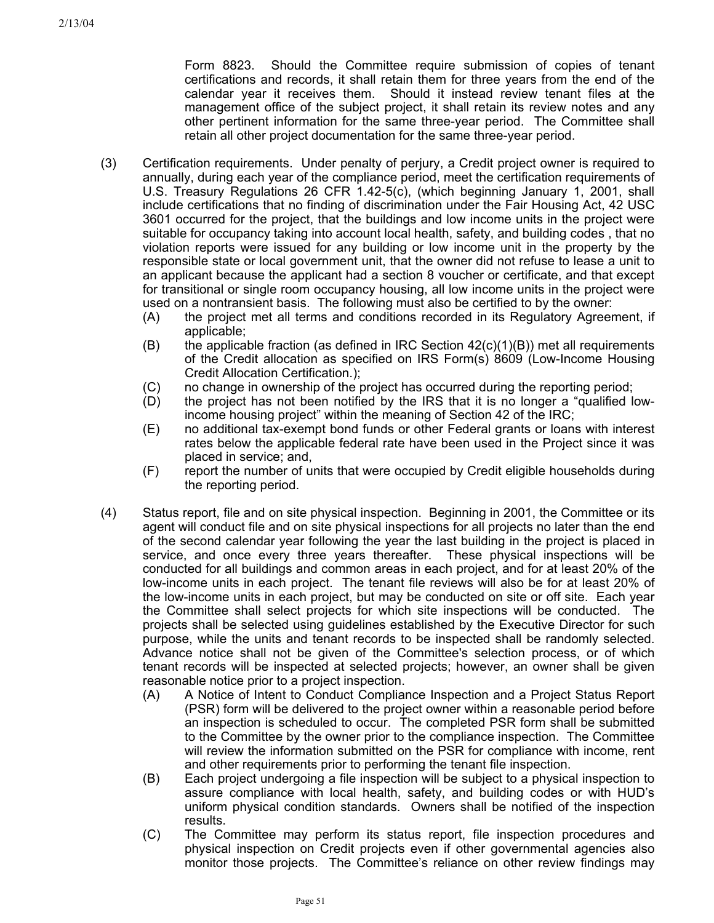Form 8823. Should the Committee require submission of copies of tenant certifications and records, it shall retain them for three years from the end of the calendar year it receives them. Should it instead review tenant files at the management office of the subject project, it shall retain its review notes and any other pertinent information for the same three-year period. The Committee shall retain all other project documentation for the same three-year period.

- (3) Certification requirements. Under penalty of perjury, a Credit project owner is required to annually, during each year of the compliance period, meet the certification requirements of U.S. Treasury Regulations 26 CFR 1.42-5(c), (which beginning January 1, 2001, shall include certifications that no finding of discrimination under the Fair Housing Act, 42 USC 3601 occurred for the project, that the buildings and low income units in the project were suitable for occupancy taking into account local health, safety, and building codes , that no violation reports were issued for any building or low income unit in the property by the responsible state or local government unit, that the owner did not refuse to lease a unit to an applicant because the applicant had a section 8 voucher or certificate, and that except for transitional or single room occupancy housing, all low income units in the project were used on a nontransient basis. The following must also be certified to by the owner:
	- (A) the project met all terms and conditions recorded in its Regulatory Agreement, if applicable;
	- (B) the applicable fraction (as defined in IRC Section  $42(c)(1)(B)$ ) met all requirements of the Credit allocation as specified on IRS Form(s) 8609 (Low-Income Housing Credit Allocation Certification.);
	- (C) no change in ownership of the project has occurred during the reporting period;
	- (D) the project has not been notified by the IRS that it is no longer a "qualified lowincome housing project" within the meaning of Section 42 of the IRC;
	- (E) no additional tax-exempt bond funds or other Federal grants or loans with interest rates below the applicable federal rate have been used in the Project since it was placed in service; and,
	- (F) report the number of units that were occupied by Credit eligible households during the reporting period.
- (4) Status report, file and on site physical inspection. Beginning in 2001, the Committee or its agent will conduct file and on site physical inspections for all projects no later than the end of the second calendar year following the year the last building in the project is placed in service, and once every three years thereafter. These physical inspections will be conducted for all buildings and common areas in each project, and for at least 20% of the low-income units in each project. The tenant file reviews will also be for at least 20% of the low-income units in each project, but may be conducted on site or off site. Each year the Committee shall select projects for which site inspections will be conducted. The projects shall be selected using guidelines established by the Executive Director for such purpose, while the units and tenant records to be inspected shall be randomly selected. Advance notice shall not be given of the Committee's selection process, or of which tenant records will be inspected at selected projects; however, an owner shall be given reasonable notice prior to a project inspection.
	- (A) A Notice of Intent to Conduct Compliance Inspection and a Project Status Report (PSR) form will be delivered to the project owner within a reasonable period before an inspection is scheduled to occur. The completed PSR form shall be submitted to the Committee by the owner prior to the compliance inspection. The Committee will review the information submitted on the PSR for compliance with income, rent and other requirements prior to performing the tenant file inspection.
	- (B) Each project undergoing a file inspection will be subject to a physical inspection to assure compliance with local health, safety, and building codes or with HUD's uniform physical condition standards. Owners shall be notified of the inspection results.
	- (C) The Committee may perform its status report, file inspection procedures and physical inspection on Credit projects even if other governmental agencies also monitor those projects. The Committee's reliance on other review findings may